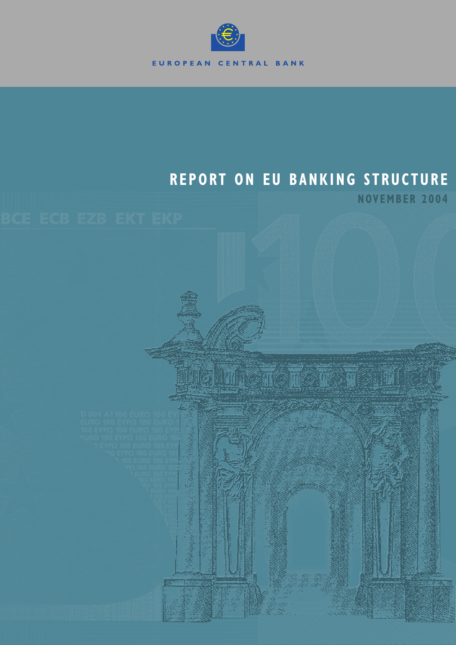

# **REPORT ON EU BANKING STRUCTURE**

**NOVEMBER 2004**

**Allie The Time Time Time**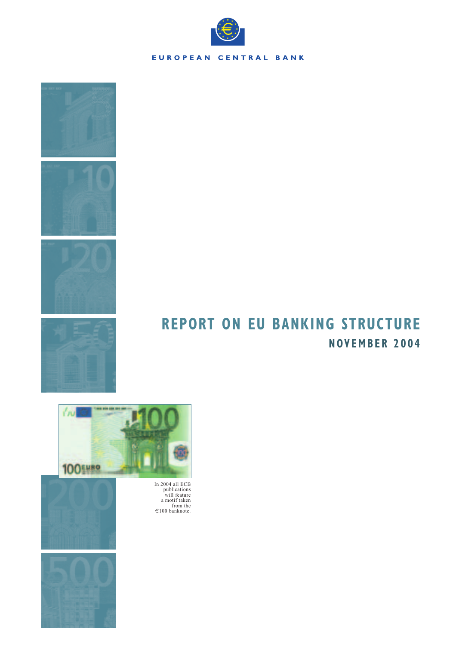







# **REPORT ON EU BANKING STRUCTURE NOVEMBER 2004**





In 2004 all ECB publications will feature a motif taken from the €100 banknote.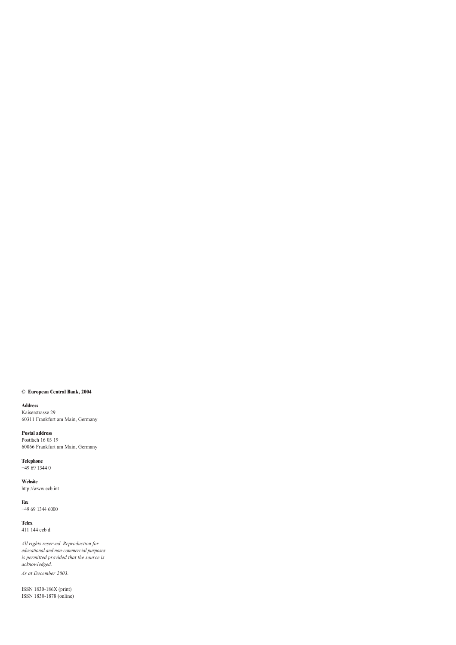### **© European Central Bank, 2004**

**Address** Kaiserstrasse 29 60311 Frankfurt am Main, Germany

**Postal address** Postfach 16 03 19 60066 Frankfurt am Main, Germany

**Telephone** +49 69 1344 0

**Website** http://www.ecb.int

**Fax** +49 69 1344 6000

**Telex** 411 144 ecb d

*All rights reserved. Reproduction for educational and non-commercial purposes is permitted provided that the source is acknowledged. As at December 2003.*

ISSN 1830-186X (print) ISSN 1830-1878 (online)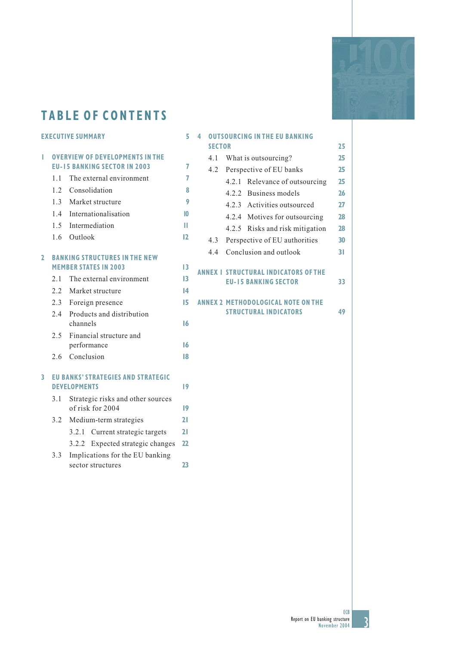

# **TABLE OF CONTENTS**

## **EXECUTIVE SUMMARY**

| <b>I</b> OVERVIEW OF DEVELOPMENTS IN THE |   |
|------------------------------------------|---|
| <b>EU-15 BANKING SECTOR IN 2003</b>      | 7 |
| 1.1 The external environment             | 7 |

- 1.2 Consolidation **8**
- 1.3 Market structure **9**
- 1.4 Internationalisation **10**
- 1.5 Intermediation **11**
- 1.6 Outlook **12**

## **2 BANKING STRUCTURES IN THE NEW MEMBER STATES IN 2003** 13

- 2.1 The external environment **13** 2.2 Market structure **14**
- 2.3 Foreign presence **15**
- 2.4 Products and distribution channels **16** 2.5 Financial structure and
- performance **16** 2.6 Conclusion **18**
- **3 EU BANKS' STRATEGIES AND STRATEGIC DEVELOPMENTS 19**
	- 3.1 Strategic risks and other sources of risk for 2004 **19** 3.2 Medium-term strategies **21** 3.2.1 Current strategic targets **21** 3.2.2 Expected strategic changes **22** 3.3 Implications for the EU banking sector structures **23**

## **4 OUTSOURCING IN THE EU BANKING** SECTOR 25

| 4.1 | What is outsourcing?    |                                                                            |    |  |  |  |  |
|-----|-------------------------|----------------------------------------------------------------------------|----|--|--|--|--|
| 4.2 | Perspective of EU banks |                                                                            |    |  |  |  |  |
|     |                         | 4.2.1 Relevance of outsourcing                                             | 25 |  |  |  |  |
|     |                         | 4.2.2 Business models                                                      | 26 |  |  |  |  |
|     |                         | 4.2.3 Activities outsourced                                                | 27 |  |  |  |  |
|     |                         | 4.2.4 Motives for outsourcing                                              | 28 |  |  |  |  |
|     |                         | 4.2.5 Risks and risk mitigation                                            | 28 |  |  |  |  |
| 4.3 |                         | Perspective of EU authorities                                              | 30 |  |  |  |  |
| 4.4 |                         | Conclusion and outlook                                                     | 31 |  |  |  |  |
|     |                         | <b>ANNEX I STRUCTURAL INDICATORS OF THE</b><br><b>EU-15 BANKING SECTOR</b> | 33 |  |  |  |  |
|     |                         | <b>ANNEX 2 METHODOLOGICAL NOTE ON THE</b><br><b>STRUCTURAL INDICATORS</b>  | 49 |  |  |  |  |
|     |                         |                                                                            |    |  |  |  |  |

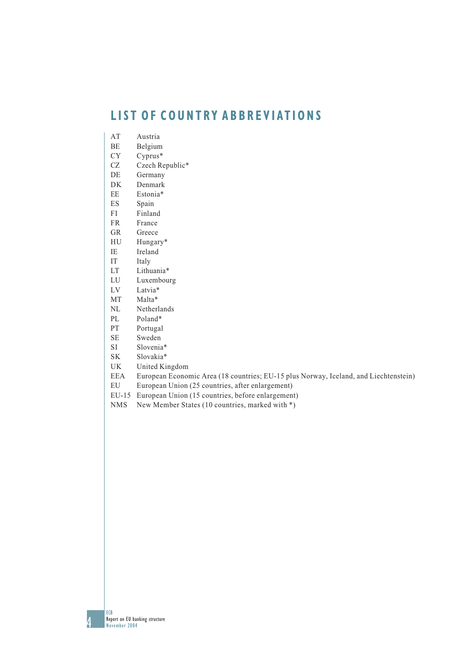# **LIST OF COUNTRY ABBREVIATIONS**

- AT Austria
- BE Belgium
- CY Cyprus\*
- CZ Czech Republic\*
- DE Germany
- DK Denmark
- EE Estonia\*
- ES Spain
- FI Finland
- FR France
- GR Greece
- HU Hungary\*
- IE Ireland
- IT Italy
- LT Lithuania\*
- LU Luxembourg
- LV Latvia\*
- MT Malta\*
- NL Netherlands
- PL Poland\*
- PT Portugal
- SE Sweden
- SI Slovenia\*
- SK Slovakia\*
- UK United Kingdom
- EEA European Economic Area (18 countries; EU-15 plus Norway, Iceland, and Liechtenstein)
- EU European Union (25 countries, after enlargement)
- EU-15 European Union (15 countries, before enlargement)
- NMS New Member States (10 countries, marked with \*)

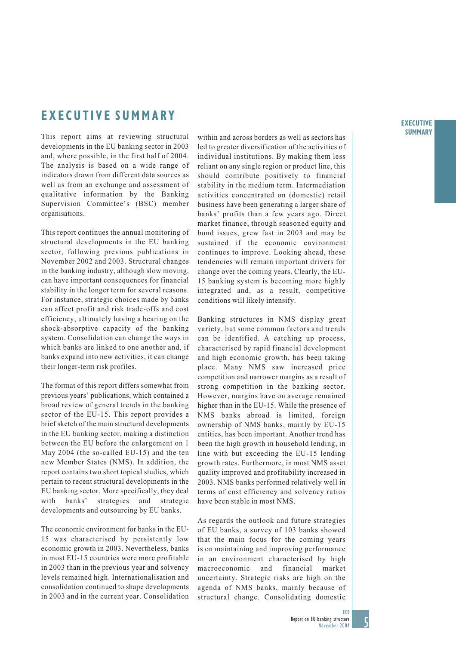#### **EXECUTIVE SUMMARY**

# **EXECUTIVE SUMMARY**

This report aims at reviewing structural developments in the EU banking sector in 2003 and, where possible, in the first half of 2004. The analysis is based on a wide range of indicators drawn from different data sources as well as from an exchange and assessment of qualitative information by the Banking Supervision Committee's (BSC) member organisations.

This report continues the annual monitoring of structural developments in the EU banking sector, following previous publications in November 2002 and 2003. Structural changes in the banking industry, although slow moving, can have important consequences for financial stability in the longer term for several reasons. For instance, strategic choices made by banks can affect profit and risk trade-offs and cost efficiency, ultimately having a bearing on the shock-absorptive capacity of the banking system. Consolidation can change the ways in which banks are linked to one another and, if banks expand into new activities, it can change their longer-term risk profiles.

The format of this report differs somewhat from previous years' publications, which contained a broad review of general trends in the banking sector of the EU-15. This report provides a brief sketch of the main structural developments in the EU banking sector, making a distinction between the EU before the enlargement on 1 May 2004 (the so-called EU-15) and the ten new Member States (NMS). In addition, the report contains two short topical studies, which pertain to recent structural developments in the EU banking sector. More specifically, they deal with banks' strategies and strategic developments and outsourcing by EU banks.

The economic environment for banks in the EU-15 was characterised by persistently low economic growth in 2003. Nevertheless, banks in most EU-15 countries were more profitable in 2003 than in the previous year and solvency levels remained high. Internationalisation and consolidation continued to shape developments in 2003 and in the current year. Consolidation

within and across borders as well as sectors has led to greater diversification of the activities of individual institutions. By making them less reliant on any single region or product line, this should contribute positively to financial stability in the medium term. Intermediation activities concentrated on (domestic) retail business have been generating a larger share of banks' profits than a few years ago. Direct market finance, through seasoned equity and bond issues, grew fast in 2003 and may be sustained if the economic environment continues to improve. Looking ahead, these tendencies will remain important drivers for change over the coming years. Clearly, the EU-15 banking system is becoming more highly integrated and, as a result, competitive conditions will likely intensify.

Banking structures in NMS display great variety, but some common factors and trends can be identified. A catching up process, characterised by rapid financial development and high economic growth, has been taking place. Many NMS saw increased price competition and narrower margins as a result of strong competition in the banking sector. However, margins have on average remained higher than in the EU-15. While the presence of NMS banks abroad is limited, foreign ownership of NMS banks, mainly by EU-15 entities, has been important. Another trend has been the high growth in household lending, in line with but exceeding the EU-15 lending growth rates. Furthermore, in most NMS asset quality improved and profitability increased in 2003. NMS banks performed relatively well in terms of cost efficiency and solvency ratios have been stable in most NMS.

As regards the outlook and future strategies of EU banks, a survey of 103 banks showed that the main focus for the coming years is on maintaining and improving performance in an environment characterised by high macroeconomic and financial market uncertainty. Strategic risks are high on the agenda of NMS banks, mainly because of structural change. Consolidating domestic

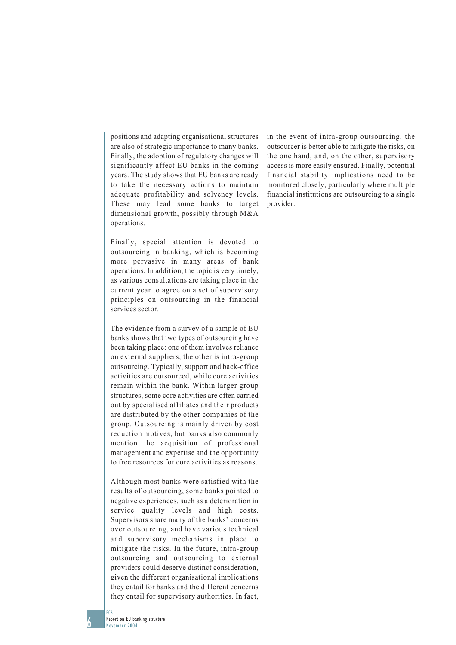positions and adapting organisational structures are also of strategic importance to many banks. Finally, the adoption of regulatory changes will significantly affect EU banks in the coming years. The study shows that EU banks are ready to take the necessary actions to maintain adequate profitability and solvency levels. These may lead some banks to target dimensional growth, possibly through M&A operations.

Finally, special attention is devoted to outsourcing in banking, which is becoming more pervasive in many areas of bank operations. In addition, the topic is very timely, as various consultations are taking place in the current year to agree on a set of supervisory principles on outsourcing in the financial services sector.

The evidence from a survey of a sample of EU banks shows that two types of outsourcing have been taking place: one of them involves reliance on external suppliers, the other is intra-group outsourcing. Typically, support and back-office activities are outsourced, while core activities remain within the bank. Within larger group structures, some core activities are often carried out by specialised affiliates and their products are distributed by the other companies of the group. Outsourcing is mainly driven by cost reduction motives, but banks also commonly mention the acquisition of professional management and expertise and the opportunity to free resources for core activities as reasons.

Although most banks were satisfied with the results of outsourcing, some banks pointed to negative experiences, such as a deterioration in service quality levels and high costs. Supervisors share many of the banks' concerns over outsourcing, and have various technical and supervisory mechanisms in place to mitigate the risks. In the future, intra-group outsourcing and outsourcing to external providers could deserve distinct consideration, given the different organisational implications they entail for banks and the different concerns they entail for supervisory authorities. In fact,

in the event of intra-group outsourcing, the outsourcer is better able to mitigate the risks, on the one hand, and, on the other, supervisory access is more easily ensured. Finally, potential financial stability implications need to be monitored closely, particularly where multiple financial institutions are outsourcing to a single provider.

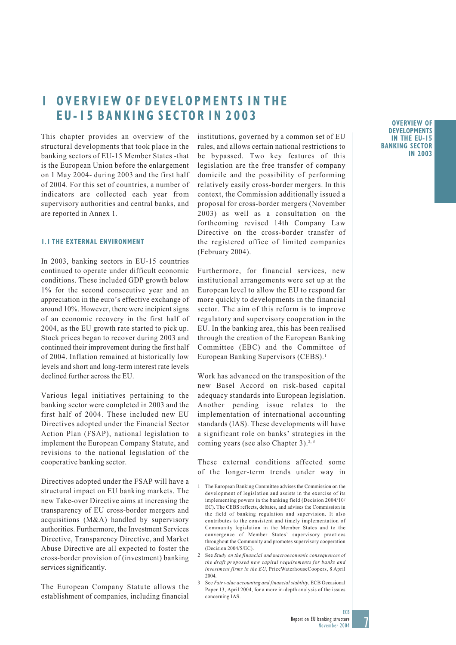# **1 OVERVIEW OF DEVELOPMENTS IN THE EU-15 BANKING SECTOR IN 2003**

This chapter provides an overview of the structural developments that took place in the banking sectors of EU-15 Member States -that is the European Union before the enlargement on 1 May 2004- during 2003 and the first half of 2004. For this set of countries, a number of indicators are collected each year from supervisory authorities and central banks, and are reported in Annex 1.

### **1.1 THE EXTERNAL ENVIRONMENT**

In 2003, banking sectors in EU-15 countries continued to operate under difficult economic conditions. These included GDP growth below 1% for the second consecutive year and an appreciation in the euro's effective exchange of around 10%. However, there were incipient signs of an economic recovery in the first half of 2004, as the EU growth rate started to pick up. Stock prices began to recover during 2003 and continued their improvement during the first half of 2004. Inflation remained at historically low levels and short and long-term interest rate levels declined further across the EU.

Various legal initiatives pertaining to the banking sector were completed in 2003 and the first half of 2004. These included new EU Directives adopted under the Financial Sector Action Plan (FSAP), national legislation to implement the European Company Statute, and revisions to the national legislation of the cooperative banking sector.

Directives adopted under the FSAP will have a structural impact on EU banking markets. The new Take-over Directive aims at increasing the transparency of EU cross-border mergers and acquisitions (M&A) handled by supervisory authorities. Furthermore, the Investment Services Directive, Transparency Directive, and Market Abuse Directive are all expected to foster the cross-border provision of (investment) banking services significantly.

The European Company Statute allows the establishment of companies, including financial

institutions, governed by a common set of EU rules, and allows certain national restrictions to be bypassed. Two key features of this legislation are the free transfer of company domicile and the possibility of performing relatively easily cross-border mergers. In this context, the Commission additionally issued a proposal for cross-border mergers (November 2003) as well as a consultation on the forthcoming revised 14th Company Law Directive on the cross-border transfer of the registered office of limited companies (February 2004).

Furthermore, for financial services, new institutional arrangements were set up at the European level to allow the EU to respond far more quickly to developments in the financial sector. The aim of this reform is to improve regulatory and supervisory cooperation in the EU. In the banking area, this has been realised through the creation of the European Banking Committee (EBC) and the Committee of European Banking Supervisors (CEBS).<sup>1</sup>

Work has advanced on the transposition of the new Basel Accord on risk-based capital adequacy standards into European legislation. Another pending issue relates to the implementation of international accounting standards (IAS). These developments will have a significant role on banks' strategies in the coming years (see also Chapter 3).<sup>2, 3</sup>

These external conditions affected some of the longer-term trends under way in

### **OVERVIEW OF DEVELOPMENTS IN THE EU-15 BANKING SECTOR IN 2003**



<sup>1</sup> The European Banking Committee advises the Commission on the development of legislation and assists in the exercise of its implementing powers in the banking field (Decision 2004/10/ EC). The CEBS reflects, debates, and advises the Commission in the field of banking regulation and supervision. It also contributes to the consistent and timely implementation of Community legislation in the Member States and to the convergence of Member States' supervisory practices throughout the Community and promotes supervisory cooperation (Decision 2004/5/EC).

<sup>2</sup> See *Study on the financial and macroeconomic consequences of the draft proposed new capital requirements for banks and investment firms in the EU*, PriceWaterhouseCoopers, 8 April 2004.

<sup>3</sup> See *Fair value accounting and financial stability*, ECB Occasional Paper 13, April 2004, for a more in-depth analysis of the issues concerning IAS.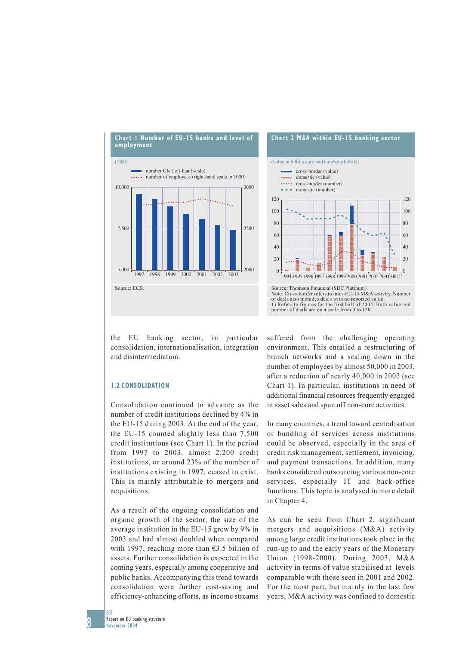

the EU banking sector, in particular consolidation, internationalisation, integration and disintermediation.

### **1.2 CONSOLIDATION**

Consolidation continued to advance as the number of credit institutions declined by 4% in the EU-15 during 2003. At the end of the year, the EU-15 counted slightly less than 7,500 credit institutions (see Chart 1). In the period from 1997 to 2003, almost 2,200 credit institutions, or around 23% of the number of institutions existing in 1997, ceased to exist. This is mainly attributable to mergers and acquisitions.

As a result of the ongoing consolidation and organic growth of the sector, the size of the average institution in the EU-15 grew by 9% in 2003 and had almost doubled when compared with 1997, reaching more than €3.5 billion of assets. Further consolidation is expected in the coming years, especially among cooperative and public banks. Accompanying this trend towards consolidation were further cost-saving and efficiency-enhancing efforts, as income streams



suffered from the challenging operating environment. This entailed a restructuring of branch networks and a scaling down in the number of employees by almost 50,000 in 2003, after a reduction of nearly 40,000 in 2002 (see Chart 1). In particular, institutions in need of additional financial resources frequently engaged in asset sales and spun off non-core activities.

In many countries, a trend toward centralisation or bundling of services across institutions could be observed, especially in the area of credit risk management, settlement, invoicing, and payment transactions. In addition, many banks considered outsourcing various non-core services, especially IT and back-office functions. This topic is analysed in more detail in Chapter 4.

As can be seen from Chart 2, significant mergers and acquisitions (M&A) activity among large credit institutions took place in the run-up to and the early years of the Monetary Union (1998-2000). During 2003, M&A activity in terms of value stabilised at levels comparable with those seen in 2001 and 2002. For the most part, but mainly in the last few years, M&A activity was confined to domestic

ECB c

Report on EU banking structure November 2004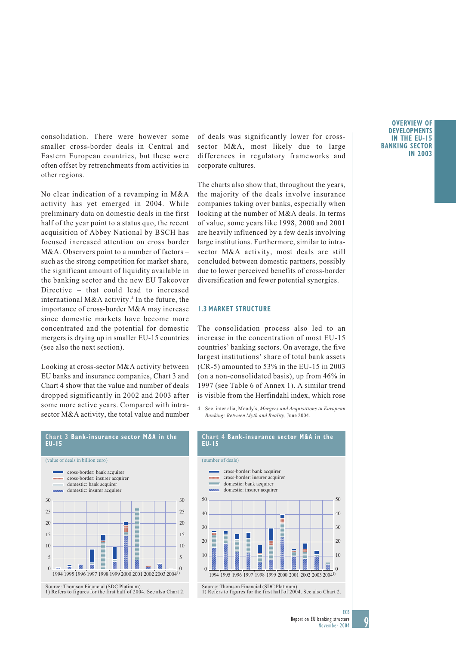consolidation. There were however some smaller cross-border deals in Central and Eastern European countries, but these were often offset by retrenchments from activities in other regions.

No clear indication of a revamping in M&A activity has yet emerged in 2004. While preliminary data on domestic deals in the first half of the year point to a status quo, the recent acquisition of Abbey National by BSCH has focused increased attention on cross border M&A. Observers point to a number of factors – such as the strong competition for market share, the significant amount of liquidity available in the banking sector and the new EU Takeover Directive – that could lead to increased international M&A activity.4 In the future, the importance of cross-border M&A may increase since domestic markets have become more concentrated and the potential for domestic mergers is drying up in smaller EU-15 countries (see also the next section).

Looking at cross-sector M&A activity between EU banks and insurance companies, Chart 3 and Chart 4 show that the value and number of deals dropped significantly in 2002 and 2003 after some more active years. Compared with intrasector M&A activity, the total value and number

of deals was significantly lower for crosssector M&A, most likely due to large differences in regulatory frameworks and corporate cultures.

The charts also show that, throughout the years, the majority of the deals involve insurance companies taking over banks, especially when looking at the number of M&A deals. In terms of value, some years like 1998, 2000 and 2001 are heavily influenced by a few deals involving large institutions. Furthermore, similar to intrasector M&A activity, most deals are still concluded between domestic partners, possibly due to lower perceived benefits of cross-border diversification and fewer potential synergies.

#### **1.3 MARKET STRUCTURE**

The consolidation process also led to an increase in the concentration of most EU-15 countries' banking sectors. On average, the five largest institutions' share of total bank assets (CR-5) amounted to 53% in the EU-15 in 2003 (on a non-consolidated basis), up from 46% in 1997 (see Table 6 of Annex 1). A similar trend is visible from the Herfindahl index, which rose

4 See, inter alia, Moody's, *Mergers and Acquisitions in European Banking: Between Myth and Reality*, June 2004.





1) Refers to figures for the first half of 2004. See also Chart 2.

### **OVERVIEW OF DEVELOPMENTS IN THE EU-15 BANKING SECTOR IN 2003**

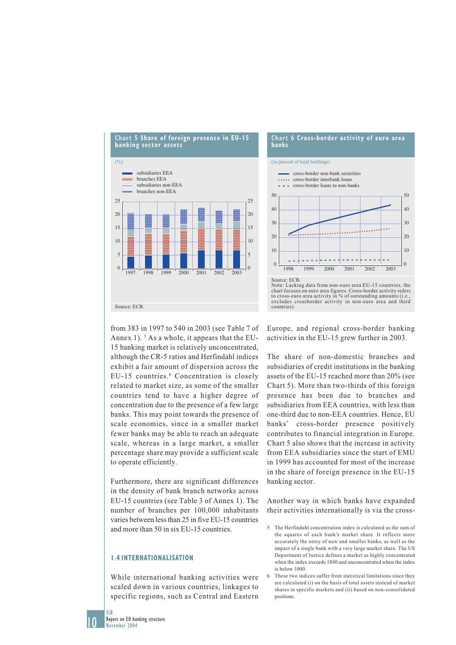

**Chart 6 Cross-border activity of euro area banks** (in percent of total holdings) Source: ECB. Note: Lacking data from non-euro area EU-15 countries, the chart focuses on euro area figures. Cross-border activity refers to cross-euro area activity in % of outstanding amounts excludes crossborder activity in non-euro area and third 0 10 20 30  $40$ 50 0  $10$ 20 30  $40^{\circ}$ 50 1998 1999 2000 2001 2002 2003 cross-border non-bank securities **.....** cross-border interbank loans - - cross-border loans to non-banks

from 383 in 1997 to 540 in 2003 (see Table 7 of Annex 1).<sup>5</sup> As a whole, it appears that the EU-15 banking market is relatively unconcentrated, although the CR-5 ratios and Herfindahl indices exhibit a fair amount of dispersion across the EU-15 countries.<sup>6</sup> Concentration is closely related to market size, as some of the smaller countries tend to have a higher degree of concentration due to the presence of a few large banks. This may point towards the presence of scale economies, since in a smaller market fewer banks may be able to reach an adequate scale, whereas in a large market, a smaller percentage share may provide a sufficient scale to operate efficiently.

Furthermore, there are significant differences in the density of bank branch networks across EU-15 countries (see Table 3 of Annex 1). The number of branches per 100,000 inhabitants varies between less than 25 in five EU-15 countries and more than 50 in six EU-15 countries.

### **1.4 INTERNATIONALISATION**

While international banking activities were scaled down in various countries, linkages to specific regions, such as Central and Eastern Europe, and regional cross-border banking activities in the EU-15 grew further in 2003.

countries).

The share of non-domestic branches and subsidiaries of credit institutions in the banking assets of the EU-15 reached more than 20% (see Chart 5). More than two-thirds of this foreign presence has been due to branches and subsidiaries from EEA countries, with less than one-third due to non-EEA countries. Hence, EU banks' cross-border presence positively contributes to financial integration in Europe. Chart 5 also shows that the increase in activity from EEA subsidiaries since the start of EMU in 1999 has accounted for most of the increase in the share of foreign presence in the EU-15 banking sector.

Another way in which banks have expanded their activities internationally is via the cross-

10 **FCB** 

<sup>5</sup> The Herfindahl concentration index is calculated as the sum of the squares of each bank's market share. It reflects more accurately the entry of new and smaller banks, as well as the impact of a single bank with a very large market share. The US Department of Justice defines a market as highly concentrated when the index exceeds 1800 and unconcentrated when the index is below 1000.

<sup>6</sup> These two indices suffer from statistical limitations since they are calculated (i) on the basis of total assets instead of market shares in specific markets and (ii) based on non-consolidated positions.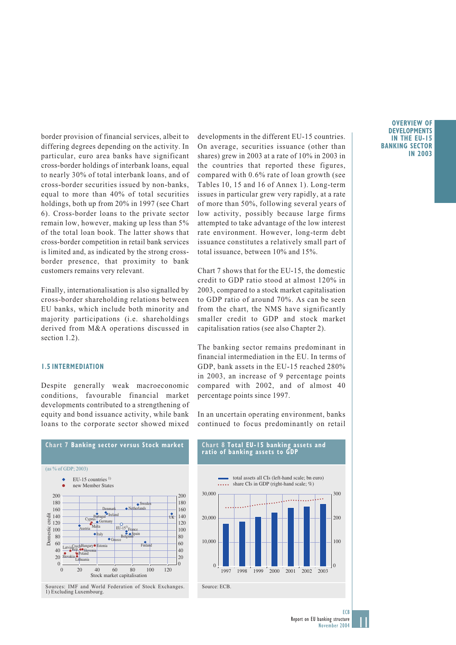border provision of financial services, albeit to differing degrees depending on the activity. In particular, euro area banks have significant cross-border holdings of interbank loans, equal to nearly 30% of total interbank loans, and of cross-border securities issued by non-banks, equal to more than 40% of total securities holdings, both up from 20% in 1997 (see Chart 6). Cross-border loans to the private sector remain low, however, making up less than 5% of the total loan book. The latter shows that cross-border competition in retail bank services is limited and, as indicated by the strong crossborder presence, that proximity to bank customers remains very relevant.

Finally, internationalisation is also signalled by cross-border shareholding relations between EU banks, which include both minority and majority participations (i.e. shareholdings derived from M&A operations discussed in section 1.2).

### **1.5 INTERMEDIATION**

Despite generally weak macroeconomic conditions, favourable financial market developments contributed to a strengthening of equity and bond issuance activity, while bank loans to the corporate sector showed mixed

developments in the different EU-15 countries. On average, securities issuance (other than shares) grew in 2003 at a rate of 10% in 2003 in the countries that reported these figures, compared with 0.6% rate of loan growth (see Tables 10, 15 and 16 of Annex 1). Long-term issues in particular grew very rapidly, at a rate of more than 50%, following several years of low activity, possibly because large firms attempted to take advantage of the low interest rate environment. However, long-term debt issuance constitutes a relatively small part of total issuance, between 10% and 15%.

Chart 7 shows that for the EU-15, the domestic credit to GDP ratio stood at almost 120% in 2003, compared to a stock market capitalisation to GDP ratio of around 70%. As can be seen from the chart, the NMS have significantly smaller credit to GDP and stock market capitalisation ratios (see also Chapter 2).

The banking sector remains predominant in financial intermediation in the EU. In terms of GDP, bank assets in the EU-15 reached 280% in 2003, an increase of 9 percentage points compared with 2002, and of almost 40 percentage points since 1997.

In an uncertain operating environment, banks continued to focus predominantly on retail



### **Chart 8 Total EU-15 banking assets and ratio of banking assets to GDP**



### **OVERVIEW OF DEVELOPMENTS IN THE EU-15 BANKING SECTOR IN 2003**

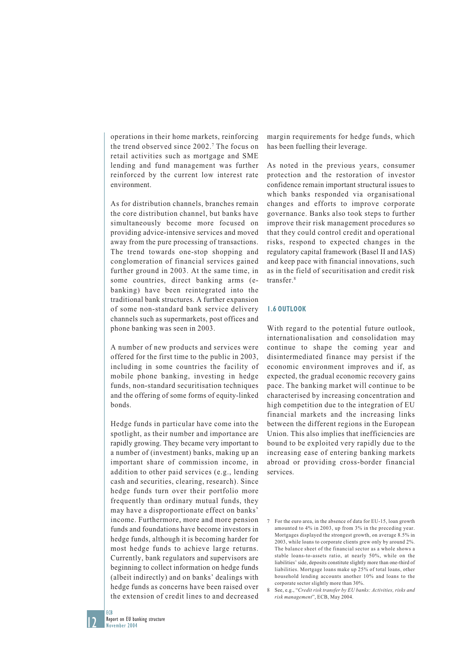operations in their home markets, reinforcing the trend observed since 2002.7 The focus on retail activities such as mortgage and SME lending and fund management was further reinforced by the current low interest rate environment.

As for distribution channels, branches remain the core distribution channel, but banks have simultaneously become more focused on providing advice-intensive services and moved away from the pure processing of transactions. The trend towards one-stop shopping and conglomeration of financial services gained further ground in 2003. At the same time, in some countries, direct banking arms (ebanking) have been reintegrated into the traditional bank structures. A further expansion of some non-standard bank service delivery channels such as supermarkets, post offices and phone banking was seen in 2003.

A number of new products and services were offered for the first time to the public in 2003, including in some countries the facility of mobile phone banking, investing in hedge funds, non-standard securitisation techniques and the offering of some forms of equity-linked bonds.

Hedge funds in particular have come into the spotlight, as their number and importance are rapidly growing. They became very important to a number of (investment) banks, making up an important share of commission income, in addition to other paid services (e.g., lending cash and securities, clearing, research). Since hedge funds turn over their portfolio more frequently than ordinary mutual funds, they may have a disproportionate effect on banks' income. Furthermore, more and more pension funds and foundations have become investors in hedge funds, although it is becoming harder for most hedge funds to achieve large returns. Currently, bank regulators and supervisors are beginning to collect information on hedge funds (albeit indirectly) and on banks' dealings with hedge funds as concerns have been raised over the extension of credit lines to and decreased

margin requirements for hedge funds, which has been fuelling their leverage.

As noted in the previous years, consumer protection and the restoration of investor confidence remain important structural issues to which banks responded via organisational changes and efforts to improve corporate governance. Banks also took steps to further improve their risk management procedures so that they could control credit and operational risks, respond to expected changes in the regulatory capital framework (Basel II and IAS) and keep pace with financial innovations, such as in the field of securitisation and credit risk transfer.8

### **1.6 OUTLOOK**

With regard to the potential future outlook, internationalisation and consolidation may continue to shape the coming year and disintermediated finance may persist if the economic environment improves and if, as expected, the gradual economic recovery gains pace. The banking market will continue to be characterised by increasing concentration and high competition due to the integration of EU financial markets and the increasing links between the different regions in the European Union. This also implies that inefficiencies are bound to be exploited very rapidly due to the increasing ease of entering banking markets abroad or providing cross-border financial services.

12

**FCB** 

<sup>7</sup> For the euro area, in the absence of data for EU-15, loan growth amounted to 4% in 2003, up from 3% in the preceding year. Mortgages displayed the strongest growth, on average 8.5% in 2003, while loans to corporate clients grew only by around 2%. The balance sheet of the financial sector as a whole shows a stable loans-to-assets ratio, at nearly 50%, while on the liabilities' side, deposits constitute slightly more than one-third of liabilities. Mortgage loans make up 25% of total loans, other household lending accounts another 10% and loans to the corporate sector slightly more than 30%.

<sup>8</sup> See, e.g., "*Credit risk transfer by EU banks: Activities, risks and risk management*", ECB, May 2004.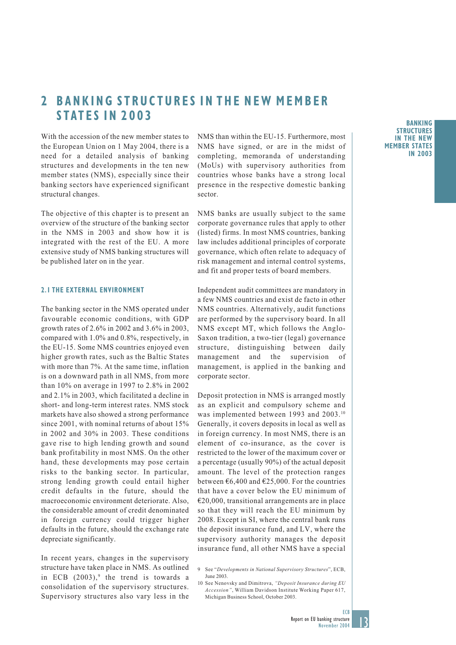# **2 BANKING STRUCTURES IN THE NEW MEMBER STATES IN 2003**

With the accession of the new member states to the European Union on 1 May 2004, there is a need for a detailed analysis of banking structures and developments in the ten new member states (NMS), especially since their banking sectors have experienced significant structural changes.

The objective of this chapter is to present an overview of the structure of the banking sector in the NMS in 2003 and show how it is integrated with the rest of the EU. A more extensive study of NMS banking structures will be published later on in the year.

### **2.1 THE EXTERNAL ENVIRONMENT**

The banking sector in the NMS operated under favourable economic conditions, with GDP growth rates of 2.6% in 2002 and 3.6% in 2003, compared with 1.0% and 0.8%, respectively, in the EU-15. Some NMS countries enjoyed even higher growth rates, such as the Baltic States with more than 7%. At the same time, inflation is on a downward path in all NMS, from more than 10% on average in 1997 to 2.8% in 2002 and 2.1% in 2003, which facilitated a decline in short- and long-term interest rates. NMS stock markets have also showed a strong performance since 2001, with nominal returns of about 15% in 2002 and 30% in 2003. These conditions gave rise to high lending growth and sound bank profitability in most NMS. On the other hand, these developments may pose certain risks to the banking sector. In particular, strong lending growth could entail higher credit defaults in the future, should the macroeconomic environment deteriorate. Also, the considerable amount of credit denominated in foreign currency could trigger higher defaults in the future, should the exchange rate depreciate significantly.

In recent years, changes in the supervisory structure have taken place in NMS. As outlined in ECB  $(2003)$ ,<sup>9</sup> the trend is towards a consolidation of the supervisory structures. Supervisory structures also vary less in the NMS than within the EU-15. Furthermore, most NMS have signed, or are in the midst of completing, memoranda of understanding (MoUs) with supervisory authorities from countries whose banks have a strong local presence in the respective domestic banking sector.

NMS banks are usually subject to the same corporate governance rules that apply to other (listed) firms. In most NMS countries, banking law includes additional principles of corporate governance, which often relate to adequacy of risk management and internal control systems, and fit and proper tests of board members.

Independent audit committees are mandatory in a few NMS countries and exist de facto in other NMS countries. Alternatively, audit functions are performed by the supervisory board. In all NMS except MT, which follows the Anglo-Saxon tradition, a two-tier (legal) governance structure, distinguishing between daily management and the supervision of management, is applied in the banking and corporate sector.

Deposit protection in NMS is arranged mostly as an explicit and compulsory scheme and was implemented between 1993 and 2003.<sup>10</sup> Generally, it covers deposits in local as well as in foreign currency. In most NMS, there is an element of co-insurance, as the cover is restricted to the lower of the maximum cover or a percentage (usually 90%) of the actual deposit amount. The level of the protection ranges between  $\epsilon$ 6,400 and  $\epsilon$ 25,000. For the countries that have a cover below the EU minimum of  $€20,000$ , transitional arrangements are in place so that they will reach the EU minimum by 2008. Except in SI, where the central bank runs the deposit insurance fund, and LV, where the supervisory authority manages the deposit insurance fund, all other NMS have a special



<sup>9</sup> See "*Developments in National Supervisory Structures*", ECB, June 2003.

<sup>10</sup> See Nenovsky and Dimitrova, *"Deposit Insurance during EU Accession"*, William Davidson Institute Working Paper 617, Michigan Business School, October 2003.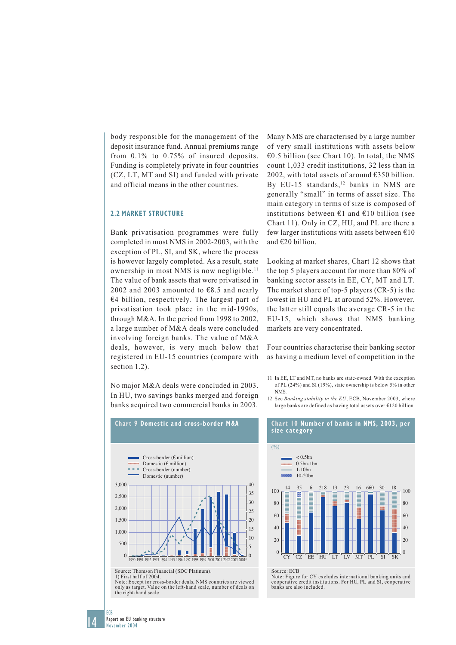body responsible for the management of the deposit insurance fund. Annual premiums range from 0.1% to 0.75% of insured deposits. Funding is completely private in four countries (CZ, LT, MT and SI) and funded with private and official means in the other countries.

### **2.2 MARKET STRUCTURE**

Bank privatisation programmes were fully completed in most NMS in 2002-2003, with the exception of PL, SI, and SK, where the process is however largely completed. As a result, state ownership in most NMS is now negligible.11 The value of bank assets that were privatised in 2002 and 2003 amounted to  $\epsilon$ 8.5 and nearly €4 billion, respectively. The largest part of privatisation took place in the mid-1990s, through M&A. In the period from 1998 to 2002, a large number of M&A deals were concluded involving foreign banks. The value of M&A deals, however, is very much below that registered in EU-15 countries (compare with section 1.2).

No major M&A deals were concluded in 2003. In HU, two savings banks merged and foreign banks acquired two commercial banks in 2003.



Source: Thomson Financial (SDC Platinum). 1) First half of 2004.

Note: Except for cross-border deals, NMS countries are viewed only as target. Value on the left-hand scale, number of deals on the right-hand scale.

Many NMS are characterised by a large number of very small institutions with assets below €0.5 billion (see Chart 10). In total, the NMS count 1,033 credit institutions, 32 less than in 2002, with total assets of around €350 billion. By EU-15 standards, $12$  banks in NMS are generally "small" in terms of asset size. The main category in terms of size is composed of institutions between  $\epsilon$ 1 and  $\epsilon$ 10 billion (see Chart 11). Only in CZ, HU, and PL are there a few larger institutions with assets between  $\epsilon$ 10 and €20 billion.

Looking at market shares, Chart 12 shows that the top 5 players account for more than 80% of banking sector assets in EE, CY, MT and LT. The market share of top-5 players (CR-5) is the lowest in HU and PL at around 52%. However, the latter still equals the average CR-5 in the EU-15, which shows that NMS banking markets are very concentrated.

Four countries characterise their banking sector as having a medium level of competition in the

- 11 In EE, LT and MT, no banks are state-owned. With the exception of PL (24%) and SI (19%), state ownership is below 5% in other NMS.
- 12 See *Banking stability in the EU*, ECB, November 2003, where large banks are defined as having total assets over €120 billion.



Source: ECB.

Note: Figure for CY excludes international banking units and cooperative credit institutions. For HU, PL and SI, cooperative banks are also included.

14

ECB c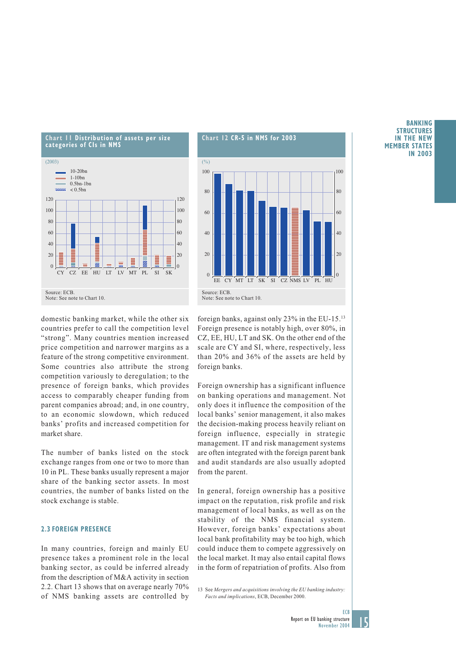

domestic banking market, while the other six countries prefer to call the competition level "strong". Many countries mention increased price competition and narrower margins as a feature of the strong competitive environment. Some countries also attribute the strong competition variously to deregulation; to the presence of foreign banks, which provides access to comparably cheaper funding from parent companies abroad; and, in one country, to an economic slowdown, which reduced banks' profits and increased competition for market share.

The number of banks listed on the stock exchange ranges from one or two to more than 10 in PL. These banks usually represent a major share of the banking sector assets. In most countries, the number of banks listed on the stock exchange is stable.

### **2.3 FOREIGN PRESENCE**

In many countries, foreign and mainly EU presence takes a prominent role in the local banking sector, as could be inferred already from the description of M&A activity in section 2.2. Chart 13 shows that on average nearly 70% of NMS banking assets are controlled by



foreign banks, against only 23% in the EU-15.13 Foreign presence is notably high, over 80%, in CZ, EE, HU, LT and SK. On the other end of the scale are CY and SI, where, respectively, less than 20% and 36% of the assets are held by foreign banks.

Foreign ownership has a significant influence on banking operations and management. Not only does it influence the composition of the local banks' senior management, it also makes the decision-making process heavily reliant on foreign influence, especially in strategic management. IT and risk management systems are often integrated with the foreign parent bank and audit standards are also usually adopted from the parent.

In general, foreign ownership has a positive impact on the reputation, risk profile and risk management of local banks, as well as on the stability of the NMS financial system. However, foreign banks' expectations about local bank profitability may be too high, which could induce them to compete aggressively on the local market. It may also entail capital flows in the form of repatriation of profits. Also from

13 See *Mergers and acquisitions involving the EU banking industry: Facts and implications*, ECB, December 2000.

### **BANKING STRUCTURES IN THE NEW MEMBER STATES IN 2003**

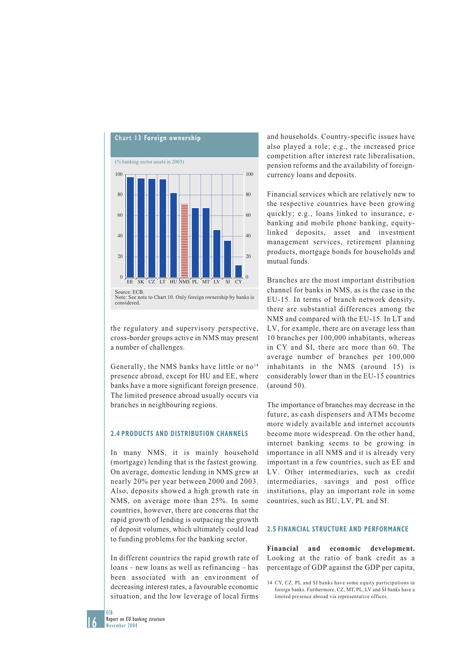

the regulatory and supervisory perspective, cross-border groups active in NMS may present a number of challenges.

Generally, the NMS banks have little or no<sup>14</sup> presence abroad, except for HU and EE, where banks have a more significant foreign presence. The limited presence abroad usually occurs via branches in neighbouring regions.

### **2.4 PRODUCTS AND DISTRIBUTION CHANNELS**

In many NMS, it is mainly household (mortgage) lending that is the fastest growing. On average, domestic lending in NMS grew at nearly 20% per year between 2000 and 2003. Also, deposits showed a high growth rate in NMS, on average more than 25%. In some countries, however, there are concerns that the rapid growth of lending is outpacing the growth of deposit volumes, which ultimately could lead to funding problems for the banking sector.

In different countries the rapid growth rate of loans – new loans as well as refinancing – has been associated with an environment of decreasing interest rates, a favourable economic situation, and the low leverage of local firms

and households. Country-specific issues have also played a role; e.g., the increased price competition after interest rate liberalisation, pension reforms and the availability of foreigncurrency loans and deposits.

Financial services which are relatively new to the respective countries have been growing quickly; e.g., loans linked to insurance, ebanking and mobile phone banking, equitylinked deposits, asset and investment management services, retirement planning products, mortgage bonds for households and mutual funds.

Branches are the most important distribution channel for banks in NMS, as is the case in the EU-15. In terms of branch network density, there are substantial differences among the NMS and compared with the EU-15. In LT and LV, for example, there are on average less than 10 branches per 100,000 inhabitants, whereas in CY and SI, there are more than 60. The average number of branches per 100,000 inhabitants in the NMS (around 15) is considerably lower than in the EU-15 countries (around 50).

The importance of branches may decrease in the future, as cash dispensers and ATMs become more widely available and internet accounts become more widespread. On the other hand, internet banking seems to be growing in importance in all NMS and it is already very important in a few countries, such as EE and LV. Other intermediaries, such as credit intermediaries, savings and post office institutions, play an important role in some countries, such as HU, LV, PL and SI.

#### **2.5 FINANCIAL STRUCTURE AND PERFORMANCE**

**Financial and economic development.** Looking at the ratio of bank credit as a percentage of GDP against the GDP per capita,

16

**FCB** 

<sup>14</sup> CY, CZ, PL and SI banks have some equity participations in foreign banks. Furthermore, CZ, MT, PL, LV and SI banks have a limited presence abroad via representative offices.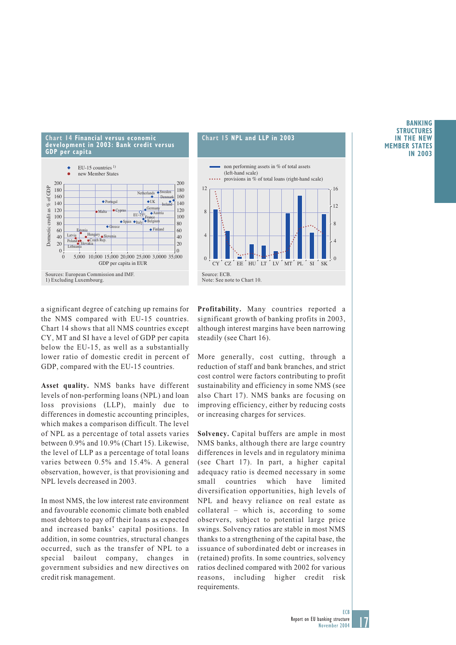

### **Chart 15 NPL and LLP in 2003**



a significant degree of catching up remains for the NMS compared with EU-15 countries. Chart 14 shows that all NMS countries except CY, MT and SI have a level of GDP per capita below the EU-15, as well as a substantially lower ratio of domestic credit in percent of GDP, compared with the EU-15 countries.

**Asset quality.** NMS banks have different levels of non-performing loans (NPL) and loan loss provisions (LLP), mainly due to differences in domestic accounting principles, which makes a comparison difficult. The level of NPL as a percentage of total assets varies between 0.9% and 10.9% (Chart 15). Likewise, the level of LLP as a percentage of total loans varies between 0.5% and 15.4%. A general observation, however, is that provisioning and NPL levels decreased in 2003.

In most NMS, the low interest rate environment and favourable economic climate both enabled most debtors to pay off their loans as expected and increased banks' capital positions. In addition, in some countries, structural changes occurred, such as the transfer of NPL to a special bailout company, changes in government subsidies and new directives on credit risk management.

**Profitability.** Many countries reported a significant growth of banking profits in 2003, although interest margins have been narrowing steadily (see Chart 16).

More generally, cost cutting, through a reduction of staff and bank branches, and strict cost control were factors contributing to profit sustainability and efficiency in some NMS (see also Chart 17). NMS banks are focusing on improving efficiency, either by reducing costs or increasing charges for services.

**Solvency.** Capital buffers are ample in most NMS banks, although there are large country differences in levels and in regulatory minima (see Chart 17). In part, a higher capital adequacy ratio is deemed necessary in some small countries which have limited diversification opportunities, high levels of NPL and heavy reliance on real estate as collateral – which is, according to some observers, subject to potential large price swings. Solvency ratios are stable in most NMS thanks to a strengthening of the capital base, the issuance of subordinated debt or increases in (retained) profits. In some countries, solvency ratios declined compared with 2002 for various reasons, including higher credit risk requirements.

### **BANKING STRUCTURES IN THE NEW MEMBER STATES IN 2003**

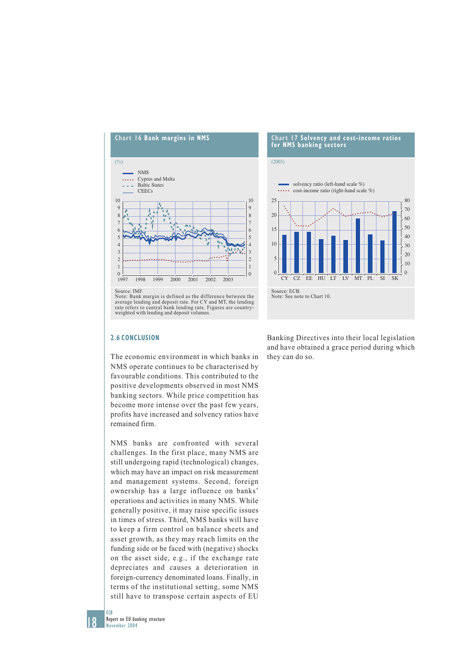

average lending and deposit rate. For CY and MT, the lending rate refers to central bank lending rate. Figures are countryweighted with lending and deposit volumes.

### **2.6 CONCLUSION**

The economic environment in which banks in NMS operate continues to be characterised by favourable conditions. This contributed to the positive developments observed in most NMS banking sectors. While price competition has become more intense over the past few years, profits have increased and solvency ratios have remained firm.

NMS banks are confronted with several challenges. In the first place, many NMS are still undergoing rapid (technological) changes, which may have an impact on risk measurement and management systems. Second, foreign ownership has a large influence on banks' operations and activities in many NMS. While generally positive, it may raise specific issues in times of stress. Third, NMS banks will have to keep a firm control on balance sheets and asset growth, as they may reach limits on the funding side or be faced with (negative) shocks on the asset side, e.g., if the exchange rate depreciates and causes a deterioration in foreign-currency denominated loans. Finally, in terms of the institutional setting, some NMS still have to transpose certain aspects of EU



Banking Directives into their local legislation and have obtained a grace period during which they can do so.

18

**FCB**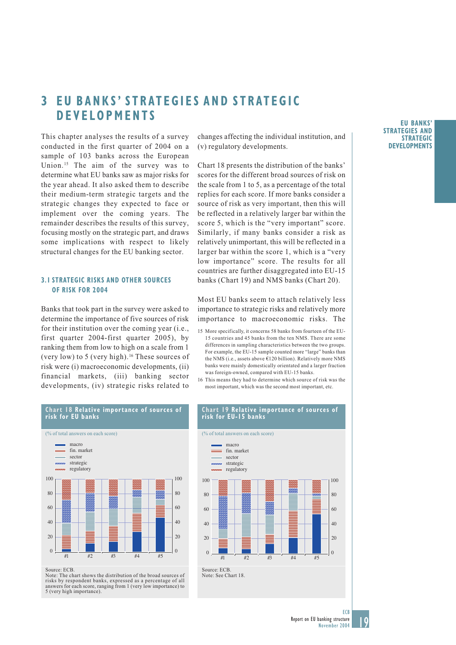# **3 EU BANKS' STRATEGIES AND STRATEGIC DEVELOPMENTS**

This chapter analyses the results of a survey conducted in the first quarter of 2004 on a sample of 103 banks across the European Union.<sup>15</sup> The aim of the survey was to determine what EU banks saw as major risks for the year ahead. It also asked them to describe their medium-term strategic targets and the strategic changes they expected to face or implement over the coming years. The remainder describes the results of this survey, focusing mostly on the strategic part, and draws some implications with respect to likely structural changes for the EU banking sector.

### **3.1 STRATEGIC RISKS AND OTHER SOURCES OF RISK FOR 2004**

Banks that took part in the survey were asked to determine the importance of five sources of risk for their institution over the coming year (i.e., first quarter 2004-first quarter 2005), by ranking them from low to high on a scale from 1 (very low) to 5 (very high).<sup>16</sup> These sources of risk were (i) macroeconomic developments, (ii) financial markets, (iii) banking sector developments, (iv) strategic risks related to

**Chart 18 Relative importance of sources of**

changes affecting the individual institution, and (v) regulatory developments.

Chart 18 presents the distribution of the banks' scores for the different broad sources of risk on the scale from 1 to 5, as a percentage of the total replies for each score. If more banks consider a source of risk as very important, then this will be reflected in a relatively larger bar within the score 5, which is the "very important" score. Similarly, if many banks consider a risk as relatively unimportant, this will be reflected in a larger bar within the score 1, which is a "very low importance" score. The results for all countries are further disaggregated into EU-15 banks (Chart 19) and NMS banks (Chart 20).

Most EU banks seem to attach relatively less importance to strategic risks and relatively more importance to macroeconomic risks. The

- 15 More specifically, it concerns 58 banks from fourteen of the EU-15 countries and 45 banks from the ten NMS. There are some differences in sampling characteristics between the two groups. For example, the EU-15 sample counted more "large" banks than the NMS (i.e., assets above €120 billion). Relatively more NMS banks were mainly domestically orientated and a larger fraction was foreign-owned, compared with EU-15 banks.
- 16 This means they had to determine which source of risk was the most important, which was the second most important, etc.



Source: ECB.

Note: The chart shows the distribution of the broad sources of risks by respondent banks, expressed as a percentage of all answers for each score, ranging from 1 (very low importance) to 5 (very high importance).

#### **Chart 19 Relative importance of sources of risk for EU-15 banks**



#### **EU BANKS' STRATEGIES AND STRATEGIC DEVELOPMENTS**

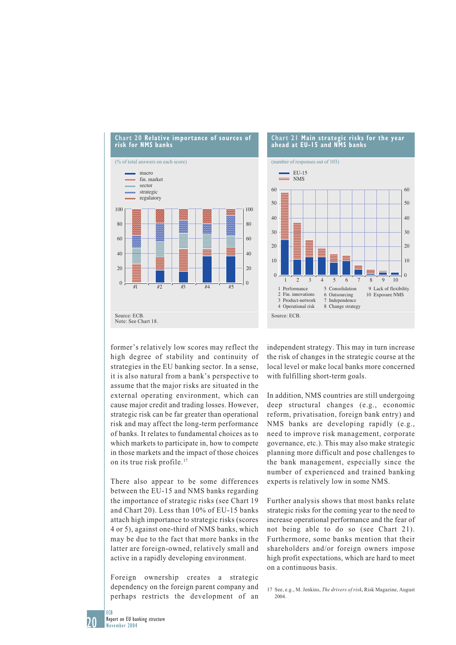



former's relatively low scores may reflect the high degree of stability and continuity of strategies in the EU banking sector. In a sense, it is also natural from a bank's perspective to assume that the major risks are situated in the external operating environment, which can cause major credit and trading losses. However, strategic risk can be far greater than operational risk and may affect the long-term performance of banks. It relates to fundamental choices as to which markets to participate in, how to compete in those markets and the impact of those choices on its true risk profile.17

There also appear to be some differences between the EU-15 and NMS banks regarding the importance of strategic risks (see Chart 19 and Chart 20). Less than 10% of EU-15 banks attach high importance to strategic risks (scores 4 or 5), against one-third of NMS banks, which may be due to the fact that more banks in the latter are foreign-owned, relatively small and active in a rapidly developing environment.

Foreign ownership creates a strategic dependency on the foreign parent company and perhaps restricts the development of an

independent strategy. This may in turn increase the risk of changes in the strategic course at the local level or make local banks more concerned with fulfilling short-term goals.

In addition, NMS countries are still undergoing deep structural changes (e.g., economic reform, privatisation, foreign bank entry) and NMS banks are developing rapidly (e.g., need to improve risk management, corporate governance, etc.). This may also make strategic planning more difficult and pose challenges to the bank management, especially since the number of experienced and trained banking experts is relatively low in some NMS.

Further analysis shows that most banks relate strategic risks for the coming year to the need to increase operational performance and the fear of not being able to do so (see Chart 21). Furthermore, some banks mention that their shareholders and/or foreign owners impose high profit expectations, which are hard to meet on a continuous basis.

20

**FCB** 

<sup>17</sup> See, e.g., M. Jenkins, *The drivers of risk*, Risk Magazine, August 2004.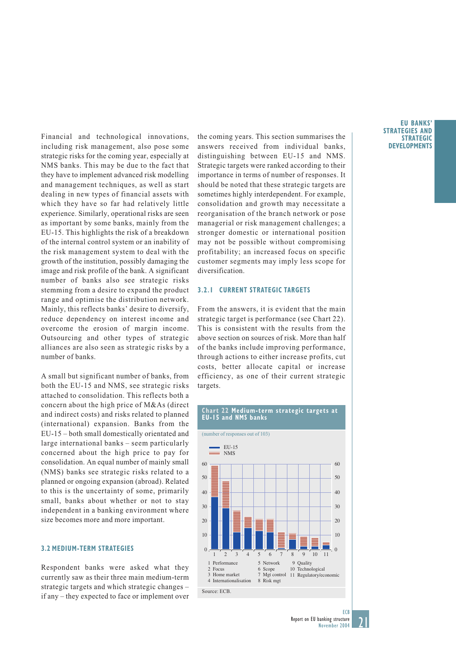Financial and technological innovations, including risk management, also pose some strategic risks for the coming year, especially at NMS banks. This may be due to the fact that they have to implement advanced risk modelling and management techniques, as well as start dealing in new types of financial assets with which they have so far had relatively little experience. Similarly, operational risks are seen as important by some banks, mainly from the EU-15. This highlights the risk of a breakdown of the internal control system or an inability of the risk management system to deal with the growth of the institution, possibly damaging the image and risk profile of the bank. A significant number of banks also see strategic risks stemming from a desire to expand the product range and optimise the distribution network. Mainly, this reflects banks' desire to diversify, reduce dependency on interest income and overcome the erosion of margin income. Outsourcing and other types of strategic alliances are also seen as strategic risks by a number of banks.

A small but significant number of banks, from both the EU-15 and NMS, see strategic risks attached to consolidation. This reflects both a concern about the high price of M&As (direct and indirect costs) and risks related to planned (international) expansion. Banks from the EU-15 – both small domestically orientated and large international banks – seem particularly concerned about the high price to pay for consolidation. An equal number of mainly small (NMS) banks see strategic risks related to a planned or ongoing expansion (abroad). Related to this is the uncertainty of some, primarily small, banks about whether or not to stay independent in a banking environment where size becomes more and more important.

### **3.2 MEDIUM-TERM STRATEGIES**

Respondent banks were asked what they currently saw as their three main medium-term strategic targets and which strategic changes – if any – they expected to face or implement over

the coming years. This section summarises the answers received from individual banks, distinguishing between EU-15 and NMS. Strategic targets were ranked according to their importance in terms of number of responses. It should be noted that these strategic targets are sometimes highly interdependent. For example, consolidation and growth may necessitate a reorganisation of the branch network or pose managerial or risk management challenges; a stronger domestic or international position may not be possible without compromising profitability; an increased focus on specific customer segments may imply less scope for diversification.

## **3.2.1 CURRENT STRATEGIC TARGETS**

From the answers, it is evident that the main strategic target is performance (see Chart 22). This is consistent with the results from the above section on sources of risk. More than half of the banks include improving performance, through actions to either increase profits, cut costs, better allocate capital or increase efficiency, as one of their current strategic targets.



#### **EU BANKS' STRATEGIES AND STRATEGIC DEVELOPMENTS**

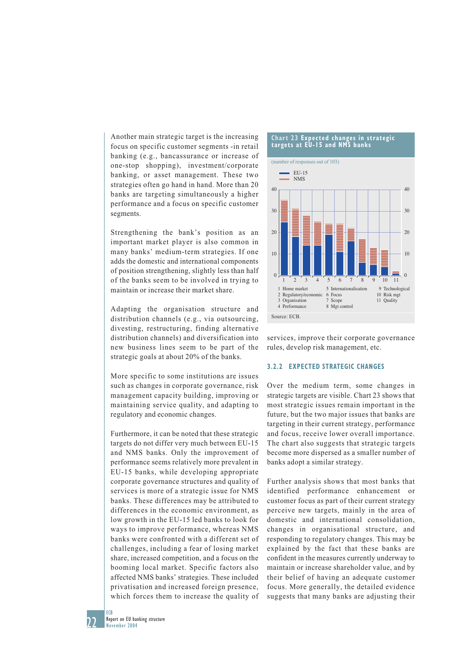Another main strategic target is the increasing focus on specific customer segments -in retail banking (e.g., bancassurance or increase of one-stop shopping), investment/corporate banking, or asset management. These two strategies often go hand in hand. More than 20 banks are targeting simultaneously a higher performance and a focus on specific customer segments.

Strengthening the bank's position as an important market player is also common in many banks' medium-term strategies. If one adds the domestic and international components of position strengthening, slightly less than half of the banks seem to be involved in trying to maintain or increase their market share.

Adapting the organisation structure and distribution channels (e.g., via outsourcing, divesting, restructuring, finding alternative distribution channels) and diversification into new business lines seem to be part of the strategic goals at about 20% of the banks.

More specific to some institutions are issues such as changes in corporate governance, risk management capacity building, improving or maintaining service quality, and adapting to regulatory and economic changes.

Furthermore, it can be noted that these strategic targets do not differ very much between EU-15 and NMS banks. Only the improvement of performance seems relatively more prevalent in EU-15 banks, while developing appropriate corporate governance structures and quality of services is more of a strategic issue for NMS banks. These differences may be attributed to differences in the economic environment, as low growth in the EU-15 led banks to look for ways to improve performance, whereas NMS banks were confronted with a different set of challenges, including a fear of losing market share, increased competition, and a focus on the booming local market. Specific factors also affected NMS banks' strategies. These included privatisation and increased foreign presence, which forces them to increase the quality of

#### **Chart 23 Expected changes in strategic targets at EU-15 and NMS banks**



services, improve their corporate governance rules, develop risk management, etc.

### **3.2.2 EXPECTED STRATEGIC CHANGES**

Over the medium term, some changes in strategic targets are visible. Chart 23 shows that most strategic issues remain important in the future, but the two major issues that banks are targeting in their current strategy, performance and focus, receive lower overall importance. The chart also suggests that strategic targets become more dispersed as a smaller number of banks adopt a similar strategy.

Further analysis shows that most banks that identified performance enhancement or customer focus as part of their current strategy perceive new targets, mainly in the area of domestic and international consolidation, changes in organisational structure, and responding to regulatory changes. This may be explained by the fact that these banks are confident in the measures currently underway to maintain or increase shareholder value, and by their belief of having an adequate customer focus. More generally, the detailed evidence suggests that many banks are adjusting their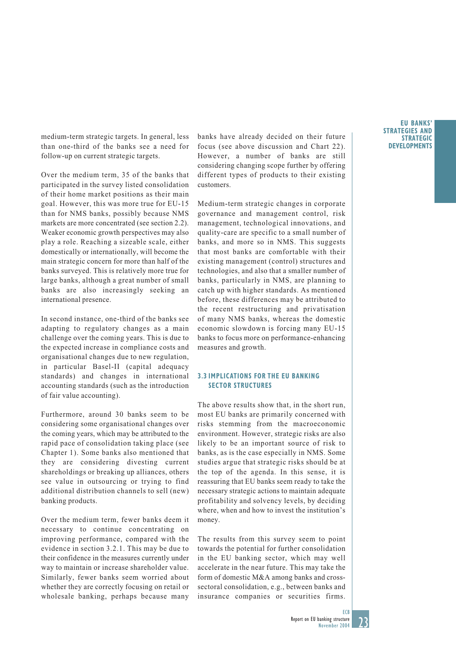medium-term strategic targets. In general, less than one-third of the banks see a need for follow-up on current strategic targets.

Over the medium term, 35 of the banks that participated in the survey listed consolidation of their home market positions as their main goal. However, this was more true for EU-15 than for NMS banks, possibly because NMS markets are more concentrated (see section 2.2). Weaker economic growth perspectives may also play a role. Reaching a sizeable scale, either domestically or internationally, will become the main strategic concern for more than half of the banks surveyed. This is relatively more true for large banks, although a great number of small banks are also increasingly seeking an international presence.

In second instance, one-third of the banks see adapting to regulatory changes as a main challenge over the coming years. This is due to the expected increase in compliance costs and organisational changes due to new regulation, in particular Basel-II (capital adequacy standards) and changes in international accounting standards (such as the introduction of fair value accounting).

Furthermore, around 30 banks seem to be considering some organisational changes over the coming years, which may be attributed to the rapid pace of consolidation taking place (see Chapter 1). Some banks also mentioned that they are considering divesting current shareholdings or breaking up alliances, others see value in outsourcing or trying to find additional distribution channels to sell (new) banking products.

Over the medium term, fewer banks deem it necessary to continue concentrating on improving performance, compared with the evidence in section 3.2.1. This may be due to their confidence in the measures currently under way to maintain or increase shareholder value. Similarly, fewer banks seem worried about whether they are correctly focusing on retail or wholesale banking, perhaps because many

banks have already decided on their future focus (see above discussion and Chart 22). However, a number of banks are still considering changing scope further by offering different types of products to their existing customers.

Medium-term strategic changes in corporate governance and management control, risk management, technological innovations, and quality-care are specific to a small number of banks, and more so in NMS. This suggests that most banks are comfortable with their existing management (control) structures and technologies, and also that a smaller number of banks, particularly in NMS, are planning to catch up with higher standards. As mentioned before, these differences may be attributed to the recent restructuring and privatisation of many NMS banks, whereas the domestic economic slowdown is forcing many EU-15 banks to focus more on performance-enhancing measures and growth.

## **3.3 IMPLICATIONS FOR THE EU BANKING SECTOR STRUCTURES**

The above results show that, in the short run, most EU banks are primarily concerned with risks stemming from the macroeconomic environment. However, strategic risks are also likely to be an important source of risk to banks, as is the case especially in NMS. Some studies argue that strategic risks should be at the top of the agenda. In this sense, it is reassuring that EU banks seem ready to take the necessary strategic actions to maintain adequate profitability and solvency levels, by deciding where, when and how to invest the institution's money.

The results from this survey seem to point towards the potential for further consolidation in the EU banking sector, which may well accelerate in the near future. This may take the form of domestic M&A among banks and crosssectoral consolidation, e.g., between banks and insurance companies or securities firms.

#### **EU BANKS' STRATEGIES AND STRATEGIC DEVELOPMENTS**

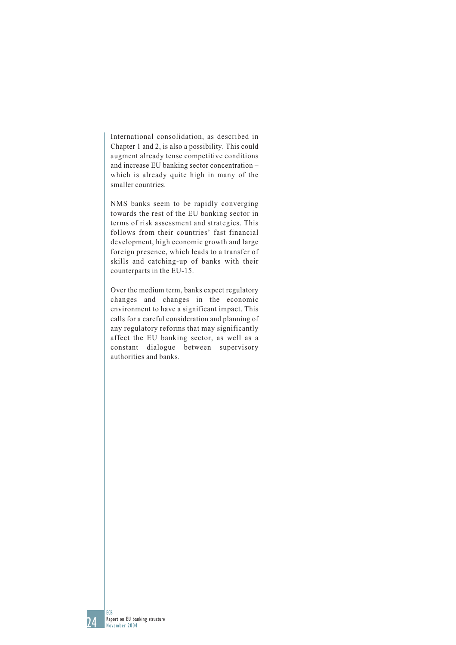International consolidation, as described in Chapter 1 and 2, is also a possibility. This could augment already tense competitive conditions and increase EU banking sector concentration – which is already quite high in many of the smaller countries.

NMS banks seem to be rapidly converging towards the rest of the EU banking sector in terms of risk assessment and strategies. This follows from their countries' fast financial development, high economic growth and large foreign presence, which leads to a transfer of skills and catching-up of banks with their counterparts in the EU-15.

Over the medium term, banks expect regulatory changes and changes in the economic environment to have a significant impact. This calls for a careful consideration and planning of any regulatory reforms that may significantly affect the EU banking sector, as well as a constant dialogue between supervisory authorities and banks.

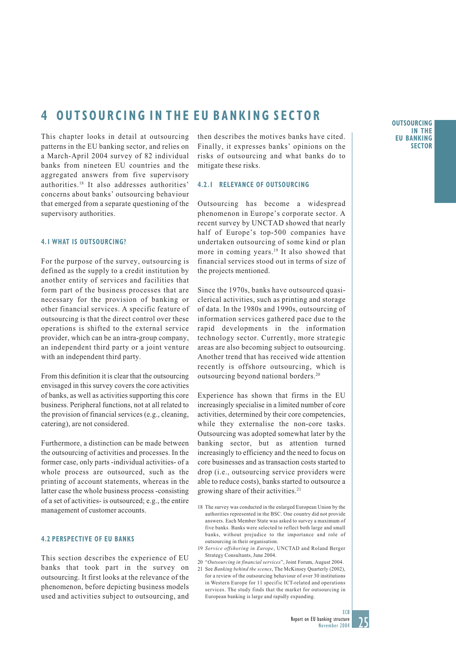# **4 OUTSOURCING IN THE EU BANKING SECTOR**

This chapter looks in detail at outsourcing patterns in the EU banking sector, and relies on a March-April 2004 survey of 82 individual banks from nineteen EU countries and the aggregated answers from five supervisory authorities.18 It also addresses authorities' concerns about banks' outsourcing behaviour that emerged from a separate questioning of the supervisory authorities.

### **4.1 WHAT IS OUTSOURCING?**

For the purpose of the survey, outsourcing is defined as the supply to a credit institution by another entity of services and facilities that form part of the business processes that are necessary for the provision of banking or other financial services. A specific feature of outsourcing is that the direct control over these operations is shifted to the external service provider, which can be an intra-group company, an independent third party or a joint venture with an independent third party.

From this definition it is clear that the outsourcing envisaged in this survey covers the core activities of banks, as well as activities supporting this core business. Peripheral functions, not at all related to the provision of financial services (e.g., cleaning, catering), are not considered.

Furthermore, a distinction can be made between the outsourcing of activities and processes. In the former case, only parts -individual activities- of a whole process are outsourced, such as the printing of account statements, whereas in the latter case the whole business process -consisting of a set of activities- is outsourced; e.g., the entire management of customer accounts.

### **4.2 PERSPECTIVE OF EU BANKS**

This section describes the experience of EU banks that took part in the survey on outsourcing. It first looks at the relevance of the phenomenon, before depicting business models used and activities subject to outsourcing, and then describes the motives banks have cited. Finally, it expresses banks' opinions on the risks of outsourcing and what banks do to mitigate these risks.

### **4.2.1 RELEVANCE OF OUTSOURCING**

Outsourcing has become a widespread phenomenon in Europe's corporate sector. A recent survey by UNCTAD showed that nearly half of Europe's top-500 companies have undertaken outsourcing of some kind or plan more in coming years.<sup>19</sup> It also showed that financial services stood out in terms of size of the projects mentioned.

Since the 1970s, banks have outsourced quasiclerical activities, such as printing and storage of data. In the 1980s and 1990s, outsourcing of information services gathered pace due to the rapid developments in the information technology sector. Currently, more strategic areas are also becoming subject to outsourcing. Another trend that has received wide attention recently is offshore outsourcing, which is outsourcing beyond national borders.20

Experience has shown that firms in the EU increasingly specialise in a limited number of core activities, determined by their core competencies, while they externalise the non-core tasks. Outsourcing was adopted somewhat later by the banking sector, but as attention turned increasingly to efficiency and the need to focus on core businesses and as transaction costs started to drop (i.e., outsourcing service providers were able to reduce costs), banks started to outsource a growing share of their activities.<sup>21</sup>

- 18 The survey was conducted in the enlarged European Union by the authorities represented in the BSC. One country did not provide answers. Each Member State was asked to survey a maximum of five banks. Banks were selected to reflect both large and small banks, without prejudice to the importance and role of outsourcing in their organisation.
- 19 *Service offshoring in Europe*, UNCTAD and Roland Berger Strategy Consultants, June 2004.
- 20 "*Outsourcing in financial services*", Joint Forum, August 2004. 21 See *Banking behind the scenes*, The McKinsey Quarterly (2002), for a review of the outsourcing behaviour of over 30 institutions in Western Europe for 11 specific ICT-related and operations services. The study finds that the market for outsourcing in European banking is large and rapidly expanding.

**OUTSOURCING IN THE EU BANKING SECTOR**

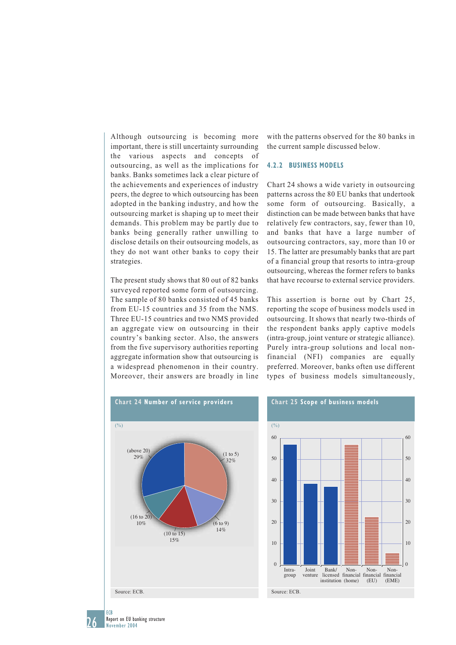Although outsourcing is becoming more important, there is still uncertainty surrounding the various aspects and concepts of outsourcing, as well as the implications for banks. Banks sometimes lack a clear picture of the achievements and experiences of industry peers, the degree to which outsourcing has been adopted in the banking industry, and how the outsourcing market is shaping up to meet their demands. This problem may be partly due to banks being generally rather unwilling to disclose details on their outsourcing models, as they do not want other banks to copy their strategies.

The present study shows that 80 out of 82 banks surveyed reported some form of outsourcing. The sample of 80 banks consisted of 45 banks from EU-15 countries and 35 from the NMS. Three EU-15 countries and two NMS provided an aggregate view on outsourcing in their country's banking sector. Also, the answers from the five supervisory authorities reporting aggregate information show that outsourcing is a widespread phenomenon in their country. Moreover, their answers are broadly in line

with the patterns observed for the 80 banks in the current sample discussed below.

### **4.2.2 BUSINESS MODELS**

Chart 24 shows a wide variety in outsourcing patterns across the 80 EU banks that undertook some form of outsourcing. Basically, a distinction can be made between banks that have relatively few contractors, say, fewer than 10, and banks that have a large number of outsourcing contractors, say, more than 10 or 15. The latter are presumably banks that are part of a financial group that resorts to intra-group outsourcing, whereas the former refers to banks that have recourse to external service providers.

This assertion is borne out by Chart 25, reporting the scope of business models used in outsourcing. It shows that nearly two-thirds of the respondent banks apply captive models (intra-group, joint venture or strategic alliance). Purely intra-group solutions and local nonfinancial (NFI) companies are equally preferred. Moreover, banks often use different types of business models simultaneously,





Report on EU banking structure November 2004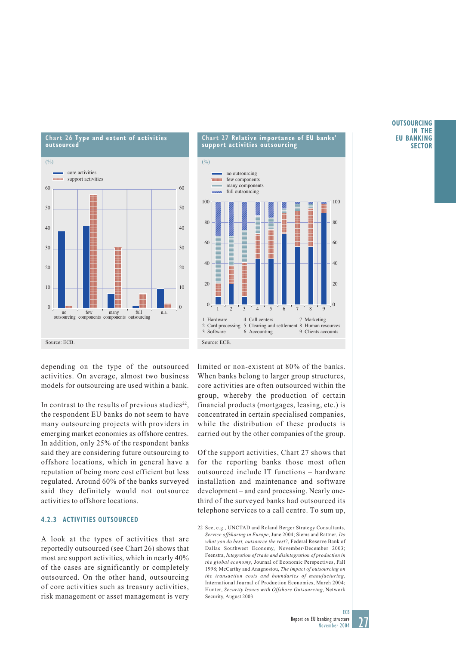

### **Chart 27 Relative importance of EU banks' support activities outsourcing**



depending on the type of the outsourced activities. On average, almost two business models for outsourcing are used within a bank.

In contrast to the results of previous studies<sup>22</sup>, the respondent EU banks do not seem to have many outsourcing projects with providers in emerging market economies as offshore centres. In addition, only 25% of the respondent banks said they are considering future outsourcing to offshore locations, which in general have a reputation of being more cost efficient but less regulated. Around 60% of the banks surveyed said they definitely would not outsource activities to offshore locations.

### **4.2.3 ACTIVITIES OUTSOURCED**

A look at the types of activities that are reportedly outsourced (see Chart 26) shows that most are support activities, which in nearly 40% of the cases are significantly or completely outsourced. On the other hand, outsourcing of core activities such as treasury activities, risk management or asset management is very

limited or non-existent at 80% of the banks. When banks belong to larger group structures. core activities are often outsourced within the group, whereby the production of certain financial products (mortgages, leasing, etc.) is concentrated in certain specialised companies, while the distribution of these products is carried out by the other companies of the group.

Of the support activities, Chart 27 shows that for the reporting banks those most often outsourced include IT functions – hardware installation and maintenance and software development – and card processing. Nearly onethird of the surveyed banks had outsourced its telephone services to a call centre. To sum up,

#### **OUTSOURCING IN THE EU BANKING SECTOR**



<sup>22</sup> See, e.g., UNCTAD and Roland Berger Strategy Consultants, *Service offshoring in Europe*, June 2004; Siems and Rattner, *Do what you do best, outsource the rest*?, Federal Reserve Bank of Dallas Southwest Economy, November/December 2003; Feenstra, *Integration of trade and disintegration of production in the global economy*, Journal of Economic Perspectives, Fall 1998; McCarthy and Anagnostou, *The impact of outsourcing on the transaction costs and boundaries of manufacturing*, International Journal of Production Economics, March 2004; Hunter, *Security Issues with Offshore Outsourcing*, Network Security, August 2003.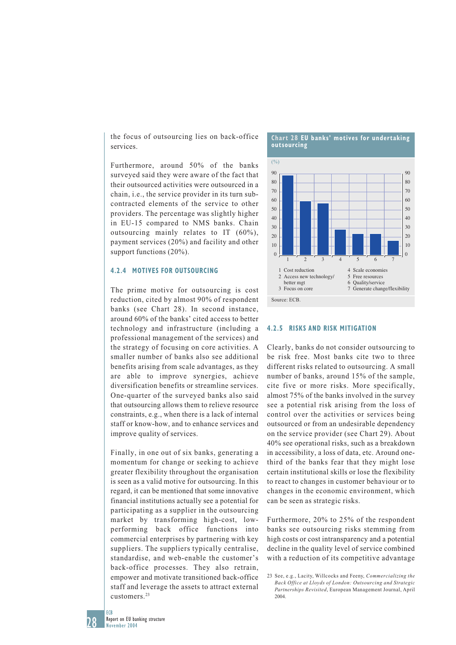the focus of outsourcing lies on back-office services.

Furthermore, around 50% of the banks surveyed said they were aware of the fact that their outsourced activities were outsourced in a chain, i.e., the service provider in its turn subcontracted elements of the service to other providers. The percentage was slightly higher in EU-15 compared to NMS banks. Chain outsourcing mainly relates to IT (60%), payment services (20%) and facility and other support functions (20%).

### **4.2.4 MOTIVES FOR OUTSOURCING**

The prime motive for outsourcing is cost reduction, cited by almost 90% of respondent banks (see Chart 28). In second instance, around 60% of the banks' cited access to better technology and infrastructure (including a professional management of the services) and the strategy of focusing on core activities. A smaller number of banks also see additional benefits arising from scale advantages, as they are able to improve synergies, achieve diversification benefits or streamline services. One-quarter of the surveyed banks also said that outsourcing allows them to relieve resource constraints, e.g., when there is a lack of internal staff or know-how, and to enhance services and improve quality of services.

Finally, in one out of six banks, generating a momentum for change or seeking to achieve greater flexibility throughout the organisation is seen as a valid motive for outsourcing. In this regard, it can be mentioned that some innovative financial institutions actually see a potential for participating as a supplier in the outsourcing market by transforming high-cost, lowperforming back office functions into commercial enterprises by partnering with key suppliers. The suppliers typically centralise, standardise, and web-enable the customer's back-office processes. They also retrain, empower and motivate transitioned back-office staff and leverage the assets to attract external customers.23





### **4.2.5 RISKS AND RISK MITIGATION**

Clearly, banks do not consider outsourcing to be risk free. Most banks cite two to three different risks related to outsourcing. A small number of banks, around 15% of the sample, cite five or more risks. More specifically, almost 75% of the banks involved in the survey see a potential risk arising from the loss of control over the activities or services being outsourced or from an undesirable dependency on the service provider (see Chart 29). About 40% see operational risks, such as a breakdown in accessibility, a loss of data, etc. Around onethird of the banks fear that they might lose certain institutional skills or lose the flexibility to react to changes in customer behaviour or to changes in the economic environment, which can be seen as strategic risks.

Furthermore, 20% to 25% of the respondent banks see outsourcing risks stemming from high costs or cost intransparency and a potential decline in the quality level of service combined with a reduction of its competitive advantage

ECR

28

<sup>23</sup> See, e.g., Lacity, Willcocks and Feeny, *Commercializing the Back Office at Lloyds of London: Outsourcing and Strategic Partnerships Revisited*, European Management Journal, April 2004.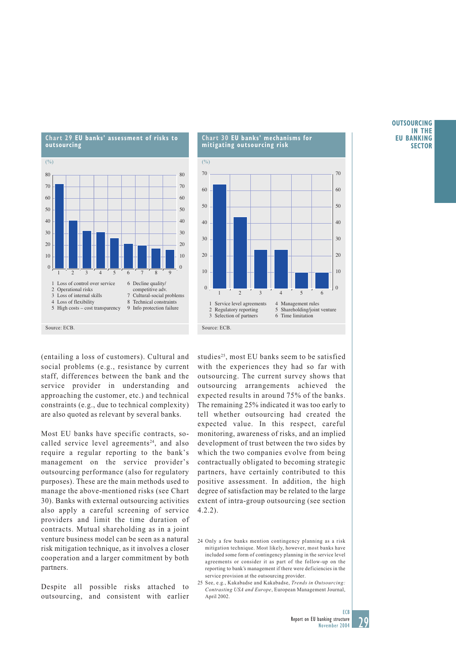

### **Chart 30 EU banks' mechanisms for mitigating outsourcing risk**



(entailing a loss of customers). Cultural and social problems (e.g., resistance by current staff, differences between the bank and the service provider in understanding and approaching the customer, etc.) and technical constraints (e.g., due to technical complexity) are also quoted as relevant by several banks.

Most EU banks have specific contracts, socalled service level agreements<sup>24</sup>, and also require a regular reporting to the bank's management on the service provider's outsourcing performance (also for regulatory purposes). These are the main methods used to manage the above-mentioned risks (see Chart 30). Banks with external outsourcing activities also apply a careful screening of service providers and limit the time duration of contracts. Mutual shareholding as in a joint venture business model can be seen as a natural risk mitigation technique, as it involves a closer cooperation and a larger commitment by both partners.

Despite all possible risks attached to outsourcing, and consistent with earlier

studies<sup>25</sup>, most EU banks seem to be satisfied with the experiences they had so far with outsourcing. The current survey shows that outsourcing arrangements achieved the expected results in around 75% of the banks. The remaining 25% indicated it was too early to tell whether outsourcing had created the expected value. In this respect, careful monitoring, awareness of risks, and an implied development of trust between the two sides by which the two companies evolve from being contractually obligated to becoming strategic partners, have certainly contributed to this positive assessment. In addition, the high degree of satisfaction may be related to the large extent of intra-group outsourcing (see section 4.2.2).

### **OUTSOURCING IN THE EU BANKING SECTOR**



<sup>24</sup> Only a few banks mention contingency planning as a risk mitigation technique. Most likely, however, most banks have included some form of contingency planning in the service level agreements or consider it as part of the follow-up on the reporting to bank's management if there were deficiencies in the service provision at the outsourcing provider.

<sup>25</sup> See, e.g., Kakabadse and Kakabadse, *Trends in Outsourcing: Contrasting USA and Europe*, European Management Journal, April 2002.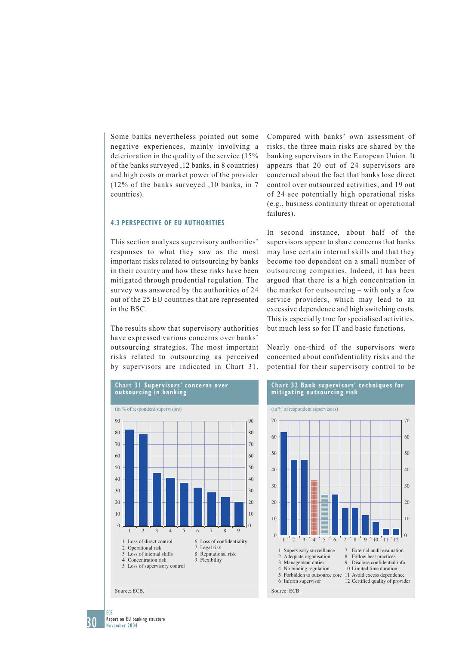Some banks nevertheless pointed out some negative experiences, mainly involving a deterioration in the quality of the service (15% of the banks surveyed ,12 banks, in 8 countries) and high costs or market power of the provider (12% of the banks surveyed ,10 banks, in 7 countries).

### **4.3 PERSPECTIVE OF EU AUTHORITIES**

This section analyses supervisory authorities' responses to what they saw as the most important risks related to outsourcing by banks in their country and how these risks have been mitigated through prudential regulation. The survey was answered by the authorities of 24 out of the 25 EU countries that are represented in the BSC.

The results show that supervisory authorities have expressed various concerns over banks' outsourcing strategies. The most important risks related to outsourcing as perceived by supervisors are indicated in Chart 31.



Compared with banks' own assessment of risks, the three main risks are shared by the banking supervisors in the European Union. It appears that 20 out of 24 supervisors are concerned about the fact that banks lose direct control over outsourced activities, and 19 out of 24 see potentially high operational risks (e.g., business continuity threat or operational failures).

In second instance, about half of the supervisors appear to share concerns that banks may lose certain internal skills and that they become too dependent on a small number of outsourcing companies. Indeed, it has been argued that there is a high concentration in the market for outsourcing – with only a few service providers, which may lead to an excessive dependence and high switching costs. This is especially true for specialised activities, but much less so for IT and basic functions.

Nearly one-third of the supervisors were concerned about confidentiality risks and the potential for their supervisory control to be



# 30 ECB c

Report on EU banking structure November 2004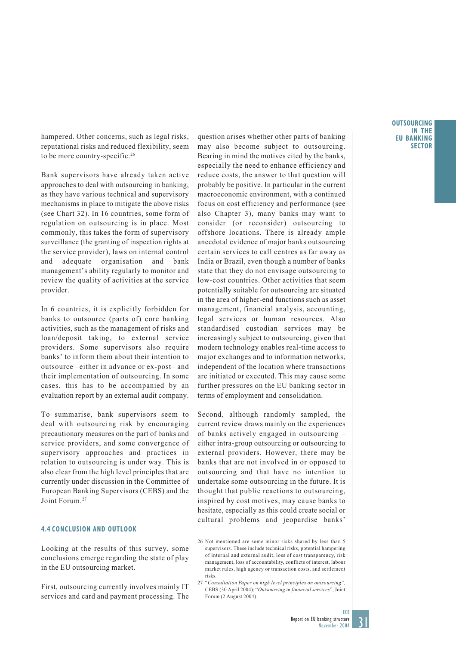hampered. Other concerns, such as legal risks, reputational risks and reduced flexibility, seem to be more country-specific.<sup>26</sup>

Bank supervisors have already taken active approaches to deal with outsourcing in banking, as they have various technical and supervisory mechanisms in place to mitigate the above risks (see Chart 32). In 16 countries, some form of regulation on outsourcing is in place. Most commonly, this takes the form of supervisory surveillance (the granting of inspection rights at the service provider), laws on internal control and adequate organisation and bank management's ability regularly to monitor and review the quality of activities at the service provider.

In 6 countries, it is explicitly forbidden for banks to outsource (parts of) core banking activities, such as the management of risks and loan/deposit taking, to external service providers. Some supervisors also require banks' to inform them about their intention to outsource –either in advance or ex-post– and their implementation of outsourcing. In some cases, this has to be accompanied by an evaluation report by an external audit company.

To summarise, bank supervisors seem to deal with outsourcing risk by encouraging precautionary measures on the part of banks and service providers, and some convergence of supervisory approaches and practices in relation to outsourcing is under way. This is also clear from the high level principles that are currently under discussion in the Committee of European Banking Supervisors (CEBS) and the Joint Forum.<sup>27</sup>

### **4.4 CONCLUSION AND OUTLOOK**

Looking at the results of this survey, some conclusions emerge regarding the state of play in the EU outsourcing market.

First, outsourcing currently involves mainly IT services and card and payment processing. The

question arises whether other parts of banking may also become subject to outsourcing. Bearing in mind the motives cited by the banks, especially the need to enhance efficiency and reduce costs, the answer to that question will probably be positive. In particular in the current macroeconomic environment, with a continued focus on cost efficiency and performance (see also Chapter 3), many banks may want to consider (or reconsider) outsourcing to offshore locations. There is already ample anecdotal evidence of major banks outsourcing certain services to call centres as far away as India or Brazil, even though a number of banks state that they do not envisage outsourcing to low-cost countries. Other activities that seem potentially suitable for outsourcing are situated in the area of higher-end functions such as asset management, financial analysis, accounting, legal services or human resources. Also standardised custodian services may be increasingly subject to outsourcing, given that modern technology enables real-time access to major exchanges and to information networks, independent of the location where transactions are initiated or executed. This may cause some further pressures on the EU banking sector in terms of employment and consolidation.

Second, although randomly sampled, the current review draws mainly on the experiences of banks actively engaged in outsourcing – either intra-group outsourcing or outsourcing to external providers. However, there may be banks that are not involved in or opposed to outsourcing and that have no intention to undertake some outsourcing in the future. It is thought that public reactions to outsourcing, inspired by cost motives, may cause banks to hesitate, especially as this could create social or cultural problems and jeopardise banks'

26 Not mentioned are some minor risks shared by less than 5 supervisors. These include technical risks, potential hampering of internal and external audit, loss of cost transparency, risk management, loss of accountability, conflicts of interest, labour market rules, high agency or transaction costs, and settlement risks.

27 "*Consultation Paper on high level principles on outsourcing*", CEBS (30 April 2004); "*Outsourcing in financial services*", Joint Forum (2 August 2004).

#### **OUTSOURCING IN THE EU BANKING SECTOR**

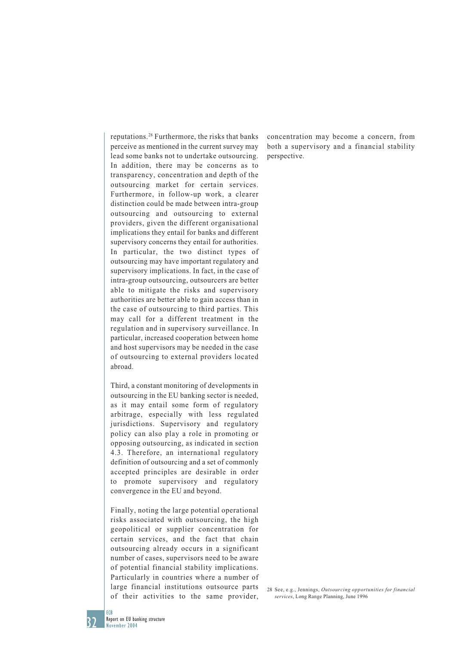reputations.28 Furthermore, the risks that banks perceive as mentioned in the current survey may lead some banks not to undertake outsourcing. In addition, there may be concerns as to transparency, concentration and depth of the outsourcing market for certain services. Furthermore, in follow-up work, a clearer distinction could be made between intra-group outsourcing and outsourcing to external providers, given the different organisational implications they entail for banks and different supervisory concerns they entail for authorities. In particular, the two distinct types of outsourcing may have important regulatory and supervisory implications. In fact, in the case of intra-group outsourcing, outsourcers are better able to mitigate the risks and supervisory authorities are better able to gain access than in the case of outsourcing to third parties. This may call for a different treatment in the regulation and in supervisory surveillance. In particular, increased cooperation between home and host supervisors may be needed in the case of outsourcing to external providers located abroad.

Third, a constant monitoring of developments in outsourcing in the EU banking sector is needed, as it may entail some form of regulatory arbitrage, especially with less regulated jurisdictions. Supervisory and regulatory policy can also play a role in promoting or opposing outsourcing, as indicated in section 4.3. Therefore, an international regulatory definition of outsourcing and a set of commonly accepted principles are desirable in order to promote supervisory and regulatory convergence in the EU and beyond.

Finally, noting the large potential operational risks associated with outsourcing, the high geopolitical or supplier concentration for certain services, and the fact that chain outsourcing already occurs in a significant number of cases, supervisors need to be aware of potential financial stability implications. Particularly in countries where a number of large financial institutions outsource parts of their activities to the same provider,

concentration may become a concern, from both a supervisory and a financial stability perspective.

28 See, e.g., Jennings, *Outsourcing opportunities for financial services*, Long Range Planning, June 1996

**FCB** 

Report on EU banking structure November 2004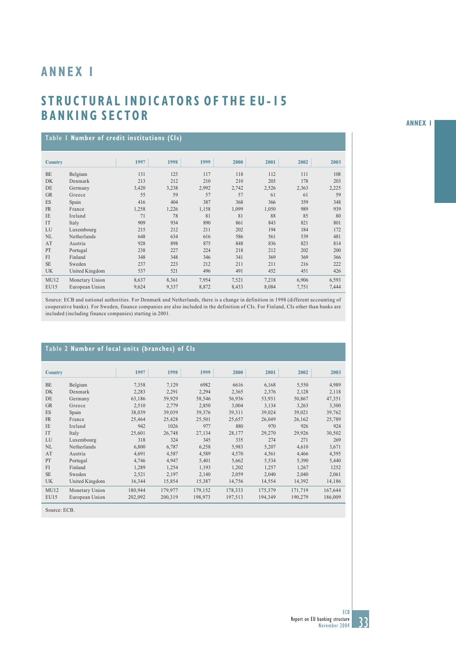# **ANNEX 1**

# **STRUCTURAL INDICATORS OF THE EU-15 BANKING SECTOR**

| Table   Number of credit institutions (Cls) |                |       |       |       |       |       |       |       |  |  |  |  |
|---------------------------------------------|----------------|-------|-------|-------|-------|-------|-------|-------|--|--|--|--|
| <b>Country</b>                              |                | 1997  | 1998  | 1999  | 2000  | 2001  | 2002  | 2003  |  |  |  |  |
| <b>BE</b>                                   | Belgium        | 131   | 123   | 117   | 118   | 112   | 111   | 108   |  |  |  |  |
| <b>DK</b>                                   | Denmark        | 213   | 212   | 210   | 210   | 203   | 178   | 203   |  |  |  |  |
| DE                                          | Germany        | 3,420 | 3,238 | 2,992 | 2,742 | 2,526 | 2,363 | 2,225 |  |  |  |  |
| <b>GR</b>                                   | Greece         | 55    | 59    | 57    | 57    | 61    | 61    | 59    |  |  |  |  |
| <b>ES</b>                                   | Spain          | 416   | 404   | 387   | 368   | 366   | 359   | 348   |  |  |  |  |
| <b>FR</b>                                   | France         | 1,258 | 1,226 | 1,158 | 1,099 | 1,050 | 989   | 939   |  |  |  |  |
| IE                                          | Ireland        | 71    | 78    | 81    | 81    | 88    | 85    | 80    |  |  |  |  |
| IT                                          | Italy          | 909   | 934   | 890   | 861   | 843   | 821   | 801   |  |  |  |  |
| LU                                          | Luxembourg     | 215   | 212   | 211   | 202   | 194   | 184   | 172   |  |  |  |  |
| <b>NL</b>                                   | Netherlands    | 648   | 634   | 616   | 586   | 561   | 539   | 481   |  |  |  |  |
| AT                                          | Austria        | 928   | 898   | 875   | 848   | 836   | 823   | 814   |  |  |  |  |
| PT                                          | Portugal       | 238   | 227   | 224   | 218   | 212   | 202   | 200   |  |  |  |  |
| FI                                          | Finland        | 348   | 348   | 346   | 341   | 369   | 369   | 366   |  |  |  |  |
| <b>SE</b>                                   | Sweden         | 237   | 223   | 212   | 211   | 211   | 216   | 222   |  |  |  |  |
| <b>UK</b>                                   | United Kingdom | 537   | 521   | 496   | 491   | 452   | 451   | 426   |  |  |  |  |
| MU12                                        | Monetary Union | 8,637 | 8,361 | 7,954 | 7,521 | 7,218 | 6,906 | 6,593 |  |  |  |  |
| EU15                                        | European Union | 9,624 | 9,337 | 8,872 | 8,433 | 8,084 | 7,751 | 7,444 |  |  |  |  |

Source: ECB and national authorities. For Denmark and Netherlands, there is a change in definition in 1998 (different accounting of cooperative banks). For Sweden, finance companies are also included in the definition of CIs. For Finland, CIs other than banks are included (including finance companies) starting in 2001.

## **Table 2 Number of local units (branches) of CIs**

| <b>Country</b> |                | 1997    | 1998    | 1999    | 2000    | 2001    | 2002    | 2003    |
|----------------|----------------|---------|---------|---------|---------|---------|---------|---------|
|                |                |         |         |         |         |         |         |         |
| <b>BE</b>      | Belgium        | 7,358   | 7,129   | 6982    | 6616    | 6,168   | 5,550   | 4,989   |
| <b>DK</b>      | Denmark        | 2,283   | 2,291   | 2,294   | 2,365   | 2,376   | 2,128   | 2,118   |
| DE             | Germany        | 63,186  | 59,929  | 58,546  | 56,936  | 53,931  | 50,867  | 47,351  |
| <b>GR</b>      | Greece         | 2.510   | 2.779   | 2.850   | 3.004   | 3.134   | 3.263   | 3,300   |
| ES             | Spain          | 38,039  | 39,039  | 39,376  | 39,311  | 39,024  | 39,021  | 39,762  |
| <b>FR</b>      | France         | 25,464  | 25,428  | 25,501  | 25,657  | 26,049  | 26,162  | 25,789  |
| IE             | Ireland        | 942     | 1026    | 977     | 880     | 970     | 926     | 924     |
| <b>IT</b>      | Italy          | 25,601  | 26,748  | 27,134  | 28,177  | 29,270  | 29,926  | 30,502  |
| LU             | Luxembourg     | 318     | 324     | 345     | 335     | 274     | 271     | 269     |
| <b>NL</b>      | Netherlands    | 6.800   | 6,787   | 6,258   | 5,983   | 5,207   | 4,610   | 3,671   |
| AT             | Austria        | 4,691   | 4,587   | 4,589   | 4,570   | 4,561   | 4,466   | 4,395   |
| PT             | Portugal       | 4,746   | 4.947   | 5,401   | 5,662   | 5,534   | 5,390   | 5,440   |
| FI             | Finland        | 1,289   | 1,254   | 1,193   | 1,202   | 1,257   | 1,267   | 1252    |
| <b>SE</b>      | Sweden         | 2,521   | 2,197   | 2,140   | 2,059   | 2,040   | 2,040   | 2,061   |
| UK             | United Kingdom | 16,344  | 15,854  | 15,387  | 14,756  | 14,554  | 14,392  | 14,186  |
| MU12           | Monetary Union | 180,944 | 179,977 | 179,152 | 178,333 | 175,379 | 171,719 | 167,644 |
| <b>EU15</b>    | European Union | 202,092 | 200,319 | 198,973 | 197,513 | 194,349 | 190,279 | 186,009 |

Source: ECB.

**ANNEX 1**

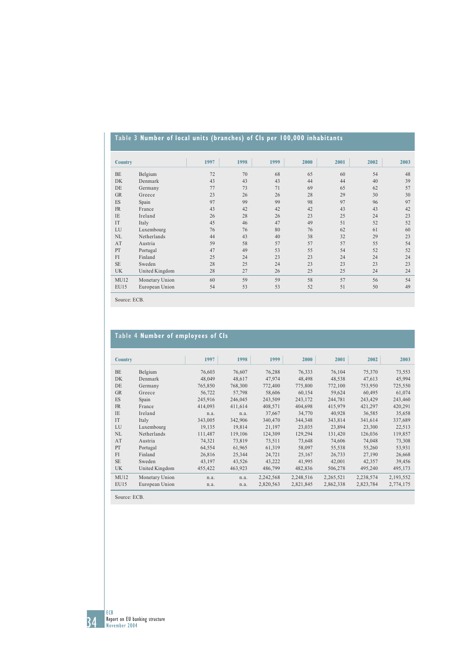# **Table 3 Number of local units (branches) of CIs per 100,000 inhabitants**

| <b>Country</b> |                | 1997 | 1998 | 1999 | 2000 | 2001 | 2002 | 2003 |
|----------------|----------------|------|------|------|------|------|------|------|
| <b>BE</b>      | Belgium        | 72   | 70   | 68   | 65   | 60   | 54   | 48   |
| <b>DK</b>      | Denmark        | 43   | 43   | 43   | 44   | 44   | 40   | 39   |
| DE             | Germany        | 77   | 73   | 71   | 69   | 65   | 62   | 57   |
| <b>GR</b>      | Greece         | 23   | 26   | 26   | 28   | 29   | 30   | 30   |
| ES             | Spain          | 97   | 99   | 99   | 98   | 97   | 96   | 97   |
| <b>FR</b>      | France         | 43   | 42   | 42   | 42   | 43   | 43   | 42   |
| IE             | Ireland        | 26   | 28   | 26   | 23   | 25   | 24   | 23   |
| IT             | Italy          | 45   | 46   | 47   | 49   | 51   | 52   | 52   |
| LU             | Luxembourg     | 76   | 76   | 80   | 76   | 62   | 61   | 60   |
| <b>NL</b>      | Netherlands    | 44   | 43   | 40   | 38   | 32   | 29   | 23   |
| AT             | Austria        | 59   | 58   | 57   | 57   | 57   | 55   | 54   |
| PT             | Portugal       | 47   | 49   | 53   | 55   | 54   | 52   | 52   |
| FI             | Finland        | 25   | 24   | 23   | 23   | 24   | 24   | 24   |
| <b>SE</b>      | Sweden         | 28   | 25   | 24   | 23   | 23   | 23   | 23   |
| <b>UK</b>      | United Kingdom | 28   | 27   | 26   | 25   | 25   | 24   | 24   |
| MU12           | Monetary Union | 60   | 59   | 59   | 58   | 57   | 56   | 54   |
| EU15           | European Union | 54   | 53   | 53   | 52   | 51   | 50   | 49   |
|                |                |      |      |      |      |      |      |      |

Source: ECB.

# **Table 4 Number of employees of CIs**

| <b>Country</b> |                | 1997    | 1998    | 1999      | 2000      | 2001      | 2002      | 2003      |
|----------------|----------------|---------|---------|-----------|-----------|-----------|-----------|-----------|
| <b>BE</b>      | Belgium        | 76,603  | 76,607  | 76,288    | 76,333    | 76,104    | 75,370    | 73,553    |
| DK             | Denmark        | 48,049  | 48,617  | 47,974    | 48,498    | 48,538    | 47,613    | 45,994    |
| DE             | Germany        | 765,850 | 768,300 | 772,400   | 775,800   | 772,100   | 753,950   | 725,550   |
| <b>GR</b>      | Greece         | 56,722  | 57,798  | 58,606    | 60,154    | 59,624    | 60,495    | 61,074    |
| ES             | Spain          | 245,916 | 246,045 | 243,509   | 243,172   | 244,781   | 243,429   | 243,460   |
| <b>FR</b>      | France         | 414,093 | 411,614 | 408,571   | 404,698   | 415,979   | 421,297   | 420,291   |
| <b>IE</b>      | Ireland        | n.a.    | n.a.    | 37,667    | 34,770    | 40,928    | 36,585    | 35,658    |
| IT             | Italy          | 343,005 | 342,906 | 340,470   | 344,348   | 343,814   | 341,614   | 337,689   |
| LU             | Luxembourg     | 19,135  | 19,814  | 21,197    | 23,035    | 23,894    | 23,300    | 22,513    |
| NL             | Netherlands    | 111,487 | 119,106 | 124,309   | 129,294   | 131,420   | 126,036   | 119,857   |
| AT             | Austria        | 74,321  | 73,819  | 73,511    | 73,648    | 74,606    | 74,048    | 73,308    |
| PT             | Portugal       | 64,554  | 61,965  | 61,319    | 58,097    | 55,538    | 55,260    | 53,931    |
| FI             | Finland        | 26,816  | 25,344  | 24,721    | 25,167    | 26,733    | 27,190    | 26,668    |
| <b>SE</b>      | Sweden         | 43,197  | 43,526  | 43,222    | 41,995    | 42,001    | 42,357    | 39,456    |
| <b>UK</b>      | United Kingdom | 455,422 | 463,923 | 486,799   | 482,836   | 506,278   | 495,240   | 495,173   |
| MU12           | Monetary Union | n.a.    | n.a.    | 2,242,568 | 2,248,516 | 2,265,521 | 2,238,574 | 2,193,552 |
| EU15           | European Union | n.a.    | n.a.    | 2,820,563 | 2,821,845 | 2,862,338 | 2,823,784 | 2,774,175 |
|                |                |         |         |           |           |           |           |           |

Source: ECB.

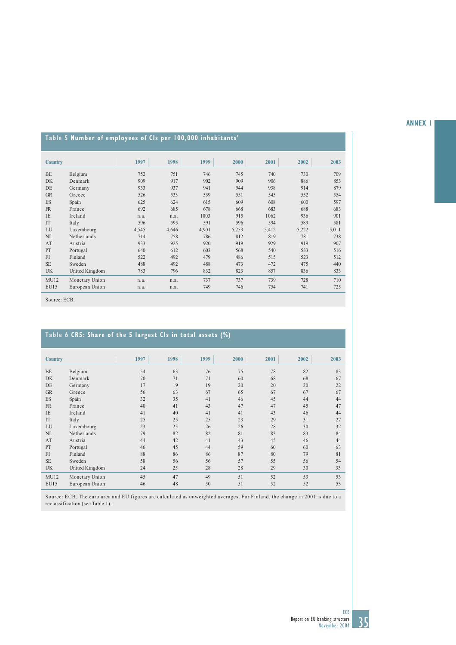### **ANNEX 1**

# **Table 5 Number of employees of CIs per 100,000 inhabitants'**

| <b>Country</b> |                | 1997  | 1998  | 1999  | 2000  | 2001  | 2002  | 2003  |
|----------------|----------------|-------|-------|-------|-------|-------|-------|-------|
| <b>BE</b>      | Belgium        | 752   | 751   | 746   | 745   | 740   | 730   | 709   |
| <b>DK</b>      | Denmark        | 909   | 917   | 902   | 909   | 906   | 886   | 853   |
| DE             |                | 933   | 937   | 941   | 944   | 938   | 914   | 879   |
|                | Germany        |       |       |       |       |       |       |       |
| <b>GR</b>      | Greece         | 526   | 533   | 539   | 551   | 545   | 552   | 554   |
| <b>ES</b>      | Spain          | 625   | 624   | 615   | 609   | 608   | 600   | 597   |
| <b>FR</b>      | France         | 692   | 685   | 678   | 668   | 683   | 688   | 683   |
| IE             | Ireland        | n.a.  | n.a.  | 1003  | 915   | 1062  | 936   | 901   |
| <b>IT</b>      | Italy          | 596   | 595   | 591   | 596   | 594   | 589   | 581   |
| LU             | Luxembourg     | 4,545 | 4,646 | 4,901 | 5,253 | 5,412 | 5,222 | 5,011 |
| <b>NL</b>      | Netherlands    | 714   | 758   | 786   | 812   | 819   | 781   | 738   |
| AT             | Austria        | 933   | 925   | 920   | 919   | 929   | 919   | 907   |
| PT             | Portugal       | 640   | 612   | 603   | 568   | 540   | 533   | 516   |
| FI             | Finland        | 522   | 492   | 479   | 486   | 515   | 523   | 512   |
| <b>SE</b>      | Sweden         | 488   | 492   | 488   | 473   | 472   | 475   | 440   |
| <b>UK</b>      | United Kingdom | 783   | 796   | 832   | 823   | 857   | 836   | 833   |
| MU12           | Monetary Union | n.a.  | n.a.  | 737   | 737   | 739   | 728   | 710   |
| <b>EU15</b>    | European Union | n.a.  | n.a.  | 749   | 746   | 754   | 741   | 725   |
|                |                |       |       |       |       |       |       |       |

Source: ECB.

# **Table 6 CR5: Share of the 5 largest CIs in total assets (%)**

| <b>Country</b> |                | 1997 | 1998 | 1999 | 2000 | 2001 | 2002 | 2003 |
|----------------|----------------|------|------|------|------|------|------|------|
| <b>BE</b>      | Belgium        | 54   | 63   | 76   | 75   | 78   | 82   | 83   |
| <b>DK</b>      | Denmark        | 70   | 71   | 71   | 60   | 68   | 68   | 67   |
| DE             | Germany        | 17   | 19   | 19   | 20   | 20   | 20   | 22   |
| <b>GR</b>      | Greece         | 56   | 63   | 67   | 65   | 67   | 67   | 67   |
| ES             | Spain          | 32   | 35   | 41   | 46   | 45   | 44   | 44   |
| <b>FR</b>      | France         | 40   | 41   | 43   | 47   | 47   | 45   | 47   |
| <b>IE</b>      | Ireland        | 41   | 40   | 41   | 41   | 43   | 46   | 44   |
| IT             | Italy          | 25   | 25   | 25   | 23   | 29   | 31   | 27   |
| LU             | Luxembourg     | 23   | 25   | 26   | 26   | 28   | 30   | 32   |
| NL             | Netherlands    | 79   | 82   | 82   | 81   | 83   | 83   | 84   |
| AT             | Austria        | 44   | 42   | 41   | 43   | 45   | 46   | 44   |
| PT             | Portugal       | 46   | 45   | 44   | 59   | 60   | 60   | 63   |
| FI             | Finland        | 88   | 86   | 86   | 87   | 80   | 79   | 81   |
| <b>SE</b>      | Sweden         | 58   | 56   | 56   | 57   | 55   | 56   | 54   |
| <b>UK</b>      | United Kingdom | 24   | 25   | 28   | 28   | 29   | 30   | 33   |
| MU12           | Monetary Union | 45   | 47   | 49   | 51   | 52   | 53   | 53   |
| <b>EU15</b>    | European Union | 46   | 48   | 50   | 51   | 52   | 52   | 53   |

Source: ECB. The euro area and EU figures are calculated as unweighted averages. For Finland, the change in 2001 is due to a reclassification (see Table 1).

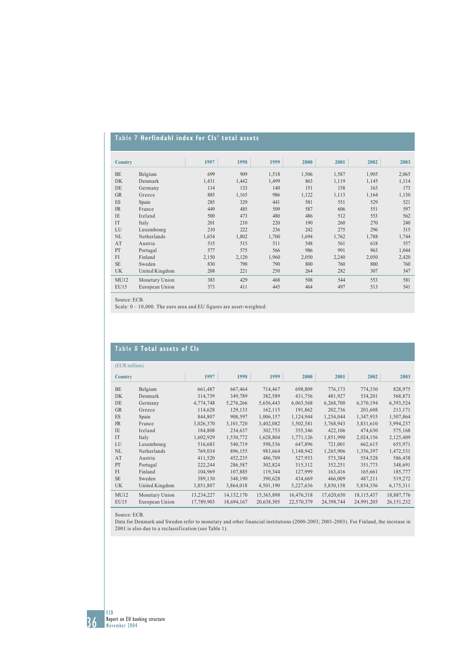# **Table 7 Herfindahl index for CIs' total assets**

| <b>Country</b> |                | 1997  | 1998  | 1999  | 2000  | 2001  | 2002  | 2003  |
|----------------|----------------|-------|-------|-------|-------|-------|-------|-------|
| BE             | Belgium        | 699   | 909   | 1,518 | 1,506 | 1,587 | 1,905 | 2,065 |
| <b>DK</b>      | Denmark        | 1,431 | 1,442 | 1,499 | 863   | 1,119 | 1,145 | 1,114 |
| DE             | Germany        | 114   | 133   | 140   | 151   | 158   | 163   | 173   |
| <b>GR</b>      | Greece         | 885   | 1,165 | 986   | 1,122 | 1,113 | 1,164 | 1,130 |
| ES             | Spain          | 285   | 329   | 441   | 581   | 551   | 529   | 521   |
| <b>FR</b>      | France         | 449   | 485   | 509   | 587   | 606   | 551   | 597   |
| IE             | Ireland        | 500   | 473   | 480   | 486   | 512   | 553   | 562   |
| IT             | Italy          | 201   | 210   | 220   | 190   | 260   | 270   | 240   |
| LU             | Luxembourg     | 210   | 222   | 236   | 242   | 275   | 296   | 315   |
| NL             | Netherlands    | 1,654 | 1,802 | 1,700 | 1,694 | 1,762 | 1,788 | 1,744 |
| AT             | Austria        | 515   | 515   | 511   | 548   | 561   | 618   | 557   |
| PT             | Portugal       | 577   | 575   | 566   | 986   | 991   | 963   | 1,044 |
| FI             | Finland        | 2,150 | 2,120 | 1,960 | 2,050 | 2,240 | 2,050 | 2,420 |
| <b>SE</b>      | Sweden         | 830   | 790   | 790   | 800   | 760   | 800   | 760   |
| <b>UK</b>      | United Kingdom | 208   | 221   | 250   | 264   | 282   | 307   | 347   |
| MU12           | Monetary Union | 383   | 429   | 468   | 508   | 544   | 553   | 581   |
| <b>EU15</b>    | European Union | 373   | 411   | 445   | 464   | 497   | 513   | 541   |

Source: ECB.

Scale:  $0 - 10,000$ . The euro area and EU figures are asset-weighted.

# **Table 8 Total assets of CIs**

| (EUR million)  |                |            |              |            |            |            |              |              |  |  |
|----------------|----------------|------------|--------------|------------|------------|------------|--------------|--------------|--|--|
| <b>Country</b> |                | 1997       | 1998         | 1999       | 2000       | 2001       | 2002         | 2003         |  |  |
| <b>BE</b>      | Belgium        | 661,487    | 667,464      | 714,467    | 698,809    | 776,173    | 774,330      | 828,975      |  |  |
| <b>DK</b>      | Denmark        | 314,739    | 349,789      | 382,589    | 431,756    | 481,927    | 534,201      | 568,873      |  |  |
| DE             | Germany        | 4,774,748  | 5,276,266    | 5,656,443  | 6,063,568  | 6,268,700  | 6,370,194    | 6,393,524    |  |  |
| <b>GR</b>      | Greece         | 114,628    | 129,133      | 162,115    | 191,862    | 202,736    | 201,608      | 213,171      |  |  |
| ES             | Spain          | 844,807    | 908.597      | 1,006,157  | 1,124,944  | 1,254,044  | 1,347,935    | 1,507,864    |  |  |
| <b>FR</b>      | France         | 3,026,370  | 3,101,720    | 3,402,082  | 3,502,581  | 3,768,943  | 3,831,610    | 3,994,237    |  |  |
| <b>IE</b>      | Ireland        | 184,808    | 234,637      | 302,753    | 355,346    | 422,106    | 474,630      | 575,168      |  |  |
| IT             | Italy          | 1,602,929  | 1,530,772    | 1,628,804  | 1,771,126  | 1,851,990  | 2,024,156    | 2,125,409    |  |  |
| LU             | Luxembourg     | 516,683    | 540,719      | 598,536    | 647,896    | 721,001    | 662,615      | 655,971      |  |  |
| NL             | Netherlands    | 769,034    | 896,155      | 983,664    | 1,148,942  | 1,265,906  | 1,356,397    | 1,472,531    |  |  |
| AT             | Austria        | 411,520    | 452,235      | 486,709    | 527,933    | 573,384    | 554,528      | 586,458      |  |  |
| PT             | Portugal       | 222,244    | 286,587      | 302,824    | 315,312    | 352,251    | 351,773      | 348,691      |  |  |
| FI             | Finland        | 104,969    | 107,885      | 119,344    | 127,999    | 163,416    | 165,661      | 185,777      |  |  |
| <b>SE</b>      | Sweden         | 389,130    | 348,190      | 390,628    | 434,669    | 466,009    | 487,211      | 519,272      |  |  |
| <b>UK</b>      | United Kingdom | 3,851,807  | 3,864,018    | 4,501,190  | 5,227,636  | 5,830,158  | 5,854,356    | 6,175,311    |  |  |
| MU12           | Monetary Union | 13,234,227 | 14, 132, 170 | 15,363,898 | 16,476,318 | 17,620,650 | 18, 115, 437 | 18,887,776   |  |  |
| EU15           | European Union | 17,789,903 | 18,694,167   | 20,638,305 | 22,570,379 | 24,398,744 | 24,991,205   | 26, 151, 232 |  |  |

Source: ECB.

Data for Denmark and Sweden refer to monetary and other financial institutions (2000-2003; 2001-2003). For Finland, the increase in 2001 is also due to a reclassif ication (see Table 1).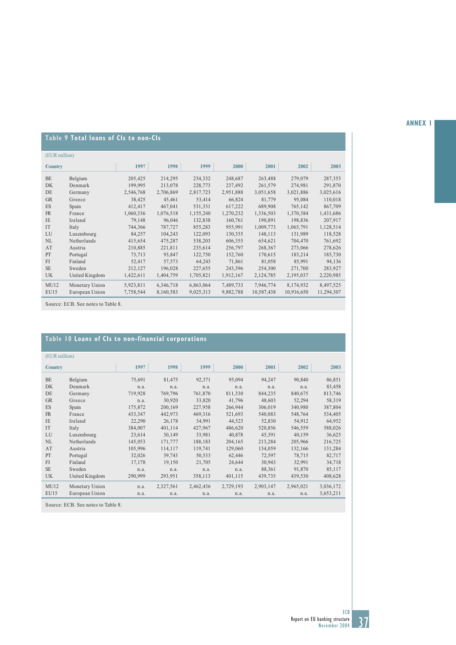## **ANNEX 1**

# **Table 9 Total loans of CIs to non-CIs**

| (EUR million)  |                |           |           |           |           |            |            |            |  |  |
|----------------|----------------|-----------|-----------|-----------|-----------|------------|------------|------------|--|--|
| <b>Country</b> |                | 1997      | 1998      | 1999      | 2000      | 2001       | 2002       | 2003       |  |  |
| <b>BE</b>      | Belgium        | 205,425   | 214,295   | 234,332   | 248,687   | 263,488    | 279,079    | 287,353    |  |  |
| <b>DK</b>      | Denmark        | 199,995   | 213,078   | 228,773   | 237,492   | 261,579    | 274,981    | 291,870    |  |  |
| DE             | Germany        | 2,546,768 | 2,706,869 | 2,817,723 | 2,951,888 | 3,051,658  | 3,021,886  | 3,025,616  |  |  |
| <b>GR</b>      | Greece         | 38,425    | 45,461    | 53,414    | 66,824    | 81,779     | 95,084     | 110,018    |  |  |
| ES             | Spain          | 412,417   | 467,041   | 531,331   | 617,222   | 689,908    | 765,142    | 867,709    |  |  |
| <b>FR</b>      | France         | 1,060,336 | 1,076,518 | 1,155,240 | 1,270,232 | 1,336,503  | 1,370,384  | 1,431,686  |  |  |
| <b>IE</b>      | Ireland        | 79,148    | 96,046    | 132,838   | 160,761   | 190,891    | 198,836    | 207,917    |  |  |
| <b>IT</b>      | Italy          | 744,366   | 787,727   | 855,283   | 955,991   | 1,009,773  | 1,065,791  | 1,128,514  |  |  |
| LU             | Luxembourg     | 84,257    | 104,243   | 122,093   | 130,355   | 148,113    | 131,989    | 118,528    |  |  |
| NL             | Netherlands    | 415,654   | 475,287   | 538,203   | 606,355   | 654,621    | 704,470    | 761,692    |  |  |
| AT             | Austria        | 210,885   | 221,811   | 235,614   | 256,797   | 268,367    | 273,066    | 278,626    |  |  |
| PT             | Portugal       | 73,713    | 93,847    | 122,750   | 152,760   | 170,615    | 183,214    | 185,730    |  |  |
| FI             | Finland        | 52,417    | 57,573    | 64,243    | 71,861    | 81,058     | 85,991     | 94,136     |  |  |
| <b>SE</b>      | Sweden         | 212,127   | 196,028   | 227,655   | 243,396   | 254,300    | 271,700    | 283,927    |  |  |
| <b>UK</b>      | United Kingdom | 1,422,611 | 1,404,759 | 1,705,821 | 1,912,167 | 2,124,785  | 2,195,037  | 2,220,985  |  |  |
| MU12           | Monetary Union | 5,923,811 | 6,346,718 | 6,863,064 | 7,489,733 | 7,946,774  | 8,174,932  | 8,497,525  |  |  |
| <b>EU15</b>    | European Union | 7,758,544 | 8,160,583 | 9,025,313 | 9,882,788 | 10,587,438 | 10,916,650 | 11,294,307 |  |  |

Source: ECB. See notes to Table 8.

# **Table 10 Loans of CIs to non-financial corporations**

|                | (EUR million)  |         |           |           |           |           |           |           |  |  |
|----------------|----------------|---------|-----------|-----------|-----------|-----------|-----------|-----------|--|--|
| <b>Country</b> |                | 1997    | 1998      | 1999      | 2000      | 2001      | 2002      | 2003      |  |  |
| BE             | Belgium        | 75,691  | 81,475    | 92,371    | 95,094    | 94,247    | 90,840    | 86,851    |  |  |
| <b>DK</b>      | Denmark        | n.a.    | n.a.      | n.a.      | n.a.      | n.a.      | n.a.      | 83,458    |  |  |
| DE             | Germany        | 719,928 | 769,796   | 761,870   | 811,330   | 844,235   | 840,675   | 813,746   |  |  |
| <b>GR</b>      | Greece         | n.a.    | 30,920    | 33,820    | 41,796    | 48,603    | 52,294    | 58,319    |  |  |
| ES             | Spain          | 175,872 | 200,169   | 227,958   | 266,944   | 306,019   | 340,980   | 387,804   |  |  |
| <b>FR</b>      | France         | 433,347 | 442,973   | 469,316   | 521,693   | 540,083   | 548,764   | 534,405   |  |  |
| <b>IE</b>      | Ireland        | 22,290  | 26,178    | 34,991    | 44,523    | 52,830    | 54,912    | 64,952    |  |  |
| IT             | Italy          | 384,007 | 401,114   | 427,967   | 486,620   | 520,856   | 546,559   | 588,026   |  |  |
| LU             | Luxembourg     | 23,614  | 30,149    | 33,981    | 40,878    | 45,391    | 40,159    | 36,625    |  |  |
| NL             | Netherlands    | 145,053 | 171,777   | 188,183   | 204,165   | 213,284   | 205,966   | 216,725   |  |  |
| AT             | Austria        | 105,996 | 114,117   | 119,741   | 129,060   | 134,059   | 132,166   | 131,284   |  |  |
| PT             | Portugal       | 32,026  | 39,743    | 50,533    | 62,446    | 72,597    | 78,715    | 82,717    |  |  |
| FI             | Finland        | 17,178  | 19,150    | 21,705    | 24,644    | 30,943    | 32,991    | 34,718    |  |  |
| <b>SE</b>      | Sweden         | n.a.    | n.a.      | n.a.      | n.a.      | 88,361    | 91,870    | 85,117    |  |  |
| <b>UK</b>      | United Kingdom | 290,999 | 293,951   | 358,113   | 401,115   | 439,735   | 439,530   | 408,628   |  |  |
| MU12           | Monetary Union | n.a.    | 2,327,561 | 2,462,436 | 2,729,193 | 2,903,147 | 2,965,021 | 3,036,172 |  |  |
| <b>EU15</b>    | European Union | n.a.    | n.a.      | n.a.      | n.a.      | n.a.      | n.a.      | 3,653,211 |  |  |
|                |                |         |           |           |           |           |           |           |  |  |

Source: ECB. See notes to Table 8.

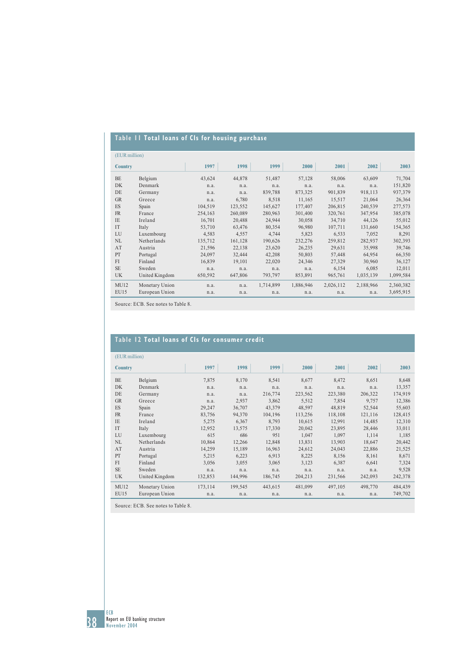# **Table 11 Total loans of CIs for housing purchase**

| (EUR million)  |                |         |         |           |           |           |           |           |
|----------------|----------------|---------|---------|-----------|-----------|-----------|-----------|-----------|
| <b>Country</b> |                | 1997    | 1998    | 1999      | 2000      | 2001      | 2002      | 2003      |
| <b>BE</b>      | Belgium        | 43,624  | 44,878  | 51,487    | 57,128    | 58,006    | 63,609    | 71,704    |
| <b>DK</b>      | Denmark        | n.a.    | n.a.    | n.a.      | n.a.      | n.a.      | n.a.      | 151,820   |
| DE             | Germany        | n.a.    | n.a.    | 839,788   | 873,325   | 901,839   | 918,113   | 937,379   |
| <b>GR</b>      | Greece         | n.a.    | 6,780   | 8,518     | 11,165    | 15,517    | 21,064    | 26,364    |
| ES             | Spain          | 104,519 | 123,552 | 145,627   | 177,407   | 206,815   | 240,539   | 277,573   |
| <b>FR</b>      | France         | 254,163 | 260,089 | 280,963   | 301,400   | 320,761   | 347,954   | 385,078   |
| <b>IE</b>      | Ireland        | 16,701  | 20,488  | 24,944    | 30,058    | 34,710    | 44,126    | 55,012    |
| IT             | Italy          | 53,710  | 63,476  | 80,354    | 96,980    | 107,711   | 131,660   | 154,365   |
| LU             | Luxembourg     | 4,583   | 4,557   | 4,744     | 5,823     | 6,533     | 7,052     | 8,291     |
| NL             | Netherlands    | 135,712 | 161,128 | 190,626   | 232,276   | 259,812   | 282,937   | 302,393   |
| AT             | Austria        | 21,596  | 22,138  | 23,620    | 26,235    | 29,631    | 35,998    | 39,746    |
| PT             | Portugal       | 24,097  | 32,444  | 42,208    | 50,803    | 57,448    | 64,954    | 66,350    |
| FI             | Finland        | 16,839  | 19,101  | 22,020    | 24,346    | 27,329    | 30,960    | 36,127    |
| <b>SE</b>      | Sweden         | n.a.    | n.a.    | n.a.      | n.a.      | 6,154     | 6,085     | 12,011    |
| <b>UK</b>      | United Kingdom | 650,592 | 647,806 | 793,797   | 853,891   | 965,761   | 1,035,139 | 1,099,584 |
| MU12           | Monetary Union | n.a.    | n.a.    | 1,714,899 | 1,886,946 | 2,026,112 | 2,188,966 | 2,360,382 |
| <b>EU15</b>    | European Union | n.a.    | n.a.    | n.a.      | n.a.      | n.a.      | n.a.      | 3,695,915 |

Source: ECB. See notes to Table 8.

# **Table 12 Total loans of CIs for consumer credit**

|                | (EUR million)  |         |         |         |         |         |         |         |  |  |
|----------------|----------------|---------|---------|---------|---------|---------|---------|---------|--|--|
| <b>Country</b> |                | 1997    | 1998    | 1999    | 2000    | 2001    | 2002    | 2003    |  |  |
| <b>BE</b>      | Belgium        | 7,875   | 8,170   | 8,541   | 8,677   | 8,472   | 8,651   | 8,648   |  |  |
| <b>DK</b>      | Denmark        | n.a.    | n.a.    | n.a.    | n.a.    | n.a.    | n.a.    | 13,357  |  |  |
| DE             | Germany        | n.a.    | n.a.    | 216,774 | 223,562 | 223,380 | 206,322 | 174,919 |  |  |
| <b>GR</b>      | Greece         | n.a.    | 2,937   | 3,862   | 5,512   | 7.854   | 9.757   | 12,386  |  |  |
| ES             | Spain          | 29,247  | 36,707  | 43,379  | 48,597  | 48,819  | 52,544  | 55,603  |  |  |
| <b>FR</b>      | France         | 83,756  | 94,370  | 104,196 | 113,256 | 118,108 | 121,116 | 128,415 |  |  |
| <b>IE</b>      | Ireland        | 5,275   | 6,367   | 8,793   | 10,615  | 12,991  | 14,485  | 12,310  |  |  |
| IT             | Italy          | 12.952  | 13.575  | 17.330  | 20,042  | 23.895  | 28,446  | 33,011  |  |  |
| LU             | Luxembourg     | 615     | 686     | 951     | 1,047   | 1,097   | 1,114   | 1,185   |  |  |
| NL             | Netherlands    | 10,864  | 12,266  | 12,848  | 13,831  | 13,903  | 18,647  | 20,442  |  |  |
| AT             | Austria        | 14,259  | 15,189  | 16,963  | 24,612  | 24,043  | 22,886  | 21,525  |  |  |
| PT             | Portugal       | 5,215   | 6,223   | 6,913   | 8,225   | 8,156   | 8,161   | 8,671   |  |  |
| FI             | Finland        | 3,056   | 3,055   | 3,065   | 3,123   | 6,387   | 6,641   | 7,324   |  |  |
| <b>SE</b>      | Sweden         | n.a.    | n.a.    | n.a.    | n.a.    | n.a.    | n.a.    | 9,528   |  |  |
| UK             | United Kingdom | 132,853 | 144,996 | 186,745 | 204,213 | 231,566 | 242,093 | 242,378 |  |  |
| MU12           | Monetary Union | 173,114 | 199,545 | 443,615 | 481,099 | 497,105 | 498,770 | 484,439 |  |  |
| <b>EU15</b>    | European Union | n.a.    | n.a.    | n.a.    | n.a.    | n.a.    | n.a.    | 749,702 |  |  |
|                |                |         |         |         |         |         |         |         |  |  |

Source: ECB. See notes to Table 8.

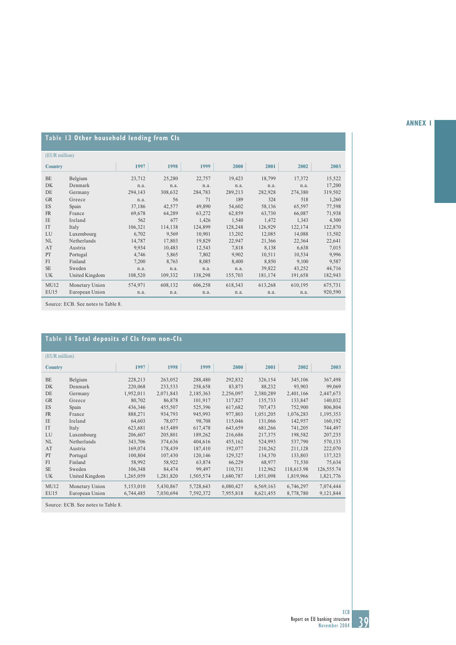## **ANNEX 1**

# **Table 13 Other household lending from CIs**

|                | (EUR million)  |         |         |         |         |         |         |         |  |  |
|----------------|----------------|---------|---------|---------|---------|---------|---------|---------|--|--|
| <b>Country</b> |                | 1997    | 1998    | 1999    | 2000    | 2001    | 2002    | 2003    |  |  |
| <b>BE</b>      | Belgium        | 23,712  | 25,280  | 22,757  | 19,423  | 18,799  | 17,372  | 15,522  |  |  |
| <b>DK</b>      | Denmark        | n.a.    | n.a.    | n.a.    | n.a.    | n.a.    | n.a.    | 17,200  |  |  |
| DE             | Germany        | 294,143 | 308,632 | 284,783 | 289,213 | 282,928 | 274,380 | 319,502 |  |  |
| <b>GR</b>      | Greece         | n.a.    | 56      | 71      | 189     | 324     | 518     | 1,260   |  |  |
| ES             | Spain          | 37,186  | 42,577  | 49,890  | 54,602  | 58,136  | 65,597  | 77,598  |  |  |
| FR             | France         | 69,678  | 64,289  | 63,272  | 62,859  | 63,730  | 66,087  | 71,938  |  |  |
| <b>IE</b>      | Ireland        | 562     | 677     | 1,426   | 1,540   | 1,472   | 1,343   | 4,300   |  |  |
| IT             | Italy          | 106,321 | 114,138 | 124,899 | 128,248 | 126,929 | 122,174 | 122,870 |  |  |
| LU             | Luxembourg     | 6,702   | 9,569   | 10,901  | 13,202  | 12,085  | 14,088  | 13,502  |  |  |
| NL             | Netherlands    | 14,787  | 17,803  | 19,829  | 22,947  | 21,366  | 22,364  | 22,641  |  |  |
| AT             | Austria        | 9.934   | 10.483  | 12,543  | 7,818   | 8,138   | 6.638   | 7,015   |  |  |
| PT             | Portugal       | 4,746   | 5,865   | 7,802   | 9,902   | 10,511  | 10,534  | 9,996   |  |  |
| FI             | Finland        | 7,200   | 8,763   | 8,085   | 8,400   | 8,850   | 9,100   | 9,587   |  |  |
| <b>SE</b>      | Sweden         | n.a.    | n.a.    | n.a.    | n.a.    | 39,822  | 43,252  | 44,716  |  |  |
| <b>UK</b>      | United Kingdom | 108,520 | 109,332 | 138,298 | 155,703 | 181,174 | 191,658 | 182,943 |  |  |
| MU12           | Monetary Union | 574,971 | 608,132 | 606,258 | 618,343 | 613,268 | 610,195 | 675,731 |  |  |
| EU15           | European Union | n.a.    | n.a.    | n.a.    | n.a.    | n.a.    | n.a.    | 920,590 |  |  |
|                |                |         |         |         |         |         |         |         |  |  |

Source: ECB. See notes to Table 8.

# **Table 14 Total deposits of CIs from non-CIs**

|                | (EUR million)  |           |           |           |           |           |            |            |  |
|----------------|----------------|-----------|-----------|-----------|-----------|-----------|------------|------------|--|
| <b>Country</b> |                | 1997      | 1998      | 1999      | 2000      | 2001      | 2002       | 2003       |  |
| <b>BE</b>      | Belgium        | 228,213   | 263,052   | 288,480   | 292,832   | 326,154   | 345,106    | 367,498    |  |
| <b>DK</b>      | Denmark        | 220,068   | 233,533   | 258,658   | 83,873    | 88,232    | 93,903     | 99,069     |  |
| DE             | Germany        | 1,952,011 | 2,071,843 | 2,185,363 | 2,256,097 | 2,380,289 | 2,401,166  | 2,447,673  |  |
| <b>GR</b>      | Greece         | 80,702    | 86,878    | 101,917   | 117,827   | 135,733   | 133,847    | 140,032    |  |
| <b>ES</b>      | Spain          | 436,346   | 455,507   | 525,396   | 617,682   | 707,473   | 752,900    | 806,804    |  |
| <b>FR</b>      | France         | 888,271   | 934,793   | 945,993   | 977,803   | 1,051,205 | 1,076,283  | 1,195,353  |  |
| IE             | Ireland        | 64,603    | 78,077    | 98,708    | 115,046   | 131,066   | 142,957    | 160,192    |  |
| <b>IT</b>      | Italy          | 623,681   | 615,489   | 617,478   | 643,659   | 681,266   | 741,205    | 744,497    |  |
| LU             | Luxembourg     | 206,607   | 205,801   | 189,262   | 216,686   | 217,375   | 198,582    | 207,235    |  |
| NL             | Netherlands    | 343,706   | 374,636   | 404,616   | 455,162   | 524,993   | 537,790    | 570,133    |  |
| AT             | Austria        | 169,074   | 178,439   | 187,410   | 192,077   | 210,262   | 211,128    | 222,070    |  |
| PT             | Portugal       | 100,804   | 107,430   | 120,146   | 129,327   | 134,370   | 133,803    | 137,323    |  |
| <b>FI</b>      | Finland        | 58,992    | 58,922    | 63,874    | 66,229    | 68,977    | 71,530     | 75,634     |  |
| <b>SE</b>      | Sweden         | 106,348   | 84,474    | 99,497    | 110,731   | 112,962   | 118,613.98 | 126,555.74 |  |
| <b>UK</b>      | United Kingdom | 1,265,059 | 1,281,820 | 1,505,574 | 1,680,787 | 1,851,098 | 1,819,966  | 1,821,776  |  |
| MU12           | Monetary Union | 5,153,010 | 5,430,867 | 5,728,643 | 6,080,427 | 6,569,163 | 6,746,297  | 7,074,444  |  |
| EU15           | European Union | 6,744,485 | 7,030,694 | 7,592,372 | 7,955,818 | 8,621,455 | 8,778,780  | 9,121,844  |  |
|                |                |           |           |           |           |           |            |            |  |

Source: ECB. See notes to Table 8.

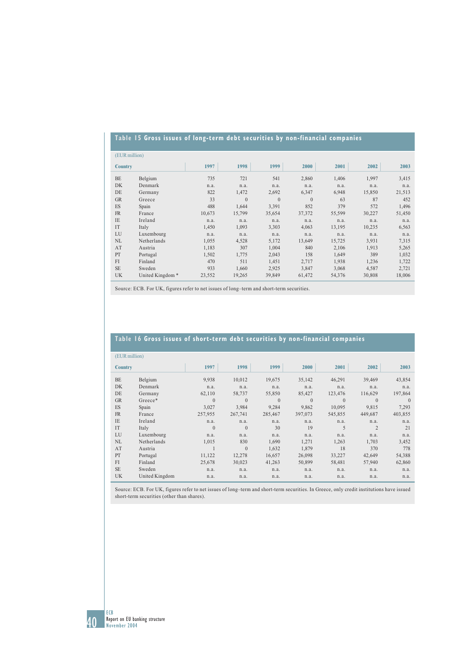## **Table 15 Gross issues of long-term debt securities by non-financial companies**

| (EUR million)  |                             |        |          |          |          |        |        |        |
|----------------|-----------------------------|--------|----------|----------|----------|--------|--------|--------|
| <b>Country</b> |                             | 1997   | 1998     | 1999     | 2000     | 2001   | 2002   | 2003   |
| <b>BE</b>      | Belgium                     | 735    | 721      | 541      | 2,860    | 1,406  | 1,997  | 3,415  |
| DK             | Denmark                     | n.a.   | n.a.     | n.a.     | n.a.     | n.a.   | n.a.   | n.a.   |
| DE             | Germany                     | 822    | 1,472    | 2,692    | 6,347    | 6,948  | 15,850 | 21,513 |
| <b>GR</b>      | Greece                      | 33     | $\theta$ | $\theta$ | $\Omega$ | 63     | 87     | 452    |
| ES             | Spain                       | 488    | 1,644    | 3,391    | 852      | 379    | 572    | 1,496  |
| <b>FR</b>      | France                      | 10,673 | 15,799   | 35,654   | 37,372   | 55,599 | 30,227 | 51,450 |
| <b>IE</b>      | Ireland                     | n.a.   | n.a.     | n.a.     | n.a.     | n.a.   | n.a.   | n.a.   |
| IT             | Italy                       | 1,450  | 1,093    | 3,303    | 4,063    | 13,195 | 10,235 | 6,563  |
| LU             | Luxembourg                  | n.a.   | n.a.     | n.a.     | n.a.     | n.a.   | n.a.   | n.a.   |
| NL             | Netherlands                 | 1,055  | 4,528    | 5,172    | 13,649   | 15,725 | 3,931  | 7,315  |
| AT             | Austria                     | 1,183  | 307      | 1,004    | 840      | 2,106  | 1,913  | 5,265  |
| PT             | Portugal                    | 1,502  | 1,775    | 2,043    | 158      | 1,649  | 389    | 1,032  |
| FI             | Finland                     | 470    | 511      | 1,451    | 2,717    | 1,938  | 1,236  | 1,722  |
| <b>SE</b>      | Sweden                      | 933    | 1,660    | 2,925    | 3,847    | 3,068  | 4,587  | 2,721  |
| UK             | United Kingdom <sup>*</sup> | 23,552 | 19,265   | 39,849   | 61,472   | 54,376 | 30,808 | 18,006 |

Source: ECB. For UK, figures refer to net issues of long–term and short-term securities.

## **Table 16 Gross issues of short-term debt securities by non-financial companies**

| (EUR million)  |                |          |              |          |          |          |              |          |
|----------------|----------------|----------|--------------|----------|----------|----------|--------------|----------|
| <b>Country</b> |                | 1997     | 1998         | 1999     | 2000     | 2001     | 2002         | 2003     |
| <b>BE</b>      | Belgium        | 9,938    | 10,012       | 19,675   | 35,142   | 46,291   | 39,469       | 43,854   |
| DK             | Denmark        | n.a.     | n.a.         | n.a.     | n.a.     | n.a.     | n.a.         | n.a.     |
| DE             | Germany        | 62,110   | 58,737       | 55,850   | 85,427   | 123,476  | 116,629      | 197,864  |
| <b>GR</b>      | Greece*        | $\theta$ | $\Omega$     | $\Omega$ | $\theta$ | $\Omega$ | $\mathbf{0}$ | $\Omega$ |
| ES             | Spain          | 3,027    | 3,984        | 9,284    | 9,862    | 10,095   | 9,815        | 7,293    |
| FR             | France         | 257,955  | 267,741      | 285,467  | 397,073  | 545,855  | 449,687      | 403,855  |
| <b>IE</b>      | Ireland        | n.a.     | n.a.         | n.a.     | n.a.     | n.a.     | n.a.         | n.a.     |
| IT             | Italy          | $\Omega$ | $\mathbf{0}$ | 30       | 19       | 5        | 2            | 21       |
| LU             | Luxembourg     | n.a.     | n.a.         | n.a.     | n.a.     | n.a.     | n.a.         | n.a.     |
| NL             | Netherlands    | 1,015    | 830          | 1,690    | 1,271    | 1,263    | 1,703        | 3,452    |
| AT             | Austria        |          | $\theta$     | 1,632    | 1,879    | 18       | 370          | 778      |
| PT             | Portugal       | 11,122   | 12,278       | 16,657   | 26,098   | 33,227   | 42,649       | 54,388   |
| FI             | Finland        | 25,678   | 30,023       | 41,263   | 50,899   | 58,481   | 57,940       | 62,860   |
| <b>SE</b>      | Sweden         | n.a.     | n.a.         | n.a.     | n.a.     | n.a.     | n.a.         | n.a.     |
| UK             | United Kingdom | n.a.     | n.a.         | n.a.     | n.a.     | n.a.     | n.a.         | n.a.     |

Source: ECB. For UK, figures refer to net issues of long–term and short-term securities. In Greece, only credit institutions have issued short-term securities (other than shares).

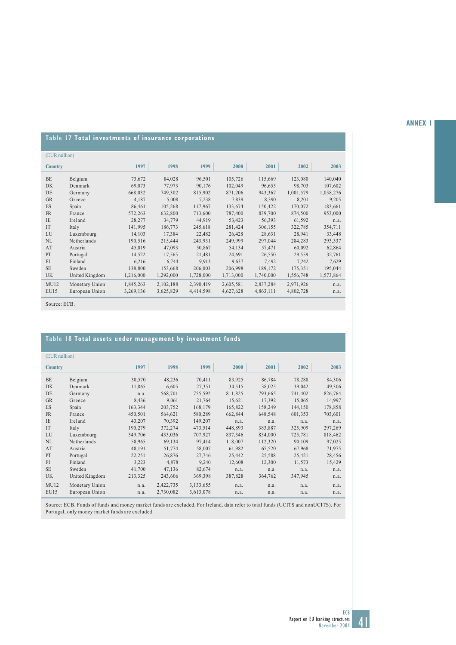### **ANNEX 1**

## **Table 17 Total investments of insurance corporations**

|                | (EUR million)  |           |           |           |           |           |           |           |  |  |
|----------------|----------------|-----------|-----------|-----------|-----------|-----------|-----------|-----------|--|--|
|                |                |           |           |           |           |           |           |           |  |  |
| <b>Country</b> |                | 1997      | 1998      | 1999      | 2000      | 2001      | 2002      | 2003      |  |  |
| <b>BE</b>      | Belgium        | 73,672    | 84,028    | 96,501    | 105,726   | 115,669   | 123,080   | 140,040   |  |  |
| <b>DK</b>      | Denmark        | 69,073    | 77,973    | 90,176    | 102,049   | 96,655    | 98,703    | 107,602   |  |  |
| DE             | Germany        | 668,032   | 749,302   | 815,902   | 871,206   | 943,367   | 1,001,579 | 1,058,276 |  |  |
| <b>GR</b>      | Greece         | 4,187     | 5,008     | 7,238     | 7,839     | 8,390     | 8,201     | 9,205     |  |  |
| <b>ES</b>      | Spain          | 86,461    | 105,268   | 117,967   | 133,674   | 150,422   | 170,072   | 183,661   |  |  |
| FR             | France         | 572,263   | 632,800   | 713,600   | 787,400   | 839,700   | 874,500   | 953,000   |  |  |
| <b>IE</b>      | Ireland        | 28,277    | 34,779    | 44,919    | 53,423    | 56,393    | 61,592    | n.a.      |  |  |
| <b>IT</b>      | Italy          | 141,995   | 186,773   | 245,618   | 281,424   | 306,155   | 322,785   | 354,711   |  |  |
| LU             | Luxembourg     | 14,103    | 17,384    | 22,482    | 26,428    | 28,631    | 28,941    | 33,448    |  |  |
| NL             | Netherlands    | 190,516   | 215,444   | 243,931   | 249,999   | 297,044   | 284,283   | 293,337   |  |  |
| AT             | Austria        | 45,019    | 47,093    | 50,867    | 54,134    | 57,471    | 60,092    | 62,864    |  |  |
| PT             | Portugal       | 14,522    | 17,565    | 21,481    | 24,691    | 26,550    | 29,559    | 32,761    |  |  |
| FI             | Finland        | 6,216     | 6,744     | 9,913     | 9,637     | 7,492     | 7,242     | 7,629     |  |  |
| <b>SE</b>      | Sweden         | 138,800   | 153,668   | 206,003   | 206,998   | 189,172   | 175,351   | 195,044   |  |  |
| <b>UK</b>      | United Kingdom | 1,216,000 | 1,292,000 | 1,728,000 | 1,713,000 | 1,740,000 | 1,556,748 | 1,573,864 |  |  |
| MU12           | Monetary Union | 1,845,263 | 2,102,188 | 2,390,419 | 2,605,581 | 2,837,284 | 2,971,926 | n.a.      |  |  |
| <b>EU15</b>    | European Union | 3,269,136 | 3,625,829 | 4,414,598 | 4,627,628 | 4,863,111 | 4,802,728 | n.a.      |  |  |

Source: ECB.

## **Table 18 Total assets under management by investment funds**

| (EUR million)  |                |         |           |           |         |         |         |         |
|----------------|----------------|---------|-----------|-----------|---------|---------|---------|---------|
| <b>Country</b> |                | 1997    | 1998      | 1999      | 2000    | 2001    | 2002    | 2003    |
| <b>BE</b>      | Belgium        | 30,570  | 48,236    | 70,411    | 83,925  | 86,784  | 78,288  | 84,306  |
| DK             | Denmark        | 11,865  | 16,605    | 27,351    | 34,515  | 38,025  | 39,042  | 49,306  |
| DE             | Germany        | n.a.    | 568,701   | 755,592   | 811,825 | 793,665 | 741,402 | 826,764 |
| <b>GR</b>      | Greece         | 8,436   | 9.061     | 21,764    | 15.621  | 17.392  | 15,065  | 14,997  |
| <b>ES</b>      | Spain          | 163,344 | 203,752   | 168,179   | 165,822 | 158,249 | 144,150 | 178,858 |
| <b>FR</b>      | France         | 450,501 | 564,621   | 580,289   | 662,844 | 648,548 | 601,353 | 703,601 |
| IE             | Ireland        | 43,207  | 70,392    | 149,207   | n.a.    | n.a.    | n.a.    | n.a.    |
| IT             | Italy          | 190,279 | 372,274   | 473,514   | 448,893 | 383,887 | 325,909 | 297,269 |
| LU             | Luxembourg     | 349,706 | 433,036   | 707,927   | 837,346 | 854,000 | 725,781 | 818,462 |
| NL             | Netherlands    | 58,965  | 69,134    | 97,414    | 118,007 | 112,320 | 90,109  | 97,025  |
| AT             | Austria        | 48,191  | 51,774    | 58,007    | 61,982  | 65,520  | 67,968  | 71,975  |
| PT             | Portugal       | 22,251  | 26,876    | 27,746    | 25,442  | 25,588  | 25,421  | 28,456  |
| FI             | Finland        | 3,223   | 4,878     | 9,240     | 12,608  | 12,300  | 11,573  | 15,429  |
| <b>SE</b>      | Sweden         | 41,700  | 47,136    | 82,674    | n.a.    | n.a.    | n.a.    | n.a.    |
| <b>UK</b>      | United Kingdom | 213,325 | 243,606   | 369,398   | 387,828 | 364,762 | 347,945 | n.a.    |
| MU12           | Monetary Union | n.a.    | 2,422,735 | 3,133,655 | n.a.    | n.a.    | n.a.    | n.a.    |
| <b>EU15</b>    | European Union | n.a.    | 2,730,082 | 3,613,078 | n.a.    | n.a.    | n.a.    | n.a.    |

Source: ECB. Funds of funds and money market funds are excluded. For Ireland, data refer to total funds (UCITS and nonUCITS). For Portugal, only money market funds are excluded.

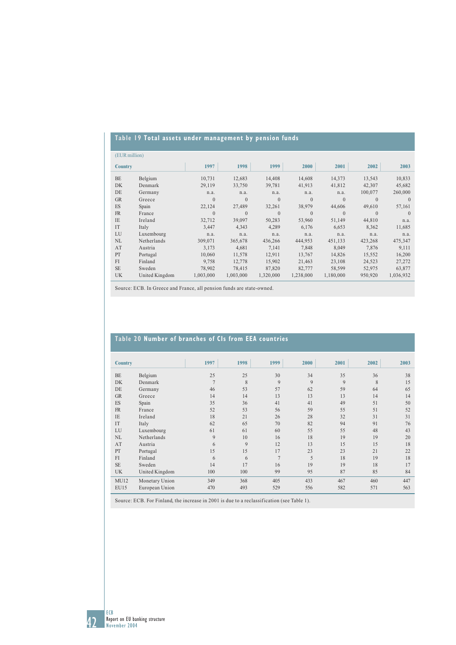# **Table 19 Total assets under management by pension funds**

|                | (EUR million)  |           |           |           |           |           |          |           |  |
|----------------|----------------|-----------|-----------|-----------|-----------|-----------|----------|-----------|--|
| <b>Country</b> |                | 1997      | 1998      | 1999      | 2000      | 2001      | 2002     | 2003      |  |
| BE             | Belgium        | 10,731    | 12,683    | 14,408    | 14,608    | 14,373    | 13,543   | 10,833    |  |
| DK             | Denmark        | 29,119    | 33,750    | 39,781    | 41,913    | 41,812    | 42,307   | 45,682    |  |
| DE             | Germany        | n.a.      | n.a.      | n.a.      | n.a.      | n.a.      | 100,077  | 260,000   |  |
| <b>GR</b>      | Greece         | $\theta$  | $\theta$  | $\theta$  | $\theta$  | $\theta$  | $\Omega$ | $\Omega$  |  |
| ES             | Spain          | 22,124    | 27,489    | 32,261    | 38,979    | 44,606    | 49,610   | 57,161    |  |
| <b>FR</b>      | France         | $\theta$  | $\Omega$  | $\theta$  | $\Omega$  | $\Omega$  | $\Omega$ | $\Omega$  |  |
| <b>IE</b>      | Ireland        | 32,712    | 39,097    | 50,283    | 53,960    | 51,149    | 44,810   | n.a.      |  |
| IT             | Italy          | 3.447     | 4.343     | 4.289     | 6.176     | 6.653     | 8,362    | 11,685    |  |
| LU             | Luxembourg     | n.a.      | n.a.      | n.a.      | n.a.      | n.a.      | n.a.     | n.a.      |  |
| NL             | Netherlands    | 309,071   | 365,678   | 436,266   | 444,953   | 451,133   | 423,268  | 475,347   |  |
| AT             | Austria        | 3,173     | 4,681     | 7,141     | 7,848     | 8,049     | 7,876    | 9,111     |  |
| PT             | Portugal       | 10.060    | 11,578    | 12,911    | 13,767    | 14,826    | 15,552   | 16,200    |  |
| FI             | Finland        | 9.758     | 12,778    | 15.902    | 21,463    | 23,108    | 24,523   | 27,272    |  |
| <b>SE</b>      | Sweden         | 78.902    | 78.415    | 87,820    | 82,777    | 58,599    | 52,975   | 63,877    |  |
| <b>UK</b>      | United Kingdom | 1,003,000 | 1,003,000 | 1,320,000 | 1,238,000 | 1,180,000 | 950,920  | 1,036,932 |  |

Source: ECB. In Greece and France, all pension funds are state-owned.

## **Table 20 Number of branches of CIs from EEA countries**

| <b>Country</b> |                | 1997           | 1998 | 1999           | 2000 | 2001 | 2002 | 2003 |
|----------------|----------------|----------------|------|----------------|------|------|------|------|
| BE             | Belgium        | 25             | 25   | 30             | 34   | 35   | 36   | 38   |
| <b>DK</b>      | Denmark        | $\overline{7}$ | 8    | 9              | 9    | 9    | 8    | 15   |
| DE             | Germany        | 46             | 53   | 57             | 62   | 59   | 64   | 65   |
| <b>GR</b>      | Greece         | 14             | 14   | 13             | 13   | 13   | 14   | 14   |
| ES             | Spain          | 35             | 36   | 41             | 41   | 49   | 51   | 50   |
| <b>FR</b>      | France         | 52             | 53   | 56             | 59   | 55   | 51   | 52   |
| IE             | Ireland        | 18             | 21   | 26             | 28   | 32   | 31   | 31   |
| IT             | Italy          | 62             | 65   | 70             | 82   | 94   | 91   | 76   |
| LU             | Luxembourg     | 61             | 61   | 60             | 55   | 55   | 48   | 43   |
| <b>NL</b>      | Netherlands    | 9              | 10   | 16             | 18   | 19   | 19   | 20   |
| AT             | Austria        | 6              | 9    | 12             | 13   | 15   | 15   | 18   |
| PT             | Portugal       | 15             | 15   | 17             | 23   | 23   | 21   | 22   |
| FI             | Finland        | 6              | 6    | $\overline{7}$ | 5    | 18   | 19   | 18   |
| <b>SE</b>      | Sweden         | 14             | 17   | 16             | 19   | 19   | 18   | 17   |
| <b>UK</b>      | United Kingdom | 100            | 100  | 99             | 95   | 87   | 85   | 84   |
| MU12           | Monetary Union | 349            | 368  | 405            | 433  | 467  | 460  | 447  |
| <b>EU15</b>    | European Union | 470            | 493  | 529            | 556  | 582  | 571  | 563  |

Source: ECB. For Finland, the increase in 2001 is due to a reclassification (see Table 1).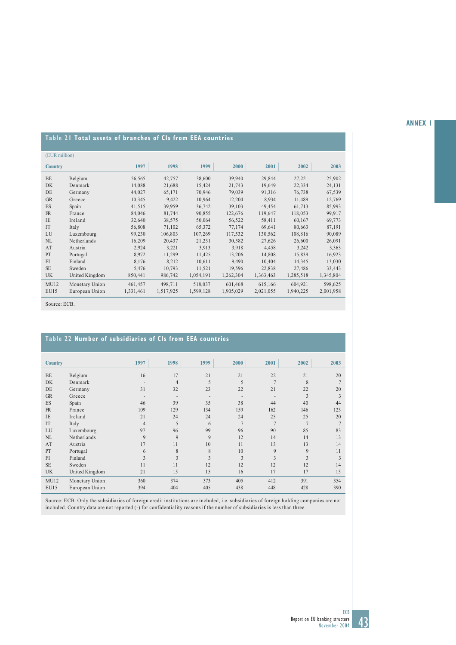### **ANNEX 1**

# **Table 21 Total assets of branches of CIs from EEA countries**

| (EUR million)  |                |           |           |           |           |           |           |           |
|----------------|----------------|-----------|-----------|-----------|-----------|-----------|-----------|-----------|
| <b>Country</b> |                | 1997      | 1998      | 1999      | 2000      | 2001      | 2002      | 2003      |
| <b>BE</b>      | Belgium        | 56,565    | 42,757    | 38,600    | 39,940    | 29,844    | 27,221    | 25,902    |
| <b>DK</b>      | Denmark        | 14,088    | 21,688    | 15,424    | 21,743    | 19,649    | 22,334    | 24,131    |
| DE             | Germany        | 44,027    | 65,171    | 70,946    | 79,039    | 91,316    | 76,738    | 67,539    |
| <b>GR</b>      | Greece         | 10,345    | 9,422     | 10,964    | 12,204    | 8,934     | 11,489    | 12,769    |
| ES             | Spain          | 41,515    | 39,959    | 36,742    | 39,103    | 49.454    | 61,713    | 85,993    |
| <b>FR</b>      | France         | 84,046    | 81,744    | 90,855    | 122,676   | 119,647   | 118,053   | 99,917    |
| <b>IE</b>      | Ireland        | 32,640    | 38,575    | 50,064    | 56,522    | 58,411    | 60,167    | 69,773    |
| IT             | Italy          | 56,808    | 71,102    | 65,372    | 77,174    | 69.641    | 80,663    | 87,191    |
| LU             | Luxembourg     | 99,230    | 106,803   | 107,269   | 117,532   | 130,562   | 108,816   | 90,089    |
| <b>NL</b>      | Netherlands    | 16,209    | 20,437    | 21.231    | 30,582    | 27,626    | 26,600    | 26,091    |
| AT             | Austria        | 2,924     | 3,221     | 3,913     | 3,918     | 4,458     | 3,242     | 3,363     |
| PT             | Portugal       | 8,972     | 11,299    | 11,425    | 13,206    | 14,808    | 15,839    | 16,923    |
| FI             | Finland        | 8,176     | 8,212     | 10,611    | 9.490     | 10,404    | 14,345    | 13,030    |
| <b>SE</b>      | Sweden         | 5,476     | 10,793    | 11,521    | 19,596    | 22,838    | 27,486    | 33,443    |
| <b>UK</b>      | United Kingdom | 850,441   | 986,742   | 1,054,191 | 1,262,304 | 1,363,463 | 1,285,518 | 1,345,804 |
| MU12           | Monetary Union | 461,457   | 498,711   | 518,037   | 601,468   | 615,166   | 604,921   | 598,625   |
| EU15           | European Union | 1,331,461 | 1,517,925 | 1,599,128 | 1,905,029 | 2,021,055 | 1,940,225 | 2,001,958 |

Source: ECB.

## **Table 22 Number of subsidiaries of CIs from EEA countries**

| <b>Country</b> |                | 1997                     | 1998                     | 1999                     | 2000           | 2001           | 2002           | 2003           |
|----------------|----------------|--------------------------|--------------------------|--------------------------|----------------|----------------|----------------|----------------|
| <b>BE</b>      | Belgium        | 16                       | 17                       | 21                       | 21             | 22             | 21             | 20             |
| <b>DK</b>      | Denmark        | $\overline{\phantom{a}}$ | $\overline{4}$           | 5                        | 5              | $\overline{7}$ | 8              | $\overline{7}$ |
| DE             | Germany        | 31                       | 32                       | 23                       | 22             | 21             | 22             | 20             |
| <b>GR</b>      | Greece         | $\overline{\phantom{a}}$ | $\overline{\phantom{a}}$ | $\overline{\phantom{a}}$ |                |                | 3              | 3              |
| ES             | Spain          | 46                       | 39                       | 35                       | 38             | 44             | 40             | 44             |
| <b>FR</b>      | France         | 109                      | 129                      | 134                      | 159            | 162            | 146            | 123            |
| <b>IE</b>      | Ireland        | 21                       | 24                       | 24                       | 24             | 25             | 25             | 20             |
| IT             | Italy          | $\overline{4}$           | 5                        | 6                        | $\overline{7}$ | $\overline{7}$ | $\overline{7}$ | $\overline{7}$ |
| LU             | Luxembourg     | 97                       | 96                       | 99                       | 96             | 90             | 85             | 83             |
| NL             | Netherlands    | 9                        | 9                        | 9                        | 12             | 14             | 14             | 13             |
| AT             | Austria        | 17                       | 11                       | 10                       | 11             | 13             | 13             | 14             |
| PT             | Portugal       | 6                        | 8                        | 8                        | 10             | 9              | 9              | 11             |
| FI             | Finland        | 3                        | 3                        | $\mathbf{3}$             | 3              | 3              | 3              | 3              |
| <b>SE</b>      | Sweden         | 11                       | 11                       | 12                       | 12             | 12             | 12             | 14             |
| UK             | United Kingdom | 21                       | 15                       | 15                       | 16             | 17             | 17             | 15             |
| MU12           | Monetary Union | 360                      | 374                      | 373                      | 405            | 412            | 391            | 354            |
| <b>EU15</b>    | European Union | 394                      | 404                      | 405                      | 438            | 448            | 428            | 390            |

Source: ECB. Only the subsidiaries of foreign credit institutions are included, i.e. subsidiaries of foreign holding companies are not included. Country data are not reported (-) for confidentiality reasons if the number of subsidiaries is less than three.

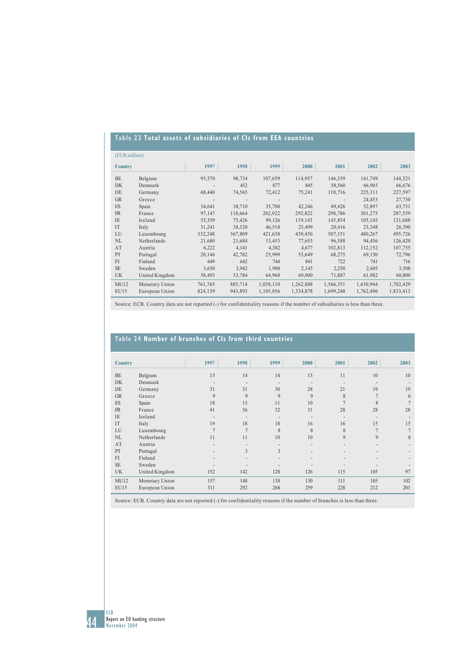# **Table 23 Total assets of subsidiaries of CIs from EEA countries**

| (EUR million)  |                |         |         |           |           |           |           |           |  |  |  |
|----------------|----------------|---------|---------|-----------|-----------|-----------|-----------|-----------|--|--|--|
| <b>Country</b> |                | 1997    | 1998    | 1999      | 2000      | 2001      | 2002      | 2003      |  |  |  |
| BE             | Belgium        | 93,570  | 98,734  | 107,659   | 114,957   | 146,339   | 141,749   | 144,321   |  |  |  |
| DK             | Denmark        |         | 452     | 877       | 845       | 58,560    | 66,965    | 66,676    |  |  |  |
| DE             | Germany        | 68,440  | 74,565  | 72,412    | 75,241    | 110,716   | 225,311   | 227,597   |  |  |  |
| <b>GR</b>      | Greece         |         |         |           |           |           | 24,453    | 27,730    |  |  |  |
| ES             | Spain          | 34,641  | 38,710  | 35,700    | 42,246    | 49,426    | 52,897    | 63,731    |  |  |  |
| <b>FR</b>      | France         | 97,147  | 118,664 | 202,922   | 292,822   | 298,786   | 301,275   | 287,559   |  |  |  |
| IE             | Ireland        | 53,359  | 75,426  | 99,126    | 119,143   | 145,854   | 105,145   | 121,688   |  |  |  |
| IT             | Italy          | 31,241  | 38,520  | 46,518    | 25,499    | 20,416    | 23,348    | 26,390    |  |  |  |
| LU             | Luxembourg     | 332,248 | 367,809 | 421,638   | 439,450   | 507,151   | 480,267   | 495,726   |  |  |  |
| NL             | Netherlands    | 21,680  | 21,684  | 13,453    | 77,653    | 96,588    | 94,456    | 126,420   |  |  |  |
| AT             | Austria        | 6,222   | 4,141   | 4,382     | 4,677     | 102,813   | 112,152   | 107,755   |  |  |  |
| PT             | Portugal       | 20,146  | 42,782  | 25,999    | 53,649    | 68,275    | 69,150    | 72,796    |  |  |  |
| FI             | Finland        | 649     | 642     | 744       | 841       | 722       | 741       | 716       |  |  |  |
| <b>SE</b>      | Sweden         | 3,650   | 3,942   | 1,900     | 2,145     | 2,250     | 2,605     | 3,508     |  |  |  |
| <b>UK</b>      | United Kingdom | 58,493  | 53,784  | 64,968    | 69,000    | 71,887    | 61,982    | 60,800    |  |  |  |
| MU12           | Monetary Union | 761,765 | 885,714 | 1,038,110 | 1,262,888 | 1,566,551 | 1,630,944 | 1,702,429 |  |  |  |
| <b>EU15</b>    | European Union | 824,139 | 943,893 | 1,105,856 | 1,334,878 | 1,699,248 | 1,762,496 | 1,833,413 |  |  |  |

Source: ECB. Country data are not reported (-) for confidentiality reasons if the number of subsidiaries is less than three.

## **Table 24 Number of branches of CIs from third countries**

| <b>Country</b> |                | 1997                     | 1998                     | 1999                         | 2000                     | 2001           | 2002           | 2003          |
|----------------|----------------|--------------------------|--------------------------|------------------------------|--------------------------|----------------|----------------|---------------|
| <b>BE</b>      | Belgium        | 15                       | 14                       | 14                           | 13                       | 11             | 10             | 10            |
| <b>DK</b>      | Denmark        | $\overline{\phantom{a}}$ | $\overline{\phantom{a}}$ | $\overline{\phantom{a}}$     | $\overline{\phantom{a}}$ |                |                |               |
| DE             | Germany        | 31                       | 31                       | 30                           | 28                       | 21             | 19             | 19            |
| <b>GR</b>      | Greece         | 9                        | 9                        | 9                            | 9                        | 8              | $\overline{7}$ | 6             |
| ES             | Spain          | 18                       | 15                       | 11                           | 10                       | $\overline{7}$ | 8              |               |
| <b>FR</b>      | France         | 41                       | 36                       | 32                           | 31                       | 28             | 28             | 28            |
| IE             | Ireland        | $\overline{\phantom{a}}$ | $\overline{\phantom{a}}$ | ٠                            | $\overline{\phantom{m}}$ |                |                |               |
| IT             | Italy          | 19                       | 18                       | 18                           | 16                       | 16             | 15             | 15            |
| LU             | Luxembourg     | $\overline{7}$           | σ                        | 8                            | 8                        | 8              | $\overline{7}$ | $\mathcal{I}$ |
| NL             | Netherlands    | 11                       | 11                       | 10                           | 10                       | 9              | 9              | 8             |
| AT             | Austria        | $\overline{\phantom{a}}$ |                          | $\qquad \qquad \blacksquare$ | $\overline{a}$           |                |                |               |
| PT             | Portugal       |                          | 3                        | 3                            |                          |                |                |               |
| FI             | Finland        | $\overline{\phantom{a}}$ | ۰                        | $\overline{\phantom{a}}$     | $\overline{a}$           |                |                |               |
| <b>SE</b>      | Sweden         |                          | $\overline{a}$           | ۰                            |                          |                |                |               |
| <b>UK</b>      | United Kingdom | 152                      | 142                      | 128                          | 126                      | 115            | 105            | 97            |
| MU12           | Monetary Union | 157                      | 148                      | 138                          | 130                      | 111            | 105            | 102           |
| EU15           | European Union | 311                      | 292                      | 268                          | 259                      | 228            | 212            | 201           |

Source: ECB. Country data are not reported (-) for confidentiality reasons if the number of branches is less than three.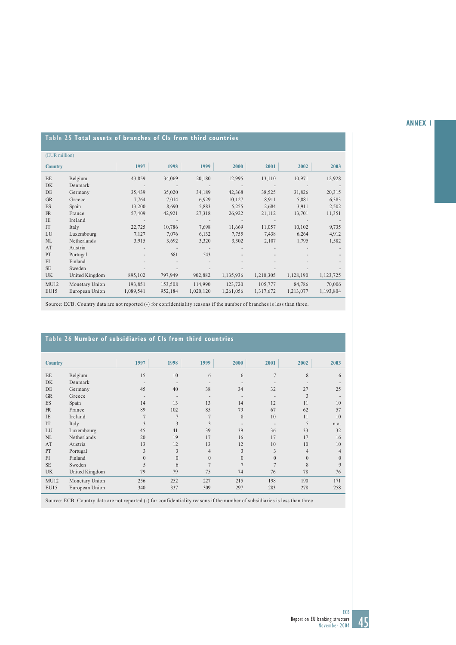### **ANNEX 1**

# **Table 25 Total assets of branches of CIs from third countries**

|                                                                                                                                                                                             | 1999                                                                                                                           | 2000                                                                                                                                                                             | 2001                     | 2002      | 2003      |
|---------------------------------------------------------------------------------------------------------------------------------------------------------------------------------------------|--------------------------------------------------------------------------------------------------------------------------------|----------------------------------------------------------------------------------------------------------------------------------------------------------------------------------|--------------------------|-----------|-----------|
|                                                                                                                                                                                             | 20,180                                                                                                                         | 12,995                                                                                                                                                                           | 13,110                   | 10,971    | 12,928    |
|                                                                                                                                                                                             | $\sim 100$                                                                                                                     |                                                                                                                                                                                  |                          |           |           |
|                                                                                                                                                                                             | 34,189                                                                                                                         | 42,368                                                                                                                                                                           | 38,525                   | 31,826    | 20,315    |
|                                                                                                                                                                                             | 6,929                                                                                                                          | 10,127                                                                                                                                                                           | 8,911                    | 5,881     | 6,383     |
|                                                                                                                                                                                             | 5,883                                                                                                                          | 5,255                                                                                                                                                                            | 2,684                    | 3,911     | 2,502     |
|                                                                                                                                                                                             | 27,318                                                                                                                         | 26,922                                                                                                                                                                           | 21,112                   | 13,701    | 11,351    |
| $\overline{\phantom{a}}$                                                                                                                                                                    | $\overline{\phantom{a}}$                                                                                                       | $\overline{\phantom{a}}$                                                                                                                                                         | $\overline{\phantom{a}}$ |           |           |
|                                                                                                                                                                                             | 7,698                                                                                                                          | 11,669                                                                                                                                                                           | 11,057                   | 10,102    | 9,735     |
|                                                                                                                                                                                             | 6,132                                                                                                                          | 7,755                                                                                                                                                                            | 7,438                    | 6,264     | 4,912     |
|                                                                                                                                                                                             | 3,320                                                                                                                          | 3,302                                                                                                                                                                            | 2,107                    | 1,795     | 1,582     |
|                                                                                                                                                                                             | $\overline{\phantom{a}}$                                                                                                       |                                                                                                                                                                                  |                          |           |           |
| $\overline{\phantom{a}}$                                                                                                                                                                    | 543                                                                                                                            |                                                                                                                                                                                  |                          |           |           |
| ٠                                                                                                                                                                                           | ٠                                                                                                                              | $\overline{a}$                                                                                                                                                                   |                          |           |           |
|                                                                                                                                                                                             |                                                                                                                                |                                                                                                                                                                                  |                          |           |           |
|                                                                                                                                                                                             | 902,882                                                                                                                        | 1,135,936                                                                                                                                                                        | 1,210,305                | 1,128,190 | 1,123,725 |
|                                                                                                                                                                                             | 114,990                                                                                                                        | 123,720                                                                                                                                                                          | 105,777                  | 84,786    | 70,006    |
|                                                                                                                                                                                             | 1,020,120                                                                                                                      | 1,261,056                                                                                                                                                                        | 1,317,672                | 1,213,077 | 1,193,804 |
| Belgium<br>Denmark<br>Germany<br>Greece<br>France<br>Ireland<br>Luxembourg<br>Netherlands<br>Austria<br>Portugal<br>Finland<br>Sweden<br>United Kingdom<br>Monetary Union<br>European Union | 1997<br>43,859<br>$\sim$<br>35,439<br>7,764<br>13,200<br>57,409<br>22,725<br>7,127<br>3,915<br>895,102<br>193,851<br>1,089,541 | 1998<br>34,069<br>$\overline{\phantom{a}}$<br>35,020<br>7,014<br>8,690<br>42,921<br>$\overline{\phantom{a}}$<br>10,786<br>7,076<br>3,692<br>681<br>797,949<br>153,508<br>952,184 |                          |           |           |

Source: ECB. Country data are not reported (-) for confidentiality reasons if the number of branches is less than three.

## **Table 26 Number of subsidiaries of CIs from third countries**

| <b>Country</b> |                | 1997                     | 1998                     | 1999           | 2000     | 2001     | 2002           | 2003           |
|----------------|----------------|--------------------------|--------------------------|----------------|----------|----------|----------------|----------------|
| <b>BE</b>      | Belgium        | 15                       | 10                       | 6              | 6        |          | 8              | 6              |
| <b>DK</b>      | Denmark        | $\overline{\phantom{a}}$ | $\overline{\phantom{a}}$ |                |          |          |                |                |
| DE             | Germany        | 45                       | 40                       | 38             | 34       | 32       | 27             | 25             |
| <b>GR</b>      | Greece         | $\overline{\phantom{a}}$ | $\overline{\phantom{a}}$ |                |          |          | 3              |                |
| ES             | Spain          | 14                       | 13                       | 13             | 14       | 12       | 11             | 10             |
| <b>FR</b>      | France         | 89                       | 102                      | 85             | 79       | 67       | 62             | 57             |
| IE             | Ireland        | $\overline{7}$           | $\overline{7}$           | $\overline{7}$ | 8        | 10       | 11             | 10             |
| IT             | Italy          | 3                        | $\mathbf{3}$             | 3              |          |          | 5              | n.a.           |
| LU             | Luxembourg     | 45                       | 41                       | 39             | 39       | 36       | 33             | 32             |
| <b>NL</b>      | Netherlands    | 20                       | 19                       | 17             | 16       | 17       | 17             | 16             |
| AT             | Austria        | 13                       | 12                       | 13             | 12       | 10       | 10             | 10             |
| PT             | Portugal       | 3                        | 3                        | $\overline{4}$ | 3        | 3        | $\overline{4}$ | 4              |
| FI             | Finland        | $\Omega$                 | $\theta$                 | $\Omega$       | $\theta$ | $\theta$ | $\mathbf{0}$   | $\overline{0}$ |
| <b>SE</b>      | Sweden         | $\overline{\phantom{0}}$ | 6                        |                |          |          | 8              | 9              |
| UK             | United Kingdom | 79                       | 79                       | 75             | 74       | 76       | 78             | 76             |
| MU12           | Monetary Union | 256                      | 252                      | 227            | 215      | 198      | 190            | 171            |
| EU15           | European Union | 340                      | 337                      | 309            | 297      | 283      | 278            | 258            |

Source: ECB. Country data are not reported (-) for confidentiality reasons if the number of subsidiaries is less than three.

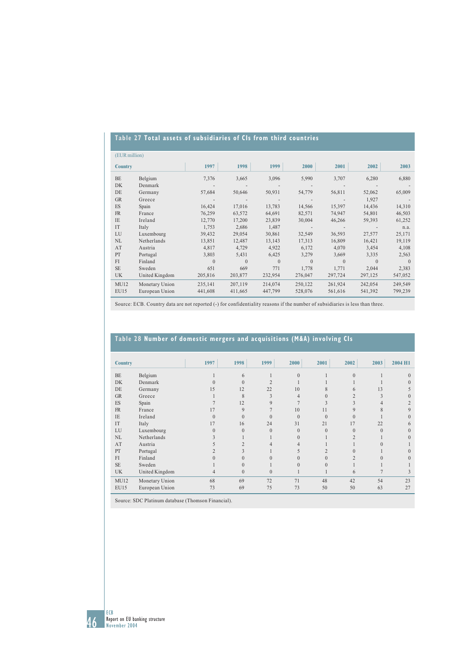# **Table 27 Total assets of subsidiaries of CIs from third countries**

|                | (EUR million)  |          |          |          |          |          |          |          |  |  |  |  |
|----------------|----------------|----------|----------|----------|----------|----------|----------|----------|--|--|--|--|
| <b>Country</b> |                | 1997     | 1998     | 1999     | 2000     | 2001     | 2002     | 2003     |  |  |  |  |
| BE             | Belgium        | 7,376    | 3,665    | 3,096    | 5,990    | 3,707    | 6,280    | 6,880    |  |  |  |  |
| <b>DK</b>      | Denmark        |          |          |          |          |          |          |          |  |  |  |  |
| DE             | Germany        | 57,684   | 50,646   | 50,931   | 54,779   | 56,811   | 52,062   | 65,009   |  |  |  |  |
| <b>GR</b>      | Greece         |          |          |          |          |          | 1,927    |          |  |  |  |  |
| ES             | Spain          | 16,424   | 17,016   | 13,783   | 14,566   | 15,397   | 14,436   | 14,310   |  |  |  |  |
| <b>FR</b>      | France         | 76,259   | 63,572   | 64,691   | 82,571   | 74,947   | 54,801   | 46,503   |  |  |  |  |
| <b>IE</b>      | Ireland        | 12,770   | 17,200   | 23,839   | 30,004   | 46,266   | 59,393   | 61,252   |  |  |  |  |
| IT             | Italy          | 1,753    | 2,686    | 1,487    |          |          |          | n.a.     |  |  |  |  |
| LU             | Luxembourg     | 39,432   | 29,054   | 30,861   | 32,549   | 36,593   | 27,577   | 25,171   |  |  |  |  |
| NL             | Netherlands    | 13,851   | 12,487   | 13,143   | 17,313   | 16,809   | 16,421   | 19,119   |  |  |  |  |
| AT             | Austria        | 4,817    | 4,729    | 4,922    | 6,172    | 4,070    | 3,454    | 4,108    |  |  |  |  |
| PT             | Portugal       | 3,803    | 5,431    | 6,425    | 3,279    | 3,669    | 3,335    | 2,563    |  |  |  |  |
| FI             | Finland        | $\Omega$ | $\Omega$ | $\Omega$ | $\Omega$ | $\Omega$ | $\Omega$ | $\theta$ |  |  |  |  |
| <b>SE</b>      | Sweden         | 651      | 669      | 771      | 1,778    | 1,771    | 2,044    | 2,383    |  |  |  |  |
| <b>UK</b>      | United Kingdom | 205,816  | 203,877  | 232,954  | 276,047  | 297,724  | 297,125  | 547,052  |  |  |  |  |
| MU12           | Monetary Union | 235,141  | 207,119  | 214,074  | 250,122  | 261,924  | 242,054  | 249,549  |  |  |  |  |
| EU15           | European Union | 441,608  | 411,665  | 447,799  | 528,076  | 561,616  | 541,392  | 799,239  |  |  |  |  |

Source: ECB. Country data are not reported (-) for confidentiality reasons if the number of subsidiaries is less than three.

# **Table 28 Number of domestic mergers and acquisitions (M&A) involving CIs**

| <b>Country</b>           |                | 1997     | 1998         | 1999        | 2000           | 2001           | 2002           | 2003         | 2004 H1  |
|--------------------------|----------------|----------|--------------|-------------|----------------|----------------|----------------|--------------|----------|
| <b>BE</b>                | Belgium        |          | 6            |             | $\theta$       |                | $\theta$       |              | $\Omega$ |
| DK                       | Denmark        |          | $\Omega$     |             |                |                |                |              | $\Omega$ |
| DE                       | Germany        | 15       | 12           | 22          | 10             | 8              | 6              | 13           |          |
| <b>GR</b>                | Greece         |          | 8            | 3           | $\overline{4}$ | $\Omega$       | $\overline{c}$ | $\mathbf{3}$ | $\Omega$ |
| $\mathop{\hbox{\rm ES}}$ | Spain          |          | 12           | $\mathbf Q$ | $\overline{7}$ | 3              | 3              |              |          |
| <b>FR</b>                | France         | 17       | 9            |             | 10             | 11             | 9              | 8            | 9        |
| <b>IE</b>                | Ireland        | $\Omega$ | $\mathbf{0}$ | $\theta$    | $\mathbf{0}$   | $\theta$       | $\Omega$       |              | $\Omega$ |
| IT                       | Italy          | 17       | 16           | 24          | 31             | 21             | 17             | 22           | 6        |
| LU                       | Luxembourg     | $\Omega$ | $\Omega$     | $\Omega$    | $\theta$       | $\Omega$       | $\Omega$       | $\Omega$     | $\Omega$ |
| NL                       | Netherlands    |          |              |             | $\theta$       |                | $\overline{2}$ |              | $\Omega$ |
| AT                       | Austria        |          |              | 4           | 4              |                |                |              |          |
| PT                       | Portugal       |          |              |             |                | $\overline{2}$ | $\Omega$       |              |          |
| FI                       | Finland        |          | $\theta$     | $\Omega$    |                | $\theta$       |                |              | $\Omega$ |
| <b>SE</b>                | Sweden         |          | $\theta$     |             | $\Omega$       | $\Omega$       |                |              |          |
| <b>UK</b>                | United Kingdom | 4        | $\mathbf{0}$ | $\theta$    |                |                | 6              |              |          |
| MU12                     | Monetary Union | 68       | 69           | 72          | 71             | 48             | 42             | 54           | 23       |
| EU15                     | European Union | 73       | 69           | 75          | 73             | 50             | 50             | 63           | 27       |

Source: SDC Platinum database (Thomson Financial).

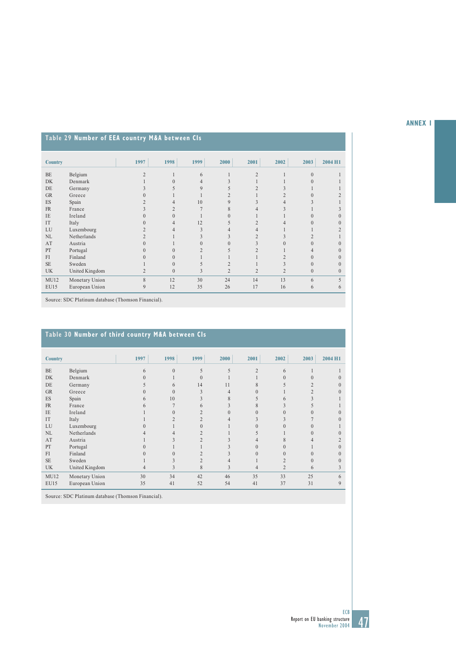# **Table 29 Number of EEA country M&A between CIs**

| <b>Country</b> |                | 1997           | 1998     | 1999 | 2000           | 2001           | 2002           | 2003         | 2004 H1  |
|----------------|----------------|----------------|----------|------|----------------|----------------|----------------|--------------|----------|
| <b>BE</b>      | Belgium        | $\mathfrak{D}$ |          | 6    |                | $\overline{2}$ |                | $\Omega$     |          |
| <b>DK</b>      | Denmark        |                |          | 4    |                |                |                |              |          |
| DE             | Germany        |                |          | 9    |                | $\overline{2}$ |                |              |          |
| GR             | Greece         |                |          |      |                |                |                |              |          |
| ES             | Spain          |                |          | 10   | 9              |                |                |              |          |
| <b>FR</b>      | France         |                |          |      | 8              |                |                |              |          |
| <b>IE</b>      | Ireland        |                | $\Omega$ |      | $\theta$       |                |                | $\Omega$     |          |
| IT             | Italy          |                | 4        | 12   | 5              | $\overline{2}$ |                |              |          |
| LU             | Luxembourg     |                |          | 3    | 4              |                |                |              |          |
| NL             | Netherlands    |                |          |      |                |                |                |              |          |
| AT             | Austria        |                |          |      | $\Omega$       |                | $\Omega$       | $\Omega$     | $\Omega$ |
| PT             | Portugal       |                | $\Omega$ |      |                |                |                |              |          |
| FI             | Finland        |                |          |      |                |                |                | $\Omega$     | $\theta$ |
| <b>SE</b>      | Sweden         |                | $\Omega$ |      | $\overline{c}$ |                |                |              |          |
| <b>UK</b>      | United Kingdom | $\overline{2}$ | $\theta$ | 3    | $\overline{2}$ | $\overline{2}$ | $\overline{2}$ | $\mathbf{0}$ | $\theta$ |
| MU12           | Monetary Union | 8              | 12       | 30   | 24             | 14             | 13             | 6            |          |
| EU15           | European Union | 9              | 12       | 35   | 26             | 17             | 16             | 6            | 6        |

Source: SDC Platinum database (Thomson Financial).

# **Table 30 Number of third country M&A between CIs**

| <b>Country</b> |                | 1997 | 1998     | 1999         | 2000 | 2001           | 2002     | 2003 | 2004 H1  |
|----------------|----------------|------|----------|--------------|------|----------------|----------|------|----------|
| BE             | Belgium        | 6    | $\theta$ |              |      | $\mathfrak{D}$ | 6        |      |          |
| <b>DK</b>      | Denmark        |      |          |              |      |                |          |      |          |
| DE             | Germany        |      | 6        | 14           | 11   |                |          |      |          |
| GR             | Greece         |      | $\Omega$ | $\mathbf{3}$ | 4    | 0              |          |      |          |
| ES             | Spain          | h    | 10       |              | 8    |                | 6        |      |          |
| FR             | France         | h    |          |              |      | 8              |          |      |          |
| IE             | Ireland        |      |          |              |      | 0              |          |      | $_{0}$   |
| IT             | Italy          |      |          |              |      |                |          |      |          |
| LU             | Luxembourg     |      |          |              |      |                |          |      |          |
| NL             | Netherlands    |      |          |              |      |                |          |      |          |
| AT             | Austria        |      |          |              |      |                | 8        |      |          |
| PT             | Portugal       |      |          |              |      | $\theta$       | 0        |      |          |
| FI             | Finland        |      |          |              |      | $\Omega$       | $\Omega$ |      | $\Omega$ |
| <b>SE</b>      | Sweden         |      |          |              |      |                |          |      |          |
| <b>UK</b>      | United Kingdom | 4    | 3        | 8            | 3    | 4              |          | 6    | 3        |
| MU12           | Monetary Union | 30   | 34       | 42           | 46   | 35             | 33       | 25   | 6        |
| <b>EU15</b>    | European Union | 35   | 41       | 52           | 54   | 41             | 37       | 31   | 9        |

Source: SDC Platinum database (Thomson Financial).

## **ANNEX 1**

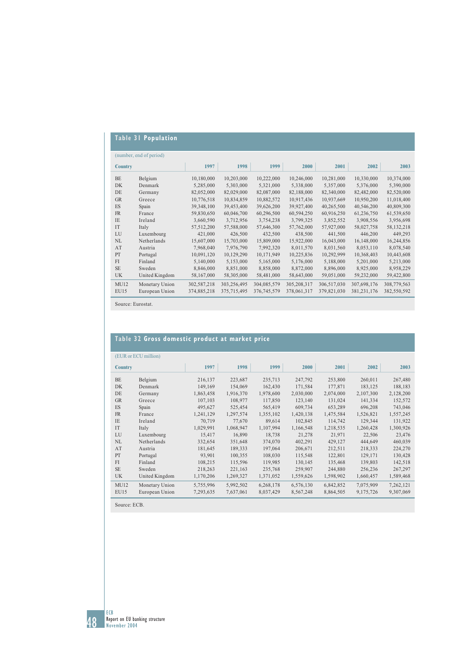# **Table 31 Population**

|                | (number, end of period) |             |             |             |             |             |               |              |
|----------------|-------------------------|-------------|-------------|-------------|-------------|-------------|---------------|--------------|
| <b>Country</b> |                         | 1997        | 1998        | 1999        | 2000        | 2001        | 2002          | 2003         |
| <b>BE</b>      | Belgium                 | 10,180,000  | 10,203,000  | 10,222,000  | 10,246,000  | 10,281,000  | 10,330,000    | 10,374,000   |
| <b>DK</b>      | Denmark                 | 5,285,000   | 5,303,000   | 5,321,000   | 5,338,000   | 5,357,000   | 5,376,000     | 5,390,000    |
| DE             | Germany                 | 82,052,000  | 82,029,000  | 82,087,000  | 82,188,000  | 82,340,000  | 82,482,000    | 82,520,000   |
| <b>GR</b>      | Greece                  | 10,776,518  | 10,834,859  | 10,882,572  | 10,917,436  | 10,937,669  | 10,950,200    | 11,018,400   |
| ES             | Spain                   | 39,348,100  | 39,453,400  | 39,626,200  | 39,927,400  | 40,265,500  | 40,546,200    | 40,809,300   |
| FR             | France                  | 59,830,650  | 60,046,700  | 60,296,500  | 60,594,250  | 60,916,250  | 61,236,750    | 61,539,650   |
| <b>IE</b>      | Ireland                 | 3,660,590   | 3,712,956   | 3,754,238   | 3,799,325   | 3,852,552   | 3,908,556     | 3,956,698    |
| IT             | Italy                   | 57,512,200  | 57,588,000  | 57,646,300  | 57,762,000  | 57,927,000  | 58,027,758    | 58, 132, 218 |
| LU             | Luxembourg              | 421,000     | 426,500     | 432,500     | 438,500     | 441,500     | 446,200       | 449,293      |
| NL             | Netherlands             | 15,607,000  | 15,703,000  | 15,809,000  | 15,922,000  | 16,043,000  | 16,148,000    | 16,244,856   |
| AT             | Austria                 | 7,968,040   | 7,976,790   | 7,992,320   | 8,011,570   | 8,031,560   | 8,053,110     | 8,078,540    |
| PT             | Portugal                | 10,091,120  | 10,129,290  | 10,171,949  | 10,225,836  | 10,292,999  | 10,368,403    | 10,443,608   |
| FI             | Finland                 | 5,140,000   | 5,153,000   | 5,165,000   | 5,176,000   | 5,188,000   | 5,201,000     | 5,213,000    |
| <b>SE</b>      | Sweden                  | 8,846,000   | 8,851,000   | 8,858,000   | 8,872,000   | 8,896,000   | 8,925,000     | 8,958,229    |
| <b>UK</b>      | United Kingdom          | 58,167,000  | 58,305,000  | 58,481,000  | 58,643,000  | 59,051,000  | 59,232,000    | 59,422,800   |
| MU12           | Monetary Union          | 302,587,218 | 303,256,495 | 304,085,579 | 305,208,317 | 306,517,030 | 307,698,176   | 308,779,563  |
| EU15           | European Union          | 374,885,218 | 375,715,495 | 376,745,579 | 378,061,317 | 379,821,030 | 381, 231, 176 | 382,550,592  |

Source: Eurostat.

## **Table 32 Gross domestic product at market price**

| (EUR or ECU million) |                |           |           |           |           |           |           |           |  |  |  |
|----------------------|----------------|-----------|-----------|-----------|-----------|-----------|-----------|-----------|--|--|--|
| <b>Country</b>       |                | 1997      | 1998      | 1999      | 2000      | 2001      | 2002      | 2003      |  |  |  |
| <b>BE</b>            | Belgium        | 216,137   | 223,687   | 235,713   | 247,792   | 253,800   | 260,011   | 267,480   |  |  |  |
| <b>DK</b>            | Denmark        | 149,169   | 154,069   | 162,430   | 171,584   | 177,871   | 183,125   | 188,183   |  |  |  |
| DE                   | Germany        | 1,863,458 | 1,916,370 | 1,978,600 | 2,030,000 | 2,074,000 | 2,107,300 | 2,128,200 |  |  |  |
| <b>GR</b>            | Greece         | 107,103   | 108,977   | 117,850   | 123,140   | 131,024   | 141,334   | 152,572   |  |  |  |
| ES                   | Spain          | 495,627   | 525,454   | 565,419   | 609,734   | 653,289   | 696,208   | 743,046   |  |  |  |
| <b>FR</b>            | France         | 1,241,129 | 1,297,574 | 1,355,102 | 1,420,138 | 1,475,584 | 1,526,821 | 1,557,245 |  |  |  |
| <b>IE</b>            | Ireland        | 70,719    | 77,670    | 89,614    | 102,845   | 114,742   | 129,344   | 131,922   |  |  |  |
| <b>IT</b>            | Italy          | 1,029,991 | 1,068,947 | 1,107,994 | 1,166,548 | 1,218,535 | 1,260,428 | 1,300,926 |  |  |  |
| LU                   | Luxembourg     | 15,417    | 16,890    | 18,738    | 21,278    | 21,971    | 22,506    | 23,476    |  |  |  |
| NL                   | Netherlands    | 332,654   | 351,648   | 374,070   | 402,291   | 429,127   | 444,649   | 460,039   |  |  |  |
| AT                   | Austria        | 181,645   | 189,333   | 197,064   | 206,671   | 212,511   | 218,333   | 224,270   |  |  |  |
| PT                   | Portugal       | 93,901    | 100,355   | 108,030   | 115,548   | 122,801   | 129,171   | 130,428   |  |  |  |
| FI                   | Finland        | 108,215   | 115,596   | 119,985   | 130,145   | 135,468   | 139,803   | 142,518   |  |  |  |
| <b>SE</b>            | Sweden         | 218,263   | 221,163   | 235,768   | 259,907   | 244,880   | 256,236   | 267,297   |  |  |  |
| <b>UK</b>            | United Kingdom | 1,170,206 | 1,269,327 | 1,371,052 | 1,559,626 | 1,598,902 | 1,660,457 | 1,589,468 |  |  |  |
| MU12                 | Monetary Union | 5,755,996 | 5,992,502 | 6,268,178 | 6,576,130 | 6,842,852 | 7,075,909 | 7,262,121 |  |  |  |
| EU15                 | European Union | 7,293,635 | 7,637,061 | 8,037,429 | 8,567,248 | 8,864,505 | 9,175,726 | 9,307,069 |  |  |  |
|                      |                |           |           |           |           |           |           |           |  |  |  |

Source: ECB.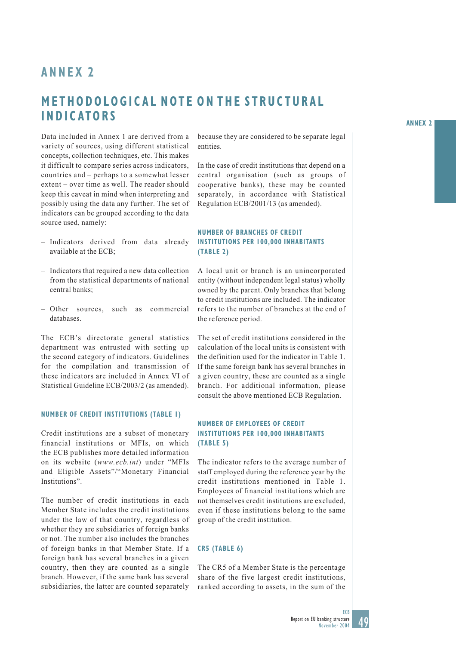# **ANNEX 2**

# **METHODOLOGICAL NOTE ON THE STRUCTURAL INDICATORS**

Data included in Annex 1 are derived from a variety of sources, using different statistical concepts, collection techniques, etc. This makes it difficult to compare series across indicators, countries and – perhaps to a somewhat lesser extent – over time as well. The reader should keep this caveat in mind when interpreting and possibly using the data any further. The set of indicators can be grouped according to the data source used, namely:

- Indicators derived from data already available at the ECB;
- Indicators that required a new data collection from the statistical departments of national central banks;
- Other sources, such as commercial databases.

The ECB's directorate general statistics department was entrusted with setting up the second category of indicators. Guidelines for the compilation and transmission of these indicators are included in Annex VI of Statistical Guideline ECB/2003/2 (as amended).

### **NUMBER OF CREDIT INSTITUTIONS (TABLE 1)**

Credit institutions are a subset of monetary financial institutions or MFIs, on which the ECB publishes more detailed information on its website (*www.ecb.int*) under "MFIs and Eligible Assets"/"Monetary Financial Institutions".

The number of credit institutions in each Member State includes the credit institutions under the law of that country, regardless of whether they are subsidiaries of foreign banks or not. The number also includes the branches of foreign banks in that Member State. If a foreign bank has several branches in a given country, then they are counted as a single branch. However, if the same bank has several subsidiaries, the latter are counted separately

because they are considered to be separate legal entities.

In the case of credit institutions that depend on a central organisation (such as groups of cooperative banks), these may be counted separately, in accordance with Statistical Regulation ECB/2001/13 (as amended).

## **NUMBER OF BRANCHES OF CREDIT INSTITUTIONS PER 100,000 INHABITANTS (TABLE 2)**

A local unit or branch is an unincorporated entity (without independent legal status) wholly owned by the parent. Only branches that belong to credit institutions are included. The indicator refers to the number of branches at the end of the reference period.

The set of credit institutions considered in the calculation of the local units is consistent with the definition used for the indicator in Table 1. If the same foreign bank has several branches in a given country, these are counted as a single branch. For additional information, please consult the above mentioned ECB Regulation.

### **NUMBER OF EMPLOYEES OF CREDIT INSTITUTIONS PER 100,000 INHABITANTS (TABLE 5)**

The indicator refers to the average number of staff employed during the reference year by the credit institutions mentioned in Table 1. Employees of financial institutions which are not themselves credit institutions are excluded, even if these institutions belong to the same group of the credit institution.

### **CR5 (TABLE 6)**

The CR5 of a Member State is the percentage share of the five largest credit institutions, ranked according to assets, in the sum of the

ECB



**ANNEX 2**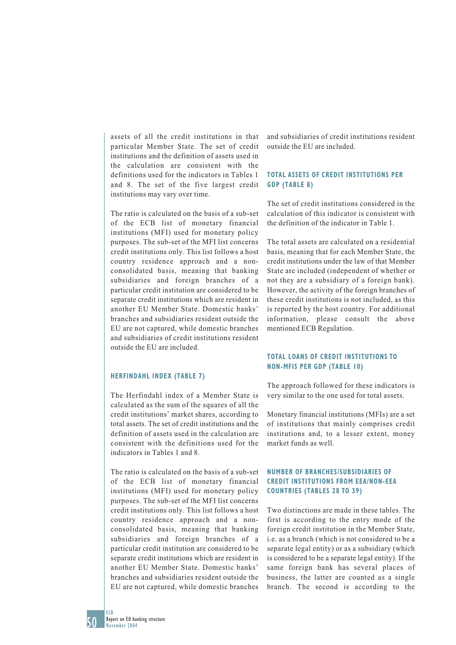assets of all the credit institutions in that particular Member State. The set of credit institutions and the definition of assets used in the calculation are consistent with the definitions used for the indicators in Tables 1 and 8. The set of the five largest credit institutions may vary over time.

The ratio is calculated on the basis of a sub-set of the ECB list of monetary financial institutions (MFI) used for monetary policy purposes. The sub-set of the MFI list concerns credit institutions only. This list follows a host country residence approach and a nonconsolidated basis, meaning that banking subsidiaries and foreign branches of a particular credit institution are considered to be separate credit institutions which are resident in another EU Member State. Domestic banks' branches and subsidiaries resident outside the EU are not captured, while domestic branches and subsidiaries of credit institutions resident outside the EU are included.

### **HERFINDAHL INDEX (TABLE 7)**

The Herfindahl index of a Member State is calculated as the sum of the squares of all the credit institutions' market shares, according to total assets. The set of credit institutions and the definition of assets used in the calculation are consistent with the definitions used for the indicators in Tables 1 and 8.

The ratio is calculated on the basis of a sub-set of the ECB list of monetary financial institutions (MFI) used for monetary policy purposes. The sub-set of the MFI list concerns credit institutions only. This list follows a host country residence approach and a nonconsolidated basis, meaning that banking subsidiaries and foreign branches of a particular credit institution are considered to be separate credit institutions which are resident in another EU Member State. Domestic banks' branches and subsidiaries resident outside the EU are not captured, while domestic branches

and subsidiaries of credit institutions resident outside the EU are included.

## **TOTAL ASSETS OF CREDIT INSTITUTIONS PER GDP (TABLE 8)**

The set of credit institutions considered in the calculation of this indicator is consistent with the definition of the indicator in Table 1.

The total assets are calculated on a residential basis, meaning that for each Member State, the credit institutions under the law of that Member State are included (independent of whether or not they are a subsidiary of a foreign bank). However, the activity of the foreign branches of these credit institutions is not included, as this is reported by the host country. For additional information, please consult the above mentioned ECB Regulation.

### **TOTAL LOANS OF CREDIT INSTITUTIONS TO NON-MFIS PER GDP (TABLE 10)**

The approach followed for these indicators is very similar to the one used for total assets.

Monetary financial institutions (MFIs) are a set of institutions that mainly comprises credit institutions and, to a lesser extent, money market funds as well.

### **NUMBER OF BRANCHES/SUBSIDIARIES OF CREDIT INSTITUTIONS FROM EEA/NON-EEA COUNTRIES (TABLES 28 TO 39)**

Two distinctions are made in these tables. The first is according to the entry mode of the foreign credit institution in the Member State, i.e. as a branch (which is not considered to be a separate legal entity) or as a subsidiary (which is considered to be a separate legal entity). If the same foreign bank has several places of business, the latter are counted as a single branch. The second is according to the

50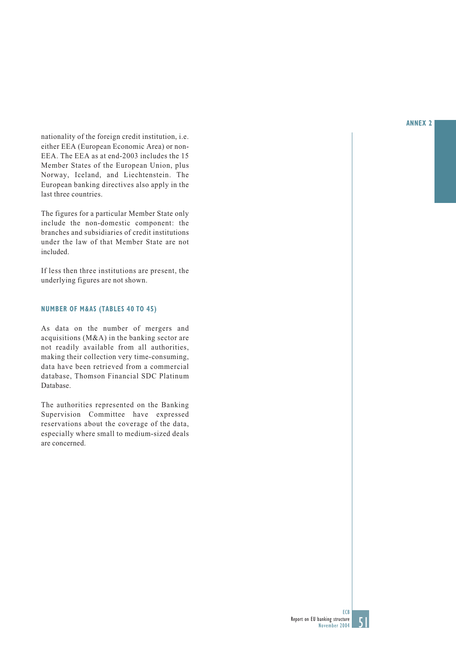nationality of the foreign credit institution, i.e. either EEA (European Economic Area) or non-EEA. The EEA as at end-2003 includes the 15 Member States of the European Union, plus Norway, Iceland, and Liechtenstein. The European banking directives also apply in the last three countries.

The figures for a particular Member State only include the non-domestic component: the branches and subsidiaries of credit institutions under the law of that Member State are not included.

If less then three institutions are present, the underlying figures are not shown.

## **NUMBER OF M&AS (TABLES 40 TO 45)**

As data on the number of mergers and acquisitions (M&A) in the banking sector are not readily available from all authorities, making their collection very time-consuming, data have been retrieved from a commercial database, Thomson Financial SDC Platinum Database.

The authorities represented on the Banking Supervision Committee have expressed reservations about the coverage of the data, especially where small to medium-sized deals are concerned.

### **ANNEX 2**